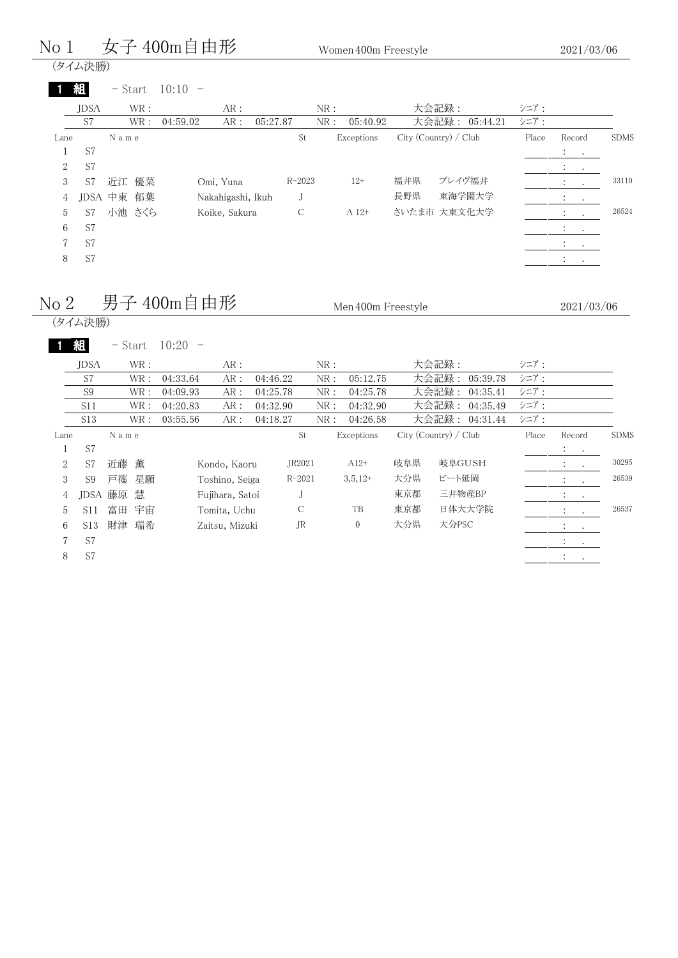## $N$ o 1 女子 400m自由形 Women 400m Freestyle

2021/03/06

| (タイム決勝)<br>組 |           |                                |               |                                                |                       |          |                                                  |             |
|--------------|-----------|--------------------------------|---------------|------------------------------------------------|-----------------------|----------|--------------------------------------------------|-------------|
|              |           |                                |               |                                                |                       |          |                                                  |             |
|              | $-$ Start | $10:10 -$                      |               |                                                |                       |          |                                                  |             |
| <b>JDSA</b>  | WR :      | AR:                            |               | NR:                                            | 大会記録:                 | シニア:     |                                                  |             |
| S7           | WR :      | AR:<br>04:59.02                |               | NR:                                            | 大会記録: 05:44.21        | シニア:     |                                                  |             |
|              |           |                                | St            | Exceptions                                     | City (Country) / Club | Place    | Record                                           | <b>SDMS</b> |
| S7           |           |                                |               |                                                |                       |          | $\mathbb{Z}^2$ and $\mathbb{Z}^2$                |             |
| S7           |           |                                |               |                                                |                       |          | $\sim$<br>$\cdot$                                |             |
| S7           |           | Omi, Yuna                      |               | $12+$                                          | 福井県<br>ブレイヴ福井         |          | $\sim$                                           | 33110       |
|              |           |                                | J             |                                                | 長野県<br>東海学園大学         |          | $\cdot$<br>$\cdot$                               |             |
| S7           |           |                                | $\mathcal{C}$ | A 12+                                          | さいたま市 大東文化大学          |          | $\sim$ 100 $\pm$<br>$\sim$                       | 26524       |
| S7           |           |                                |               |                                                |                       |          | $\bullet$<br>$\cdot$                             |             |
| S7           |           |                                |               |                                                |                       |          | <b>Contract Contract</b><br>$\ddot{\phantom{0}}$ |             |
| S7           |           |                                |               |                                                |                       |          |                                                  |             |
|              |           | N a m e<br>近江 優菜<br>JDSA 中東 郁葉 | 小池 さくら        | 05:27.87<br>Nakahigashi, Ikuh<br>Koike, Sakura | $R - 2023$            | 05:40.92 |                                                  |             |

# $N$ o 2 男子 400m自由形 Men 400m Freestyle

| lo 2           |                 |           |      | 男子 400m目田形 |                 |               |     | Men 400m Freestyle |     |                       |       |                                              | 2021/03/06  |
|----------------|-----------------|-----------|------|------------|-----------------|---------------|-----|--------------------|-----|-----------------------|-------|----------------------------------------------|-------------|
|                | (タイム決勝)         |           |      |            |                 |               |     |                    |     |                       |       |                                              |             |
|                | 組               | $-$ Start |      | 10:20      |                 |               |     |                    |     |                       |       |                                              |             |
|                | <b>JDSA</b>     |           | WR:  |            | AR:             |               | NR: |                    |     | 大会記録:                 | シニア:  |                                              |             |
|                | S7              |           | WR:  | 04:33.64   | AR:             | 04:46.22      | NR: | 05:12.75           |     | 大会記録:<br>05:39.78     | シニア:  |                                              |             |
|                | S <sub>9</sub>  |           | WR:  | 04:09.93   | AR:             | 04:25.78      | NR: | 04:25.78           |     | 大会記録:<br>04:35.41     | シニア:  |                                              |             |
|                | S11             |           | WR : | 04:20.83   | AR:             | 04:32.90      | NR: | 04:32.90           |     | 大会記録:<br>04:35.49     | シニア:  |                                              |             |
|                | S <sub>13</sub> |           | WR : | 03:55.56   | AR:             | 04:18.27      | NR: | 04:26.58           |     | 大会記録: 04:31.44        | シニア:  |                                              |             |
| Lane           |                 | N a m e   |      |            |                 | St            |     | Exceptions         |     | City (Country) / Club | Place | Record                                       | <b>SDMS</b> |
|                | S7              |           |      |            |                 |               |     |                    |     |                       |       | $1 - 1$                                      |             |
| $\overline{2}$ | S7              | 近藤        | 薫    |            | Kondo, Kaoru    | JR2021        |     | $A12+$             | 岐阜県 | 岐阜GUSH                |       |                                              | 30295       |
| 3              | S9              | 戸篠        | 星願   |            | Toshino, Seiga  | $R - 2021$    |     | $3,5,12+$          | 大分県 | ビート延岡                 |       | $\bullet$                                    | 26539       |
| 4              |                 | JDSA 藤原   | 慧    |            | Fujihara, Satoi | J             |     |                    | 東京都 | 三井物産BP                |       | $\ddot{\phantom{a}}$<br>$\ddot{\phantom{0}}$ |             |
| 5              | S <sub>11</sub> | 富田        | 宇宙   |            | Tomita, Uchu    | $\mathcal{C}$ |     | TB                 | 東京都 | 日体大大学院                |       |                                              | 26537       |
| 6              | S <sub>13</sub> | 財津        | 瑞希   |            | Zaitsu, Mizuki  | JR            |     | $\mathbf{0}$       | 大分県 | 大分PSC                 |       | $\ddot{\phantom{1}}$<br>$\bullet$            |             |
|                | S7              |           |      |            |                 |               |     |                    |     |                       |       | $\bullet$<br>$\bullet$                       |             |
| 8              | S7              |           |      |            |                 |               |     |                    |     |                       |       | $\cdot$                                      |             |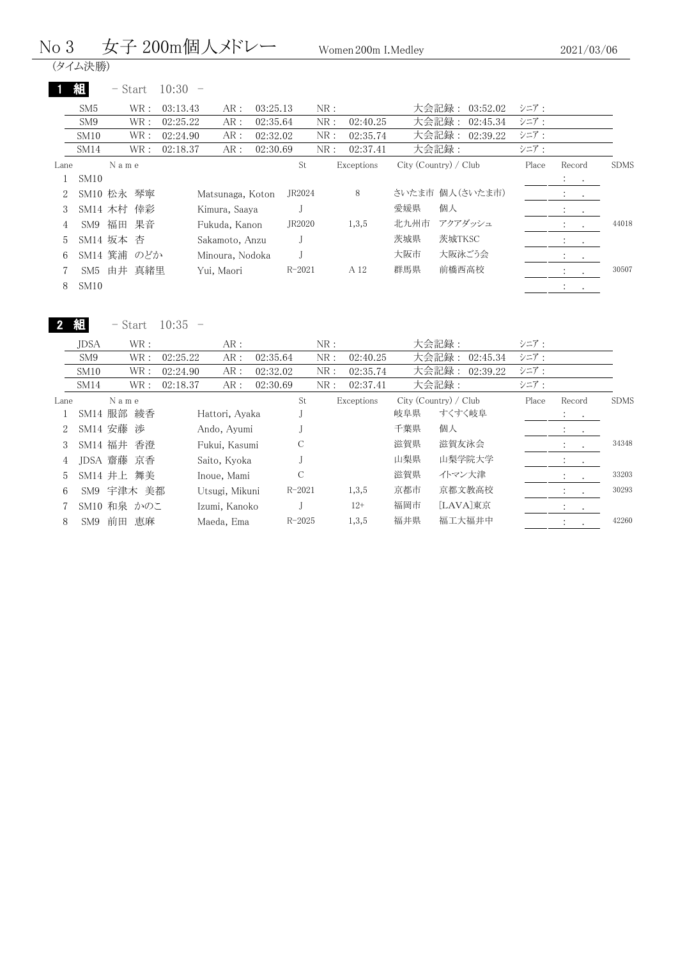#### No 3 女子 200m個人メドレー Women 200m I.Medley

(タイム決勝)

|                | 組               |      | $-$ Start   | 10:30    |                  |          |            |     |            |      |                       |       |                                                         |           |             |
|----------------|-----------------|------|-------------|----------|------------------|----------|------------|-----|------------|------|-----------------------|-------|---------------------------------------------------------|-----------|-------------|
|                | SM <sub>5</sub> |      | WR :        | 03:13.43 | AR:              | 03:25.13 |            | NR: |            |      | 大会記録:<br>03:52.02     | シニア:  |                                                         |           |             |
|                | SM <sub>9</sub> |      | WR:         | 02:25.22 | AR:              | 02:35.64 |            | NR: | 02:40.25   |      | 大会記録:<br>02:45.34     | シニア:  |                                                         |           |             |
|                | SM10            |      | WR :        | 02:24.90 | AR:              | 02:32.02 |            | NR: | 02:35.74   |      | 大会記録:<br>02:39.22     | シニア:  |                                                         |           |             |
|                | SM14            |      | WR :        | 02:18.37 | AR:              | 02:30.69 |            | NR: | 02:37.41   |      | 大会記録:                 | シニア:  |                                                         |           |             |
| Lane           |                 | Name |             |          |                  |          | St         |     | Exceptions |      | City (Country) / Club | Place | Record                                                  |           | <b>SDMS</b> |
|                | SM10            |      |             |          |                  |          |            |     |            |      |                       |       | <b>Service</b>                                          |           |             |
| $\overline{2}$ | SM10 松永         |      | 琴寧          |          | Matsunaga, Koton |          | JR2024     |     | 8          |      | さいたま市 個人(さいたま市)       |       | All Controllers                                         |           |             |
|                |                 |      | SM14 木村 倖彩  |          | Kimura, Saaya    |          |            |     |            | 愛媛県  | 個人                    |       | $\bullet$                                               | $\bullet$ |             |
| 4              | SM9             | 福田   | 果音          |          | Fukuda, Kanon    |          | JR2020     |     | 1,3,5      | 北九州市 | アクアダッシュ               |       | $\sim 100$ km s $^{-1}$                                 |           | 44018       |
| 5.             | SM14 坂本         |      | 杏           |          | Sakamoto, Anzu   |          |            |     |            | 茨城県  | 茨城TKSC                |       | $\mathbf{A}$ and $\mathbf{A}$                           |           |             |
| 6.             |                 |      | SM14 箕浦 のどか |          | Minoura, Nodoka  |          |            |     |            | 大阪市  | 大阪泳ごう会                |       | $\mathcal{L}^{\text{max}}$ , $\mathcal{L}^{\text{max}}$ |           |             |
|                | SM5             |      | 由井 真緒里      |          | Yui, Maori       |          | $R - 2021$ |     | A 12       | 群馬県  | 前橋西高校                 |       | D.                                                      | $\cdot$   | 30507       |
| 8              | SM10            |      |             |          |                  |          |            |     |            |      |                       |       | $\bullet$                                               | $\bullet$ |             |

2 組

- Start 10:35 -

|        | <b>JDSA</b>     |      | WR:         |          | AR:            |          |            | NR: |            |     | 大会記録:                 | シニア:  |                             |               |             |
|--------|-----------------|------|-------------|----------|----------------|----------|------------|-----|------------|-----|-----------------------|-------|-----------------------------|---------------|-------------|
|        | SM9             |      | WR:         | 02:25.22 | AR:            | 02:35.64 |            | NR: | 02:40.25   |     | 大会記録:<br>02:45.34     | シニア:  |                             |               |             |
|        | SM10            |      | WR:         | 02:24.90 | AR:            | 02:32.02 |            | NR: | 02:35.74   |     | 大会記録:<br>02:39.22     | シニア:  |                             |               |             |
|        | SM14            |      | WR:         | 02:18.37 | AR:            | 02:30.69 |            | NR: | 02:37.41   |     | 大会記録:                 | シニア:  |                             |               |             |
| Lane   |                 | Name |             |          |                |          | St         |     | Exceptions |     | City (Country) / Club | Place | Record                      |               | <b>SDMS</b> |
|        | SM14 服部 綾香      |      |             |          | Hattori, Ayaka |          |            |     |            | 岐阜県 | すくすく岐阜                |       | $\mathcal{A}=\mathcal{A}$ . |               |             |
| $^{2}$ | SM14 安藤 渉       |      |             |          | Ando, Ayumi    |          |            |     |            | 千葉県 | 個人                    |       | <b>Contract</b>             |               |             |
| 3      | SM14 福井         |      | 香澄          |          | Fukui, Kasumi  |          | С          |     |            | 滋賀県 | 滋賀友泳会                 |       | <b>Contract</b>             |               | 34348       |
| 4      | JDSA 齋藤 京香      |      |             |          | Saito, Kyoka   |          |            |     |            | 山梨県 | 山梨学院大学                |       | <b>Contract</b>             |               |             |
| 5      | SM14 井上 舞美      |      |             |          | Inoue, Mami    |          | С          |     |            | 滋賀県 | イトマン大津                |       |                             |               | 33203       |
| 6      | SM9             |      | 宇津木 美都      |          | Utsugi, Mikuni |          | $R - 2021$ |     | 1,3,5      | 京都市 | 京都文教高校                |       | $\ddot{\cdot}$              |               | 30293       |
|        |                 |      | SM10 和泉 かのこ |          | Izumi, Kanoko  |          |            |     | $12+$      | 福岡市 | [LAVA]東京              |       | $\ddot{\phantom{0}}$        | $\sim$ $\sim$ |             |
| 8      | SM <sub>9</sub> | 前田   | 恵麻          |          | Maeda, Ema     |          | $R - 2025$ |     | 1,3,5      | 福井県 | 福工大福井中                |       | $\ddot{\cdot}$              |               | 42260       |
|        |                 |      |             |          |                |          |            |     |            |     |                       |       |                             |               |             |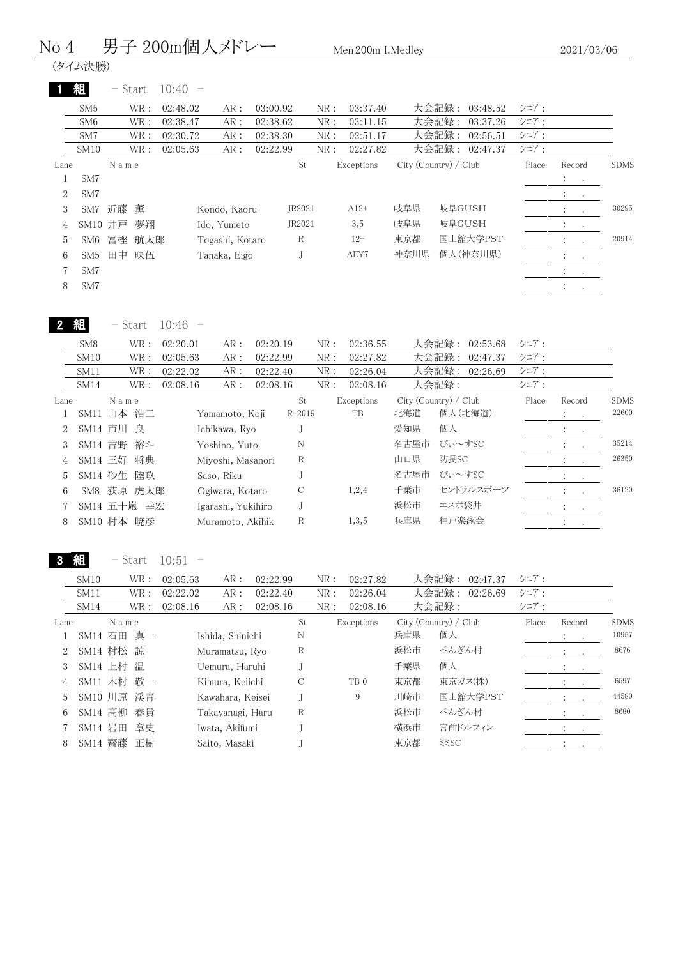#### No 4 男子 200m個人メドレー Men 200m I.Medley

(タイム決勝)

|      | 組               | - Start |      | 10:40    |                 |          |        |     |            |      |                       |       |                                                               |               |             |
|------|-----------------|---------|------|----------|-----------------|----------|--------|-----|------------|------|-----------------------|-------|---------------------------------------------------------------|---------------|-------------|
|      | SM5             |         | WR:  | 02:48.02 | AR:             | 03:00.92 |        | NR: | 03:37.40   |      | 大会記録:<br>03:48.52     | シニア:  |                                                               |               |             |
|      | SM <sub>6</sub> |         | WR : | 02:38.47 | AR:             | 02:38.62 |        | NR: | 03:11.15   |      | 大会記録:<br>03:37.26     | シニア:  |                                                               |               |             |
|      | SM7             |         | WR : | 02:30.72 | AR:             | 02:38.30 |        | NR: | 02:51.17   |      | 大会記録:<br>02:56.51     | シニア:  |                                                               |               |             |
|      | SM10            |         | WR:  | 02:05.63 | AR:             | 02:22.99 |        | NR: | 02:27.82   |      | 大会記録:<br>02:47.37     | シニア:  |                                                               |               |             |
| Lane |                 | Name    |      |          |                 |          | St     |     | Exceptions |      | City (Country) / Club | Place | Record                                                        |               | <b>SDMS</b> |
|      | SM7             |         |      |          |                 |          |        |     |            |      |                       |       | $\mathcal{A}^{\mathcal{A}}$ , and $\mathcal{A}^{\mathcal{A}}$ |               |             |
| 2    | SM7             |         |      |          |                 |          |        |     |            |      |                       |       | $\mathcal{L}_{\text{max}}$ .                                  |               |             |
| 3    | SM7             | 近藤      | 薫    |          | Kondo, Kaoru    |          | JR2021 |     | $A12+$     | 岐阜県  | 岐阜GUSH                |       | $1 - 1$                                                       |               | 30295       |
| 4    | SM10 井戸         |         | 夢翔   |          | Ido, Yumeto     |          | JR2021 |     | 3,5        | 岐阜県  | 岐阜GUSH                |       | $\mathcal{L}_{\rm{max}}$                                      |               |             |
| 5    | SM6             | 冨樫      | 航太郎  |          | Togashi, Kotaro |          | R      |     | $12+$      | 東京都  | 国士舘大学PST              |       | $\ddot{\cdot}$                                                | $\cdot$       | 20914       |
| 6    | SM5             | 田中      | 映伍   |          | Tanaka, Eigo    |          |        |     | AEY7       | 神奈川県 | 個人(神奈川県)              |       | $\ddot{\phantom{0}}$                                          |               |             |
|      | SM7             |         |      |          |                 |          |        |     |            |      |                       |       | $\ddot{\phantom{0}}$                                          | $\sim$ $\sim$ |             |
| 8    | SM7             |         |      |          |                 |          |        |     |            |      |                       |       | $\cdot$                                                       |               |             |

2 組 - Start 10:46 -

|               | SM <sub>8</sub>  |      | WR :        | 02:20.01 | AR:                | 02:20.19 |               | NR: | 02:36.55   |      | 大会記録:<br>02:53.68     | シニア:  |                      |                  |             |
|---------------|------------------|------|-------------|----------|--------------------|----------|---------------|-----|------------|------|-----------------------|-------|----------------------|------------------|-------------|
|               | SM <sub>10</sub> |      | WR:         | 02:05.63 | AR :               | 02:22.99 |               | NR: | 02:27.82   |      | 大会記録: 02:47.37        | シニア:  |                      |                  |             |
|               | SM11             |      | WR:         | 02:22.02 | AR :               | 02:22.40 |               | NR: | 02:26.04   |      | 大会記録:<br>02:26.69     | シニア:  |                      |                  |             |
|               | SM14             |      | WR :        | 02:08.16 | AR:                | 02:08.16 |               | NR: | 02:08.16   |      | 大会記録:                 | シニア:  |                      |                  |             |
| Lane          |                  | Name |             |          |                    |          | St            |     | Exceptions |      | City (Country) / Club | Place | Record               |                  | <b>SDMS</b> |
|               | SM11 山本 浩二       |      |             |          | Yamamoto, Koji     |          | $R - 2019$    |     | TB         | 北海道  | 個人(北海道)               |       | $\bullet$            | $\sim$           | 22600       |
| $\mathcal{L}$ | SM14 市川 良        |      |             |          | Ichikawa, Ryo      |          |               |     |            | 愛知県  | 個人                    |       | $\bullet$            | $\sim$           |             |
|               | SM14 吉野 裕斗       |      |             |          | Yoshino, Yuto      |          | N             |     |            | 名古屋市 | ぴぃ~すSC                |       | $\ddot{\phantom{0}}$ | $\sim$           | 35214       |
| 4             | SM14 三好 将典       |      |             |          | Miyoshi, Masanori  |          | R             |     |            | 山口県  | 防長SC                  |       | $\cdot$              | $\sim$           | 26350       |
| 5.            | SM14 砂生          |      | 陸玖          |          | Saso, Riku         |          |               |     |            | 名古屋市 | ぴぃ~すSC                |       | $\sim$<br>$\bullet$  |                  |             |
| 6             |                  |      | SM8 荻原 虎太郎  |          | Ogiwara, Kotaro    |          | $\mathcal{C}$ |     | 1,2,4      | 千葉市  | セントラルスポーツ             |       | $\colon$             | $\cdot$          | 36120       |
|               |                  |      | SM14 五十嵐 幸宏 |          | Igarashi, Yukihiro |          |               |     |            | 浜松市  | エスポ袋井                 |       | $\bullet$            | $\sim$ 100 $\pm$ |             |
| 8             | SM10 村本 暁彦       |      |             |          | Muramoto, Akihik   |          | $\mathbb R$   |     | 1,3,5      | 兵庫県  | 神戸楽泳会                 |       | $\cdot$              | $\bullet$        |             |
|               |                  |      |             |          |                    |          |               |     |            |      |                       |       |                      |                  |             |

3 組 - Start 10:51 -

|      | SM10       |      | WR : | 02:05.63 | AR:              | 02:22.99 |    | NR: | 02:27.82        |     | 大会記録:<br>02:47.37     | シニア:  |                                                                                         |           |             |
|------|------------|------|------|----------|------------------|----------|----|-----|-----------------|-----|-----------------------|-------|-----------------------------------------------------------------------------------------|-----------|-------------|
|      | SM11       |      | WR : | 02:22.02 | AR:              | 02:22.40 |    | NR: | 02:26.04        |     | 大会記録:<br>02:26.69     | シニア:  |                                                                                         |           |             |
|      | SM14       |      | WR : | 02:08.16 | AR:              | 02:08.16 |    | NR: | 02:08.16        |     | 大会記録:                 | シニア:  |                                                                                         |           |             |
| Lane |            | Name |      |          |                  |          | St |     | Exceptions      |     | City (Country) / Club | Place | Record                                                                                  |           | <b>SDMS</b> |
|      | SM14 石田 真一 |      |      |          | Ishida, Shinichi |          | N  |     |                 | 兵庫県 | 個人                    |       | $\mathcal{L}^{\text{max}}$                                                              |           | 10957       |
| 2    | SM14 村松 諒  |      |      |          | Muramatsu, Ryo   |          | R  |     |                 | 浜松市 | ぺんぎん村                 |       | $\mathcal{I}^{\mathcal{I}}$ , $\mathcal{I}^{\mathcal{I}}$ , $\mathcal{I}^{\mathcal{I}}$ |           | 8676        |
| 3    | SM14 上村 温  |      |      |          | Uemura, Haruhi   |          |    |     |                 | 千葉県 | 個人                    |       | $\sim$ $\sim$                                                                           |           |             |
| 4    | SM11 木村 敬一 |      |      |          | Kimura, Keiichi  |          | С  |     | TB <sub>0</sub> | 東京都 | 東京ガス(株)               |       |                                                                                         |           | 6597        |
| 5    | SM10 川原 渓青 |      |      |          | Kawahara, Keisei |          |    |     | 9               | 川崎市 | 国士舘大学PST              |       | $\ddot{\cdot}$                                                                          | $\bullet$ | 44580       |
| 6    | SM14 髙柳 春貴 |      |      |          | Takayanagi, Haru |          | R  |     |                 | 浜松市 | ぺんぎん村                 |       | $\mathcal{I}^{\mathcal{I}}$ , $\mathcal{I}^{\mathcal{I}}$ , $\mathcal{I}^{\mathcal{I}}$ |           | 8680        |
|      | SM14 岩田 章史 |      |      |          | Iwata, Akifumi   |          |    |     |                 | 横浜市 | 宮前ドルフィン               |       | <b>Service</b>                                                                          |           |             |
| 8    | SM14 齋藤 正樹 |      |      |          | Saito, Masaki    |          |    |     |                 | 東京都 | 335C                  |       | $\mathbb{Z}^n$                                                                          | $\cdot$   |             |
|      |            |      |      |          |                  |          |    |     |                 |     |                       |       |                                                                                         |           |             |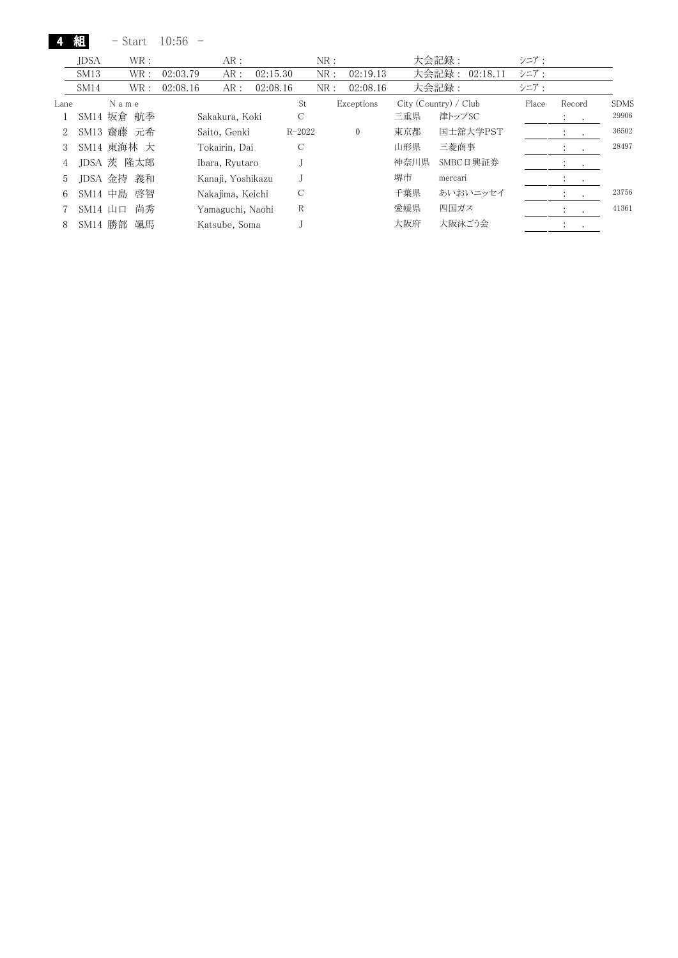| Start | 10:56 |  |
|-------|-------|--|
|-------|-------|--|

組

|      | JDSA      | WR:        |          | AR:               |          |            | NR: |              |      | 大会記録:                 | シニア:  |                      |                  |             |
|------|-----------|------------|----------|-------------------|----------|------------|-----|--------------|------|-----------------------|-------|----------------------|------------------|-------------|
|      | SM13      | WR :       | 02:03.79 | AR:               | 02:15.30 |            | NR: | 02:19.13     |      | 大会記録:<br>02:18.11     | シニア:  |                      |                  |             |
|      | SM14      | WR :       | 02:08.16 | AR:               | 02:08.16 |            | NR: | 02:08.16     |      | 大会記録:                 | シニア:  |                      |                  |             |
| Lane |           | Name       |          |                   |          | St         |     | Exceptions   |      | City (Country) / Club | Place | Record               |                  | <b>SDMS</b> |
|      |           | SM14 坂倉 航季 |          | Sakakura, Koki    |          | С          |     |              | 三重県  | 津トップSC                |       | $\cdot$              | $\sim$           | 29906       |
| 2    |           | SM13 齋藤 元希 |          | Saito, Genki      |          | $R - 2022$ |     | $\mathbf{0}$ | 東京都  | 国士舘大学PST              |       | $\ddot{\phantom{1}}$ | $\sim$ 100 $\pm$ | 36502       |
| 3    |           | SM14 東海林 大 |          | Tokairin, Dai     |          | С          |     |              | 山形県  | 三菱商事                  |       | $\cdot$              | $\cdot$          | 28497       |
| 4    |           | JDSA 茨 隆太郎 |          | Ibara, Ryutaro    |          |            |     |              | 神奈川県 | SMBC日興証券              |       |                      |                  |             |
| 5    |           | JDSA 金持 義和 |          | Kanaji, Yoshikazu |          |            |     |              | 堺市   | mercari               |       | $\cdot$              | $\bullet$        |             |
| 6    | SM14 中島   | 啓智         |          | Nakajima, Keichi  |          | С          |     |              | 千葉県  | あいおいニッセイ              |       |                      | $\cdot$          | 23756       |
|      | $SM14$ 山口 | 尚秀         |          | Yamaguchi, Naohi  |          | R          |     |              | 愛媛県  | 四国ガス                  |       |                      | $\cdot$          | 41361       |
| 8    | SM14 勝部   | 颯馬         |          | Katsube, Soma     |          |            |     |              | 大阪府  | 大阪泳ごう会                |       |                      |                  |             |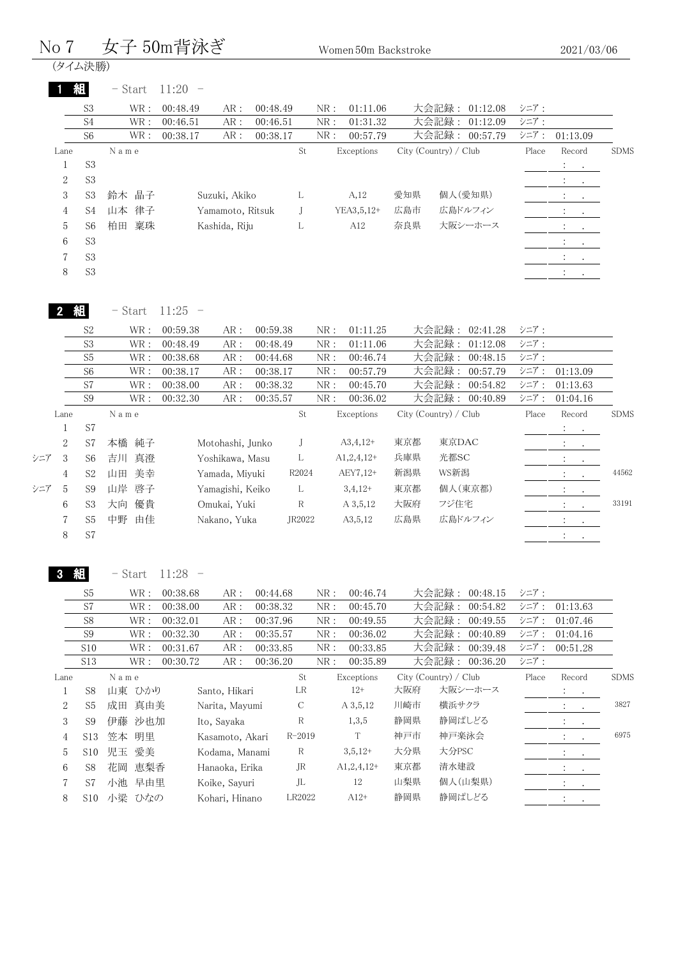|     | No 7           |                 |                              | 女子 50m背泳ぎ |                  |             |              | Women 50m Backstroke |     |                       |                |       | 2021/03/06                  |             |
|-----|----------------|-----------------|------------------------------|-----------|------------------|-------------|--------------|----------------------|-----|-----------------------|----------------|-------|-----------------------------|-------------|
|     | (タイム決勝)        |                 |                              |           |                  |             |              |                      |     |                       |                |       |                             |             |
|     |                | 組               | - Start                      | 11:20     |                  |             |              |                      |     |                       |                |       |                             |             |
|     |                | S <sub>3</sub>  | WR :                         | 00:48.49  | AR:              | 00:48.49    | NR:          | 01:11.06             |     | 大会記録:                 | 01:12.08       | シニア:  |                             |             |
|     |                | S <sub>4</sub>  | $\operatorname{WR}$ :        | 00:46.51  | AR :             | 00:46.51    | ${\rm NR}$ : | 01:31.32             |     | 大会記録:                 | 01:12.09       | シニア:  |                             |             |
|     |                | S <sub>6</sub>  | WR:                          | 00:38.17  | AR :             | 00:38.17    | ${\rm NR}$ : | 00:57.79             |     | 大会記録:                 | 00:57.79       | シニア:  | 01:13.09                    |             |
|     | Lane           |                 | N a m e                      |           |                  | St          |              | Exceptions           |     | City (Country) / Club |                | Place | Record                      | <b>SDMS</b> |
|     | $\mathbf{1}$   | S <sub>3</sub>  |                              |           |                  |             |              |                      |     |                       |                |       | $\ddot{\cdot}$              |             |
|     | $\overline{2}$ | S <sub>3</sub>  |                              |           |                  |             |              |                      |     |                       |                |       | $\ddot{\cdot}$<br>$\bullet$ |             |
|     | 3              | S <sub>3</sub>  | 鈴木 晶子                        |           | Suzuki, Akiko    | L           |              | A,12                 | 愛知県 |                       | 個人(愛知県)        |       | $\ddot{\cdot}$              |             |
|     | 4              | S4              | 山本 律子                        |           | Yamamoto, Ritsuk | J           |              | YEA3, 5, 12+         | 広島市 |                       | 広島ドルフィン        |       |                             |             |
|     | 5              | S6              | 稟珠<br>柏田                     |           | Kashida, Riju    | L           |              | A12                  | 奈良県 |                       | 大阪シーホース        |       |                             |             |
|     | 6              | S <sub>3</sub>  |                              |           |                  |             |              |                      |     |                       |                |       | $\ddot{\cdot}$              |             |
|     | 7              | S <sub>3</sub>  |                              |           |                  |             |              |                      |     |                       |                |       | $\ddot{\phantom{a}}$        |             |
|     | 8              | S <sub>3</sub>  |                              |           |                  |             |              |                      |     |                       |                |       |                             |             |
|     |                |                 |                              |           |                  |             |              |                      |     |                       |                |       |                             |             |
|     | 組              |                 | $-$ Start                    | $11:25 -$ |                  |             |              |                      |     |                       |                |       |                             |             |
|     |                | S <sub>2</sub>  | WR :                         | 00:59.38  | AR:              | 00:59.38    | NR:          | 01:11.25             |     | 大会記録:                 | 02:41.28       | シニア:  |                             |             |
|     |                | S <sub>3</sub>  | WR :                         | 00:48.49  | AR :             | 00:48.49    | NR:          | 01:11.06             |     | 大会記録:                 | 01:12.08       | シニア:  |                             |             |
|     |                | S <sub>5</sub>  | $\operatorname{WR}$ :        | 00:38.68  | AR:              | 00:44.68    | ${\rm NR}$ : | 00:46.74             |     | 大会記録:                 | 00:48.15       | シニア:  |                             |             |
|     |                | S <sub>6</sub>  | WR :                         | 00:38.17  | AR:              | 00:38.17    | NR:          | 00:57.79             |     | 大会記録:                 | 00:57.79       | シニア:  | 01:13.09                    |             |
|     |                | S7              | $\operatorname{WR}$ :        | 00:38.00  | AR:              | 00:38.32    | NR:          | 00:45.70             |     | 大会記録:                 | 00:54.82       | シニア:  | 01:13.63                    |             |
|     |                | S <sub>9</sub>  | WR:                          | 00:32.30  | AR :             | 00:35.57    | NR:          | 00:36.02             |     | 大会記録:                 | 00:40.89       | シニア:  | 01:04.16                    |             |
|     | Lane           |                 | N a m e                      |           |                  | St          |              | Exceptions           |     | City (Country) / Club |                | Place | Record                      | <b>SDMS</b> |
|     | $\mathbf{1}$   | S7              |                              |           |                  |             |              |                      |     |                       |                |       | $\ddot{\cdot}$              |             |
|     | $\mathbf{2}$   | S7              | 本橋 純子                        |           | Motohashi, Junko | J           |              | $A3,4,12+$           | 東京都 | 東京DAC                 |                |       |                             |             |
| シニア | 3              | S6              | 真澄<br>吉川                     |           | Yoshikawa, Masu  | $\Gamma$    |              | $A1,2,4,12+$         | 兵庫県 | 光都SC                  |                |       | $\ddot{\cdot}$              |             |
|     | 4              | S <sub>2</sub>  | 美幸<br>山田                     |           | Yamada, Miyuki   | R2024       |              | AEY7,12+             | 新潟県 | WS新潟                  |                |       | $\ddot{\cdot}$              | 44562       |
| シニア | 5              | S <sub>9</sub>  | 山岸<br>啓子                     |           | Yamagishi, Keiko | L           |              | $3,4,12+$            | 東京都 |                       | 個人(東京都)        |       | $\ddot{\cdot}$              |             |
|     | 6              | S <sub>3</sub>  | 大向<br>優貴                     |           | Omukai, Yuki     | $\mathbf R$ |              | A 3,5,12             | 大阪府 | フジ住宅                  |                |       |                             | 33191       |
|     |                |                 |                              |           |                  | JR2022      |              |                      | 広島県 |                       | 広島ドルフィン        |       |                             |             |
|     | 7              | S <sub>5</sub>  | 由佳<br>中野                     |           | Nakano, Yuka     |             |              | A3,5,12              |     |                       |                |       | $\ddot{\cdot}$<br>$\bullet$ |             |
|     | 8              | S7              |                              |           |                  |             |              |                      |     |                       |                |       | $\ddot{\cdot}$<br>$\bullet$ |             |
|     |                | 紺               | $-$ Start                    | $11:28 -$ |                  |             |              |                      |     |                       |                |       |                             |             |
|     |                | S <sub>5</sub>  | WR:                          | 00:38.68  | AR:              | 00:44.68    | NR:          | 00:46.74             |     | 大会記録:                 | 00:48.15       | シニア:  |                             |             |
|     |                | S7              | $\operatorname{WR}$ :        | 00:38.00  | AR :             | 00:38.32    | NR:          | 00:45.70             |     | 大会記録:                 | 00:54.82       | シニア:  | 01:13.63                    |             |
|     |                | S8              | $\operatorname{WR}$ :        | 00:32.01  | AR :             | 00:37.96    | NR:          | 00:49.55             |     | 大会記録:                 | 00:49.55       | シニア:  | 01:07.46                    |             |
|     |                | S <sub>9</sub>  | WR:                          | 00:32.30  | AR :             | 00:35.57    | NR:          | 00:36.02             |     | 大会記録:                 | 00:40.89       | シニア:  | 01:04.16                    |             |
|     |                | S10             | WR:                          | 00:31.67  | AR :             | 00:33.85    | NR:          | 00:33.85             |     | 大会記録:                 | 00:39.48       | シニア:  | 00:51.28                    |             |
|     |                | S13             | WR:                          | 00:30.72  | AR:              | 00:36.20    | NR:          | 00:35.89             |     |                       | 大会記録: 00:36.20 | シニア:  |                             |             |
|     | Lane           |                 | $\mathcal N$ a m $\mathbf e$ |           |                  | St          |              | Exceptions           |     | City (Country) / Club |                | Place | Record                      | <b>SDMS</b> |
|     | 1              | S <sub>8</sub>  | 山東 ひかり                       |           | Santo, Hikari    | LR          |              | $12+$                | 大阪府 |                       | 大阪シーホース        |       | ÷<br>$\bullet$              |             |
|     | $\overline{2}$ | S5              | 成田 真由美                       |           | Narita, Mayumi   | C           |              | A 3,5,12             | 川崎市 | 横浜サクラ                 |                |       | $\ddot{\cdot}$<br>$\bullet$ | 3827        |
|     | 3              | S <sub>9</sub>  | 伊藤 沙也加                       |           | Ito, Sayaka      | $\mathbf R$ |              | 1,3,5                | 静岡県 |                       | 静岡ぱしどる         |       |                             |             |
|     | 4              | S <sub>13</sub> | 笠本 明里                        |           | Kasamoto, Akari  | $R - 2019$  |              | $\mathbf T$          | 神戸市 | 神戸楽泳会                 |                |       | $\bullet$                   | 6975        |
|     | 5              | S10             | 児玉 愛美                        |           | Kodama, Manami   | $\mathbf R$ |              | $3,5,12+$            | 大分県 | 大分PSC                 |                |       | $\ddot{\cdot}$              |             |
|     | 6              | S <sub>8</sub>  | 花岡<br>恵梨香                    |           | Hanaoka, Erika   | JR          |              | $A1, 2, 4, 12+$      | 東京都 | 清水建設                  |                |       | $\div$                      |             |
|     | 7              | S7              | 小池 早由里                       |           | Koike, Sayuri    | JL          |              | $12\,$               | 山梨県 |                       | 個人(山梨県)        |       | $\ddot{\cdot}$              |             |
|     |                |                 |                              |           |                  | LR2022      |              | $A12+$               | 静岡県 |                       | 静岡ぱしどる         |       |                             |             |
|     | 8              |                 | S10 小梁 ひなの                   |           | Kohari, Hinano   |             |              |                      |     |                       |                |       |                             |             |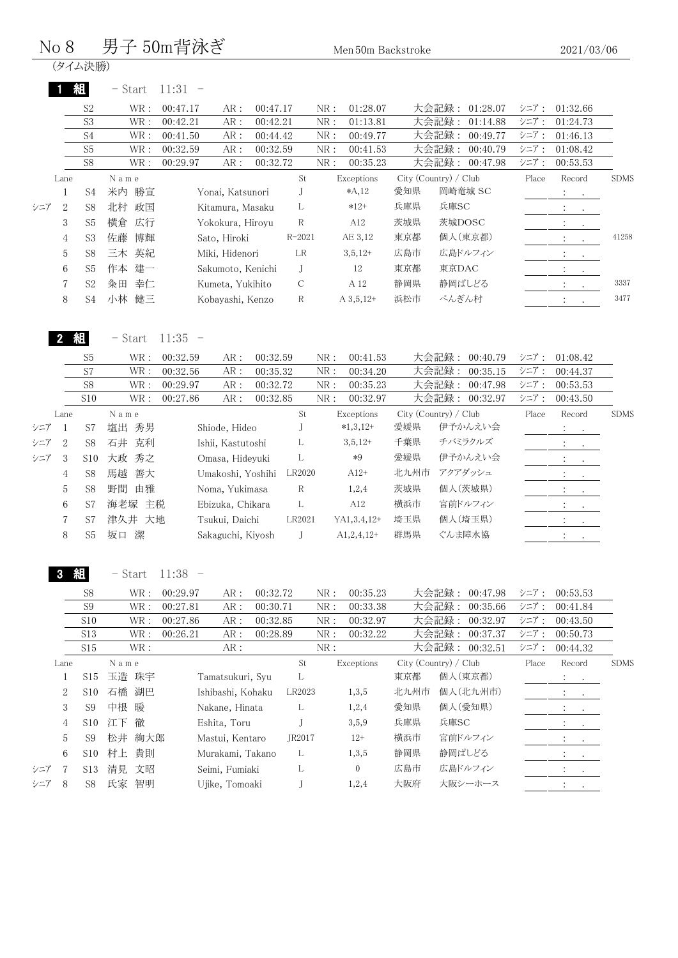### $No 8$  男子  $50m$ 背泳ぎ  $M_{en,50m}$  Backstroke

|     |                |                                        | ╱┙                           |                                                         |                                  |               |                   | ivich ovih Dacksti okc           |                       |                         |                                  |                      | 4041/00/00                                            |             |
|-----|----------------|----------------------------------------|------------------------------|---------------------------------------------------------|----------------------------------|---------------|-------------------|----------------------------------|-----------------------|-------------------------|----------------------------------|----------------------|-------------------------------------------------------|-------------|
|     |                | (タイム決勝)                                |                              |                                                         |                                  |               |                   |                                  |                       |                         |                                  |                      |                                                       |             |
|     |                | 組                                      | $-$ Start                    | $11:31 -$                                               |                                  |               |                   |                                  |                       |                         |                                  |                      |                                                       |             |
|     |                | S <sub>2</sub>                         | WR :                         | 00:47.17<br>$AR:$                                       | 00:47.17                         |               | NR:               | 01:28.07                         |                       |                         | 大会記録: 01:28.07                   | シニア:                 | 01:32.66                                              |             |
|     |                | S <sub>3</sub>                         | WR:                          | 00:42.21<br>${\sf AR}$ :                                | 00:42.21                         |               | NR:               | 01:13.81                         |                       | 大会記録:                   | 01:14.88                         | シニア:                 | 01:24.73                                              |             |
|     |                | S4                                     | WR :                         | 00:41.50<br>AR:                                         | 00:44.42                         |               | NR:               | 00:49.77                         |                       | 大会記録:                   | 00:49.77                         | シニア:                 | 01:46.13                                              |             |
|     |                | S <sub>5</sub>                         | $\operatorname{WR}$ :        | 00:32.59<br>AR:                                         | 00:32.59                         |               | NR:               | 00:41.53                         |                       | 大会記録:                   | 00:40.79                         | シニア:                 | 01:08.42                                              |             |
|     |                | S <sub>8</sub>                         | $\operatorname{WR}$ :        | ${\sf AR}$ :<br>00:29.97                                | 00:32.72                         |               | NR:               | 00:35.23                         |                       | 大会記録:                   | 00:47.98                         | シニア:                 | 00:53.53                                              |             |
|     | Lane           |                                        | N a m e                      |                                                         |                                  | St            |                   | Exceptions                       | City (Country) / Club |                         |                                  | Place                | Record                                                | <b>SDMS</b> |
|     | $\mathbf{1}$   | S4                                     | 米内 勝宣                        | Yonai, Katsunori                                        |                                  | J             |                   | $*A, 12$                         | 愛知県                   |                         | 岡崎竜城 SC                          |                      | $\ddot{\phantom{a}}$<br>$\cdot$                       |             |
| シニア | $\overline{2}$ | S8                                     | 北村 政国                        | Kitamura, Masaku                                        |                                  | L             |                   | $*12+$                           | 兵庫県                   | 兵庫SC                    |                                  |                      | $\ddot{\phantom{a}}$<br>$\sim 10^{-10}$               |             |
|     | 3              | S <sub>5</sub>                         | 横倉<br>広行                     | Yokokura, Hiroyu                                        |                                  | ${\mathbf R}$ |                   | A12                              | 茨城県                   | 茨城DOSC                  |                                  |                      | $\ddot{\ddot{}}$ .<br>$\bullet$                       |             |
|     | 4              | S3                                     | 佐藤<br>博輝                     | Sato, Hiroki                                            |                                  | $R - 2021$    |                   | AE 3,12                          | 東京都                   |                         | 個人(東京都)                          |                      | $\pm$<br>$\bullet$                                    | 41258       |
|     | 5              | S8                                     | 三木 英紀                        | Miki, Hidenori                                          |                                  | LR            |                   | $3,5,12+$                        | 広島市                   |                         | 広島ドルフィン                          |                      | $\mathbb{C}^{\times}$<br>$\sim 10^{-11}$              |             |
|     | 6              | S <sub>5</sub>                         | 作本 建一                        | Sakumoto, Kenichi                                       |                                  | J             |                   | $12\,$                           | 東京都                   | 東京DAC                   |                                  |                      | $1\leq i\leq n$                                       |             |
|     | $\sqrt{2}$     | S <sub>2</sub>                         | 粂田 幸仁                        | Kumeta, Yukihito                                        |                                  | $\mathcal{C}$ |                   | A 12                             | 静岡県                   | 静岡ぱしどる                  |                                  |                      | $\ddot{\ddot{}}$ .                                    | 3337        |
|     | 8              | S4                                     | 小林 健三                        | Kobayashi, Kenzo                                        |                                  | R             |                   | $A\,3,5,12+$                     | 浜松市                   | ぺんぎん村                   |                                  |                      | $\ddot{\ddot{}}$ .<br>$\ddot{\phantom{0}}$            | 3477        |
|     |                | S <sub>5</sub><br>S7<br>S <sub>8</sub> | $\text{WR}$ :<br>WR :<br>WR: | 00:32.59<br>AR:<br>00:32.56<br>AR:<br>00:29.97<br>$AR:$ | 00:32.59<br>00:35.32<br>00:32.72 |               | NR:<br>NR:<br>NR: | 00:41.53<br>00:34.20<br>00:35.23 |                       | 大会記録:<br>大会記録:<br>大会記録: | 00:40.79<br>00:35.15<br>00:47.98 | シニア:<br>シニア:<br>シニア: | 01:08.42<br>00:44.37<br>00:53.53                      |             |
|     |                | S10                                    | $\operatorname{WR}$ :        | 00:27.86<br>AR:                                         | 00:32.85                         |               | NR:               | 00:32.97                         |                       |                         | 大会記録: 00:32.97                   | シニア:                 | 00:43.50                                              |             |
|     | Lane           |                                        | N a m e                      |                                                         |                                  | St            |                   | Exceptions                       | City (Country) / Club |                         |                                  | Place                | Record                                                | <b>SDMS</b> |
| シニア | $\mathbf{1}$   | S7                                     | 塩出 秀男                        | Shiode, Hideo                                           |                                  | J             |                   | $*1,3,12+$                       | 愛媛県                   |                         | 伊予かんえい会                          |                      | $\mathbb{Z}^n \times \mathbb{Z}^n$                    |             |
| シニア | $\overline{2}$ | S <sub>8</sub>                         | 石井 克利                        | Ishii, Kastutoshi                                       |                                  | L             |                   | $3,5,12+$                        | 千葉県                   |                         | チバミラクルズ                          |                      | $\mathbb{Z}^{\mathbb{Z}^n}$<br>$\cdot$                |             |
| シニア | 3              | S10                                    | 大政 秀之                        | Omasa, Hideyuki                                         |                                  | L             |                   | $*9$                             | 愛媛県                   |                         | 伊予かんえい会                          |                      | $\ddot{\phantom{a}}$<br>$\blacksquare$                |             |
|     | $\overline{4}$ | S8                                     | 馬越<br>善大                     | Umakoshi, Yoshihi                                       |                                  | LR2020        |                   | $A12+$                           | 北九州市                  | アクアダッシュ                 |                                  |                      | $\ddot{\cdot}$<br>$\ddot{\phantom{a}}$                |             |
|     | $\mathbf 5$    | S8                                     | 野間 由雅                        | Noma, Yukimasa                                          |                                  | $\,$ R        |                   | 1,2,4                            | 茨城県                   |                         | 個人(茨城県)                          |                      | $\mathcal{I}^{\mathcal{I}}$ .<br>$\ddot{\phantom{a}}$ |             |
|     | 6              | S7                                     | 海老塚 主税                       | Ebizuka, Chikara                                        |                                  | L             |                   | A12                              | 横浜市                   |                         | 宮前ドルフィン                          |                      | $\ddot{\cdot}$<br>$\sim$                              |             |
|     | $\sqrt{7}$     | S7                                     | 津久井 大地                       | Tsukui, Daichi                                          |                                  | LR2021        |                   | YA1,3.4,12+                      | 埼玉県                   |                         | 個人(埼玉県)                          |                      | $\ddot{\phantom{a}}$<br>$\sim$                        |             |
|     | 8              | S <sub>5</sub>                         | 坂口 潔                         | Sakaguchi, Kiyosh                                       |                                  | J             |                   | $A1,2,4,12+$                     | 群馬県                   | ぐんま障水協                  |                                  |                      | $\mathcal{I}^{\mathcal{I}}$ .<br>$\sim$ $\sim$        |             |
|     | 3 組            |                                        | $-$ Start                    | 11:38<br>$\overline{\phantom{0}}$                       |                                  |               |                   |                                  |                       |                         |                                  |                      |                                                       |             |
|     |                | S8                                     | WR :                         | 00:29.97<br>AR:                                         | 00:32.72                         |               | NR:               | 00:35.23                         |                       | 大会記録:                   | 00:47.98                         | シニア:                 | 00:53.53                                              |             |
|     |                | S <sub>9</sub>                         | $\text{WR}$ :                | 00:27.81<br>AR:                                         | 00:30.71                         |               | NR:               | 00:33.38                         |                       | 大会記録:                   | 00:35.66                         | シニア:                 | 00:41.84                                              |             |
|     |                | S10                                    | WR :                         | 00:27.86<br>AR:                                         | 00:32.85                         |               | NR:               | 00:32.97                         |                       | 大会記録:                   | 00:32.97                         | シニア:                 | 00:43.50                                              |             |
|     |                | S13                                    | WR :                         | 00:26.21<br>AR:                                         | 00:28.89                         |               | NR:               | 00:32.22                         |                       | 大会記録:                   | 00:37.37                         | シニア:                 | 00:50.73                                              |             |
|     |                | C1E                                    | $\overline{\text{M/D}}$ .    | $AD$ .                                                  |                                  |               | ND.               |                                  |                       |                         | 十个封得, 00:29 51                   | ミルマー                 | 00.44.99                                              |             |

|             | ◡▴◡             | <b>vvit.</b> | 0.40.41<br>$\cdots$<br>00.40.0 <i>0</i> |        | $\cdots$<br>00.04.44 |      | ノヘムコロジハー<br>00.01.01  |       | 00.00.10  |             |
|-------------|-----------------|--------------|-----------------------------------------|--------|----------------------|------|-----------------------|-------|-----------|-------------|
|             | S15             | WR:          | AR:                                     |        | NR:                  |      | 大会記録:<br>00:32.51     | シニア:  | 00:44.32  |             |
| Lane        |                 | Name         |                                         | St     | Exceptions           |      | City (Country) / Club | Place | Record    | <b>SDMS</b> |
|             | S15             | 玉造 珠宇        | Tamatsukuri, Syu                        | L      |                      | 東京都  | 個人(東京都)               |       | $\sim$    |             |
| 2           | S <sub>10</sub> | 湖巴<br>石橋     | Ishibashi, Kohaku                       | LR2023 | 1,3,5                | 北九州市 | 個人(北九州市)              |       | $\cdot$   |             |
| 3           | S9              | 中根 暖         | Nakane, Hinata                          | L      | 1,2,4                | 愛知県  | 個人(愛知県)               |       | $\bullet$ |             |
| 4           | S <sub>10</sub> | 徹<br>江下      | Eshita, Toru                            |        | 3,5,9                | 兵庫県  | 兵庫SC                  |       |           |             |
| $5^{\circ}$ | S9              | 松井 絢大郎       | Mastui, Kentaro                         | JR2017 | $12+$                | 横浜市  | 宮前ドルフィン               |       | $\sim$    |             |
| 6           | S10             | 村上 貴則        | Murakami, Takano                        | L.     | 1,3,5                | 静岡県  | 静岡ぱしどる                |       |           |             |
| シニア         | S <sub>13</sub> | 清見 文昭        | Seimi, Fumiaki                          |        | $\mathbf{0}$         | 広島市  | 広島ドルフィン               |       | $\cdot$   |             |
| シニア<br>8    | S8              | 氏家<br>智明     | Ujike, Tomoaki                          |        | 1,2,4                | 大阪府  | 大阪シーホース               |       |           |             |
|             |                 |              |                                         |        |                      |      |                       |       |           |             |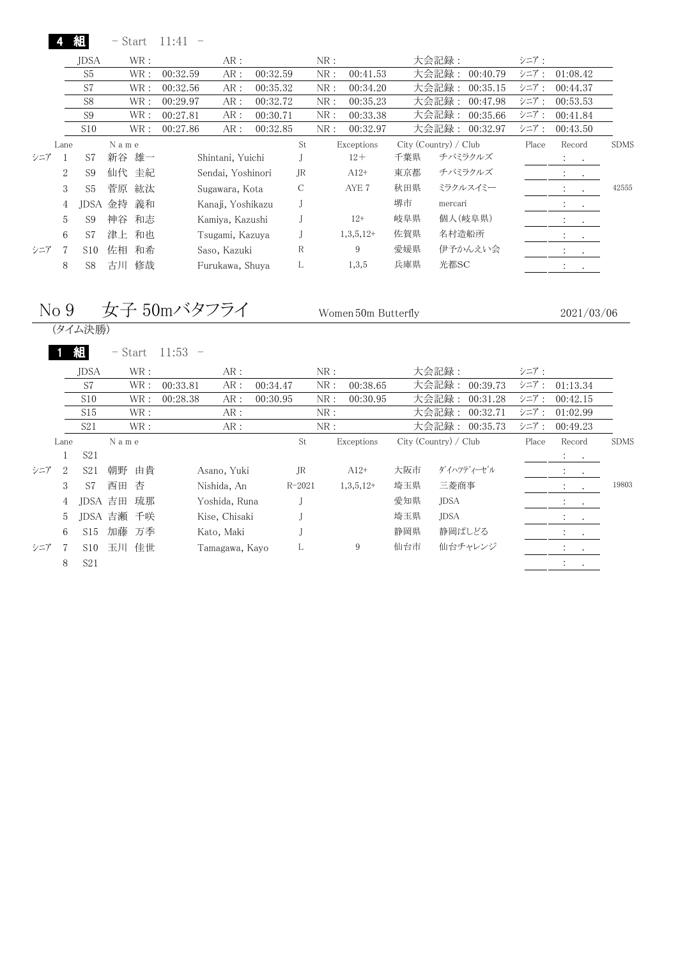|          |                |                 | - Start |       | 11:41    |                   |          |     |     |             |     |                       |          |       |                                          |           |             |
|----------|----------------|-----------------|---------|-------|----------|-------------------|----------|-----|-----|-------------|-----|-----------------------|----------|-------|------------------------------------------|-----------|-------------|
|          |                | JDSA            |         | WR:   |          | AR :              |          |     | NR: |             |     | 大会記録:                 |          | シニア:  |                                          |           |             |
|          |                | S <sub>5</sub>  |         | WR:   | 00:32.59 | AR :              | 00:32.59 |     | NR: | 00:41.53    |     | 大会記録                  | 00:40.79 | シニア:  | 01:08.42                                 |           |             |
|          |                | S7              |         | WR :  | 00:32.56 | AR :              | 00:35.32 |     | NR: | 00:34.20    |     | 大会記録                  | 00:35.15 | シニア:  | 00:44.37                                 |           |             |
|          |                | S <sub>8</sub>  |         | WR :  | 00:29.97 | AR :              | 00:32.72 |     | NR: | 00:35.23    |     | 大会記録                  | 00:47.98 | シニア:  | 00:53.53                                 |           |             |
|          |                | S <sub>9</sub>  |         | WR :  | 00:27.81 | AR:               | 00:30.71 |     | NR: | 00:33.38    |     | 大会記録:                 | 00:35.66 | シニア:  | 00:41.84                                 |           |             |
|          |                | S10             |         | WR:   | 00:27.86 | AR:               | 00:32.85 |     | NR: | 00:32.97    |     | 大会記録:                 | 00:32.97 | シニア:  | 00:43.50                                 |           |             |
| Lane     |                |                 | N a m e |       |          |                   |          | St  |     | Exceptions  |     | City (Country) / Club |          | Place | Record                                   |           | <b>SDMS</b> |
| シニア      |                | S7              | 新谷      | 雄一    |          | Shintani, Yuichi  |          |     |     | $12+$       | 千葉県 | チバミラクルズ               |          |       | <b>Allen Artists</b>                     |           |             |
|          | $\overline{2}$ | S <sub>9</sub>  |         | 仙代 圭紀 |          | Sendai, Yoshinori |          | JR. |     | $A12+$      | 東京都 | チバミラクルズ               |          |       | $\bullet$<br>$\bullet$                   |           |             |
|          | 3              | S <sub>5</sub>  | 菅原      | 紘汰    |          | Sugawara, Kota    |          | C   |     | AYE 7       | 秋田県 | ミラクルスイミー              |          |       |                                          |           | 42555       |
|          | 4              | <b>IDSA</b>     | 金持      | 義和    |          | Kanaji, Yoshikazu |          |     |     |             | 堺市  | mercari               |          |       | $\ddot{\phantom{a}}$<br>$\sim$ 100 $\pm$ |           |             |
|          | 5              | S <sub>9</sub>  | 神谷      | 和志    |          | Kamiya, Kazushi   |          |     |     | $12+$       | 岐阜県 | 個人(岐阜県)               |          |       | $\cdot$                                  | $\bullet$ |             |
|          | 6              | S7              | 津上      | 和也    |          | Tsugami, Kazuya   |          |     |     | $1,3,5,12+$ | 佐賀県 | 名村造船所                 |          |       | $\ddot{\phantom{0}}$                     | $\bullet$ |             |
| 7<br>シニア |                | S <sub>10</sub> | 佐相      | 和希    |          | Saso, Kazuki      |          | R   |     | 9           | 愛媛県 |                       | 伊予かんえい会  |       | $\bullet$<br>$\bullet$                   |           |             |
| 8        |                | S <sub>8</sub>  | 古川      | 修哉    |          | Furukawa, Shuya   |          | L   |     | 1,3,5       | 兵庫県 | 光都SC                  |          |       | $\ddot{\phantom{a}}$<br>$\bullet$        |           |             |
|          |                |                 |         |       |          |                   |          |     |     |             |     |                       |          |       |                                          |           |             |

#### No 9 女子 50mバタフライ Women 50m Butterfly

2021/03/06

(タイム決勝)

|     |      |                 | – Start    |      | 11:53           |          |            |     |             |     |                       |       |                                                                     |             |
|-----|------|-----------------|------------|------|-----------------|----------|------------|-----|-------------|-----|-----------------------|-------|---------------------------------------------------------------------|-------------|
|     |      | <b>JDSA</b>     |            | WR : | AR:             |          |            | NR: |             |     | 大会記録:                 | シニア:  |                                                                     |             |
|     |      | S7              |            | WR:  | 00:33.81<br>AR: | 00:34.47 |            | NR: | 00:38.65    |     | 大会記録:<br>00:39.73     | シニア:  | 01:13.34                                                            |             |
|     |      | S <sub>10</sub> |            | WR : | 00:28.38<br>AR: | 00:30.95 |            | NR: | 00:30.95    |     | 大会記録:<br>00:31.28     | シニア:  | 00:42.15                                                            |             |
|     |      | S <sub>15</sub> |            | WR : | AR:             |          |            | NR: |             |     | 大会記録:<br>00:32.71     | シニア:  | 01:02.99                                                            |             |
|     |      | S <sub>21</sub> |            | WR : | AR:             |          |            | NR: |             |     | 大会記録: 00:35.73        | シニア:  | 00:49.23                                                            |             |
|     | Lane |                 | Name       |      |                 |          | St         |     | Exceptions  |     | City (Country) / Club | Place | Record                                                              | <b>SDMS</b> |
|     |      | S <sub>21</sub> |            |      |                 |          |            |     |             |     |                       |       | $\frac{1}{2}$ , $\frac{1}{2}$                                       |             |
| シニア | 2    | S <sub>21</sub> | 朝野         | 由貴   | Asano, Yuki     |          | JR         |     | $A12+$      | 大阪市 | ダイハツディーゼル             |       | $1 - 1$                                                             |             |
|     | 3    | S7              | 西田         | 杏    | Nishida, An     |          | $R - 2021$ |     | $1,3,5,12+$ | 埼玉県 | 三菱商事                  |       | $\sim$                                                              | 19803       |
|     | 4    | JDSA 吉田         |            | 琉那   | Yoshida, Runa   |          |            |     |             | 愛知県 | <b>JDSA</b>           |       | 2.0011                                                              |             |
|     | 5    |                 | JDSA 吉瀬 千咲 |      | Kise, Chisaki   |          |            |     |             | 埼玉県 | JDSA                  |       | $\mathbb{E}[\mathbf{z}^{\top} \mathbf{z}^{\top} \mathbf{z}^{\top}]$ |             |
|     | 6    | S15             | 加藤 万季      |      | Kato, Maki      |          |            |     |             | 静岡県 | 静岡ぱしどる                |       | 2.0011                                                              |             |
| シニア | - 7  | S10             | 玉川         | 佳世   | Tamagawa, Kayo  |          | L          |     | 9           | 仙台市 | 仙台チャレンジ               |       | $\mathcal{L} = \mathcal{L}$                                         |             |
|     | 8    | S <sub>21</sub> |            |      |                 |          |            |     |             |     |                       |       | $1 - 1$                                                             |             |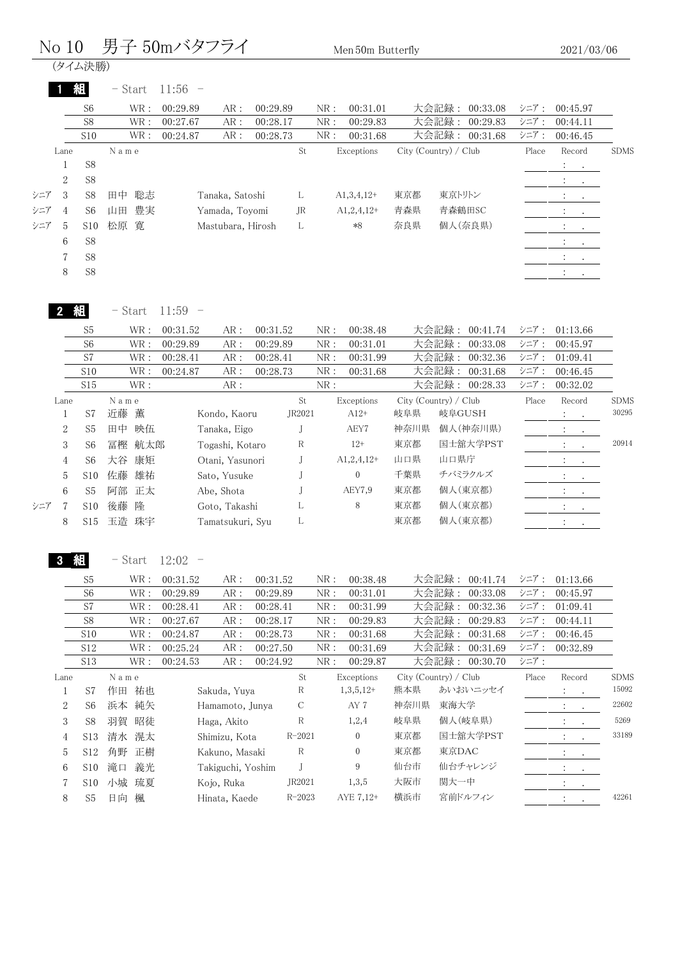|     | No 10          |                                  |                                                | 男子 50mバタフライ                                 |                      |              | Men 50m Butterfly    |      |                                        |              | 2021/03/06                              |             |
|-----|----------------|----------------------------------|------------------------------------------------|---------------------------------------------|----------------------|--------------|----------------------|------|----------------------------------------|--------------|-----------------------------------------|-------------|
|     |                | (タイム決勝)                          |                                                |                                             |                      |              |                      |      |                                        |              |                                         |             |
|     |                | 組                                | $-$ Start                                      | $11:56 -$                                   |                      |              |                      |      |                                        |              |                                         |             |
|     |                | S <sub>6</sub>                   | $\operatorname{WR}$ :                          | 00:29.89<br>AR:                             | 00:29.89             | NR:          | 00:31.01             |      | 大会記録:<br>00:33.08                      | シニア:         | 00:45.97                                |             |
|     |                | S8                               | WR:                                            | 00:27.67<br>$\text{AR}$ :                   | 00:28.17             | ${\rm NR}$ : | 00:29.83             |      | 大会記録:<br>00:29.83                      | シニア:         | 00:44.11                                |             |
|     |                | S10                              | WR:                                            | ${\sf AR}$ :<br>00:24.87                    | 00:28.73             | NR:          | 00:31.68             |      | 大会記録:<br>00:31.68                      | シニア:         | 00:46.45                                |             |
|     | Lane           |                                  | Name                                           |                                             | St                   |              | Exceptions           |      | City (Country) / Club                  | Place        | Record                                  | <b>SDMS</b> |
|     | 1              | ${\rm S}8$                       |                                                |                                             |                      |              |                      |      |                                        |              | $\mathbb{L}$<br>$\sim 100$ km s $^{-1}$ |             |
|     | $\sqrt{2}$     | S8                               |                                                |                                             |                      |              |                      |      |                                        |              | $\ddot{\phantom{a}}$<br>$\bullet$       |             |
| シニア | 3              | S8                               | 聡志<br>田中                                       | Tanaka, Satoshi                             | L                    |              | $A1,3,4,12+$         | 東京都  | 東京トリトン                                 |              | $\ddot{\cdot}$<br>$\bullet$             |             |
| シニア | $\overline{4}$ | S <sub>6</sub>                   | 豊実<br>山田                                       | Yamada, Toyomi                              | JR                   |              | $A1,2,4,12+$         | 青森県  | 青森鶴田SC                                 |              | $\ddot{\phantom{a}}$<br>$\bullet$       |             |
| シニア | 5              | S10                              | 寛<br>松原                                        | Mastubara, Hirosh                           | L                    |              | $*8$                 | 奈良県  | 個人(奈良県)                                |              |                                         |             |
|     | 6              | ${\rm S}8$                       |                                                |                                             |                      |              |                      |      |                                        |              |                                         |             |
|     | $\sqrt{7}$     | S8                               |                                                |                                             |                      |              |                      |      |                                        |              | $\mathcal{X} \subset \mathcal{X}$ .     |             |
|     | 8              | S8                               |                                                |                                             |                      |              |                      |      |                                        |              | $\mathcal{I}^{\mathcal{I}}$ .           |             |
|     |                |                                  | $-$ Start                                      | $11:59 -$                                   |                      |              |                      |      |                                        |              |                                         |             |
|     |                | 組                                |                                                |                                             |                      |              |                      |      |                                        |              |                                         |             |
|     |                | S <sub>5</sub><br>S <sub>6</sub> | $\operatorname{WR}$ :<br>$\operatorname{WR}$ : | 00:31.52<br>AR:<br>00:29.89<br>${\sf AR}$ : | 00:31.52<br>00:29.89 | NR:<br>NR:   | 00:38.48<br>00:31.01 |      | 大会記録:<br>00:41.74<br>大会記録:<br>00:33.08 | シニア:<br>シニア: | 01:13.66<br>00:45.97                    |             |
|     |                | S7                               | $\operatorname{WR}$ :                          | 00:28.41<br>${\sf AR}$ :                    | 00:28.41             | NR:          | 00:31.99             |      | 大会記録:<br>00:32.36                      | シニア:         | 01:09.41                                |             |
|     |                | S10                              | $\operatorname{WR}$ :                          | 00:24.87<br>${\sf AR}$ :                    | 00:28.73             | NR:          | 00:31.68             |      | 大会記録:<br>00:31.68                      | シニア:         | 00:46.45                                |             |
|     |                | S15                              | WR:                                            | $\text{AR}$ :                               |                      | NR:          |                      |      | 大会記録: 00:28.33                         | シニア:         | 00:32.02                                |             |
|     | Lane           |                                  | N a m e                                        |                                             | St                   |              | Exceptions           |      | City (Country) / Club                  | Place        | Record                                  | <b>SDMS</b> |
|     | $\mathbf{1}$   | S7                               | 近藤<br>薫                                        | Kondo, Kaoru                                | JR2021               |              | $A12+$               | 岐阜県  | 岐阜GUSH                                 |              | $\ddot{\cdot}$<br>$\bullet$             | 30295       |
|     | $\mathbf{2}$   | S <sub>5</sub>                   | 田中<br>映伍                                       | Tanaka, Eigo                                | J                    |              | AEY7                 | 神奈川県 | 個人(神奈川県)                               |              |                                         |             |
|     | 3              | S <sub>6</sub>                   | 冨樫<br>航太郎                                      | Togashi, Kotaro                             | R                    |              | $12+$                | 東京都  | 国士舘大学PST                               |              | $\blacksquare$                          | 20914       |
|     | $\overline{4}$ | S <sub>6</sub>                   | 大谷 康矩                                          | Otani, Yasunori                             | J                    |              | $A1, 2, 4, 12+$      | 山口県  | 山口県庁                                   |              | $\ddot{\cdot}$                          |             |
|     | 5              | S10                              | 佐藤<br>雄祐                                       | Sato, Yusuke                                | J                    |              | $\boldsymbol{0}$     | 千葉県  | チバミラクルズ                                |              | $\mathcal{L}^{\mathcal{L}}$<br>$\cdot$  |             |
|     | $\,6$          | S <sub>5</sub>                   | 阿部 正太                                          | Abe, Shota                                  | J                    |              | AEY7,9               | 東京都  | 個人(東京都)                                |              |                                         |             |
| シニア | 7              | S10                              | 隆<br>後藤                                        | Goto, Takashi                               | L                    |              | 8                    | 東京都  | 個人(東京都)                                |              |                                         |             |
|     | 8              | S15                              | 玉造 珠宇                                          | Tamatsukuri, Syu                            | L                    |              |                      | 東京都  | 個人(東京都)                                |              | $\ddot{\phantom{a}}$<br>$\bullet$       |             |
|     |                | 組                                | - Start                                        | $12:02 -$                                   |                      |              |                      |      |                                        |              |                                         |             |
|     |                |                                  |                                                |                                             |                      |              |                      |      |                                        |              |                                         |             |
|     |                | S <sub>5</sub><br>S <sub>6</sub> | $\operatorname{WR}$ :<br>WR:                   | 00:31.52<br>AR:<br>00:29.89<br>${\sf AR}$ : | 00:31.52<br>00:29.89 | NR:<br>NR:   | 00:38.48<br>00:31.01 |      | 大会記録:<br>00:41.74<br>大会記録:<br>00:33.08 | シニア:<br>シニア: | 01:13.66<br>00:45.97                    |             |
|     |                | S7                               | WR :                                           | 00:28.41<br>${\sf AR}$ :                    | 00:28.41             | NR:          | 00:31.99             |      | 大会記録:<br>00:32.36                      | シニア:         | 01:09.41                                |             |
|     |                | S8                               | $\operatorname{WR}$ :                          | 00:27.67<br>AR:                             | 00:28.17             | NR:          | 00:29.83             |      | 大会記録:<br>00:29.83                      | シニア:         | 00:44.11                                |             |
|     |                | S10                              | $\operatorname{WR}$ :                          | 00:24.87<br>AR:                             | 00:28.73             | NR:          | 00:31.68             |      | 大会記録:<br>00:31.68                      | シニア:         | 00:46.45                                |             |
|     |                | S12                              | $\operatorname{WR}$ :                          | 00:25.24<br>${\sf AR}$ :                    | 00:27.50             | NR:          | 00:31.69             |      | 大会記録:<br>00:31.69                      | シニア:         | 00:32.89                                |             |
|     |                | S13                              | WR:                                            | 00:24.53<br>AR:                             | 00:24.92             | ${\rm NR}$ : | 00:29.87             |      | 大会記録: 00:30.70                         | シニア:         |                                         |             |
|     | Lane           |                                  | N a m e                                        |                                             | $\operatorname{St}$  |              | Exceptions           |      | City (Country) / Club                  | Place        | Record                                  | <b>SDMS</b> |
|     | $\mathbf{1}$   | S7                               | 作田 祐也                                          | Sakuda, Yuya                                | R                    |              | $1,3,5,12+$          | 熊本県  | あいおいニッセイ                               |              | $\cdot$                                 | 15092       |
|     | $\sqrt{2}$     | S <sub>6</sub>                   | 浜本 純矢                                          | Hamamoto, Junya                             | C                    |              | AY 7                 | 神奈川県 | 東海大学                                   |              | $\ddot{\cdot}$                          | 22602       |
|     | 3              | S8                               | 羽賀 昭徒                                          | Haga, Akito                                 | R                    |              | 1,2,4                | 岐阜県  | 個人(岐阜県)                                |              | $\ddot{\cdot}$<br>$\bullet$             | 5269        |
|     | $\overline{4}$ | S13                              | 清水 滉太                                          | Shimizu, Kota                               | $R - 2021$           |              | $\boldsymbol{0}$     | 東京都  | 国士舘大学PST                               |              |                                         | 33189       |
|     | 5              | S12                              | 角野 正樹                                          | Kakuno, Masaki                              | $\mathbf R$          |              | $\boldsymbol{0}$     | 東京都  | 東京DAC                                  |              |                                         |             |
|     | 6              | S10                              | 滝口<br>義光                                       | Takiguchi, Yoshim                           | J                    |              | 9                    | 仙台市  | 仙台チャレンジ                                |              |                                         |             |
|     | 7              | S10                              | 小城 琉夏                                          | Kojo, Ruka                                  | JR2021               |              | 1,3,5                | 大阪市  | 関大一中                                   |              | $\ddot{\cdot}$<br>$\bullet$             |             |
|     |                |                                  | 日向 楓                                           |                                             |                      |              |                      |      | 宮前ドルフィン                                |              |                                         | 42261       |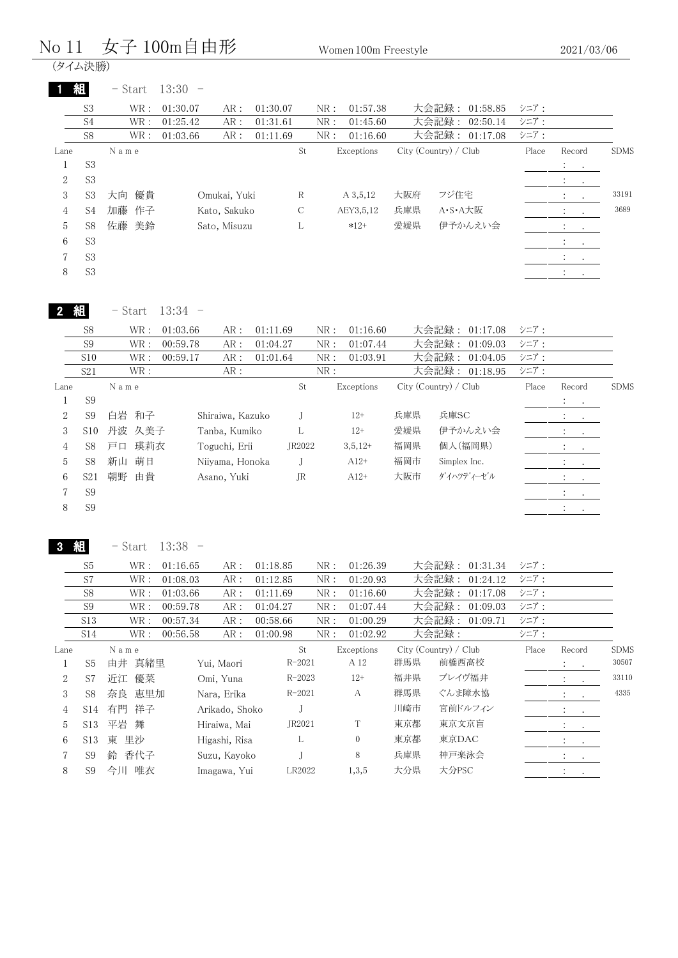#### No 11 女子 100m自由形 Women 100m Freestyle

(タイム決勝)

|                | 組              | $-$ Start | 13:30    |              |          |     |             |     |                       |       |                                                             |             |
|----------------|----------------|-----------|----------|--------------|----------|-----|-------------|-----|-----------------------|-------|-------------------------------------------------------------|-------------|
|                | S <sub>3</sub> | WR :      | 01:30.07 | AR:          | 01:30.07 | NR: | 01:57.38    |     | 大会記録: 01:58.85        | シニア:  |                                                             |             |
|                | S <sub>4</sub> | WR :      | 01:25.42 | AR:          | 01:31.61 | NR: | 01:45.60    |     | 大会記録:<br>02:50.14     | シニア:  |                                                             |             |
|                | S8             | WR :      | 01:03.66 | AR:          | 01:11.69 | NR: | 01:16.60    |     | 大会記録: 01:17.08        | シニア:  |                                                             |             |
| Lane           |                | Name      |          |              | St       |     | Exceptions  |     | City (Country) / Club | Place | Record                                                      | <b>SDMS</b> |
|                | S <sub>3</sub> |           |          |              |          |     |             |     |                       |       | $\mathcal{L}^{\text{max}}$                                  |             |
| 2              | S <sub>3</sub> |           |          |              |          |     |             |     |                       |       | $\mathcal{L}_{\rm{max}}$ .                                  |             |
| 3              | S3             | 優貴<br>大向  |          | Omukai, Yuki | R        |     | $A\,3,5,12$ | 大阪府 | フジ住宅                  |       | $\mathcal{I}^{\mathcal{I}}$ and $\mathcal{I}^{\mathcal{I}}$ | 33191       |
| $\overline{4}$ | S4             | 加藤<br>作子  |          | Kato, Sakuko | C        |     | AEY3,5,12   | 兵庫県 | A·S·A大阪               |       | $\mathcal{L}_{\text{max}}$ and $\mathcal{L}_{\text{max}}$   | 3689        |
| 5              | S8             | 佐藤<br>美鈴  |          | Sato, Misuzu | L        |     | $*12+$      | 愛媛県 | 伊予かんえい会               |       | <b>All Contracts</b>                                        |             |
| 6              | S <sub>3</sub> |           |          |              |          |     |             |     |                       |       | <b>All Contracts</b>                                        |             |
|                | S <sub>3</sub> |           |          |              |          |     |             |     |                       |       | $\ddot{\cdot}$<br><b>Contract Contract</b>                  |             |
| 8              | S <sub>3</sub> |           |          |              |          |     |             |     |                       |       | $\bullet$                                                   |             |
|                |                |           |          |              |          |     |             |     |                       |       |                                                             |             |

- Start 13:34 -

|      | S <sub>8</sub>  |      | WR :   | 01:03.66 | AR:              | 01:11.69 |        | NR: | 01:16.60   |     | 大会記録: 01:17.08        | シニア:  |                                          |             |
|------|-----------------|------|--------|----------|------------------|----------|--------|-----|------------|-----|-----------------------|-------|------------------------------------------|-------------|
|      | S <sub>9</sub>  |      | WR:    | 00:59.78 | AR:              | 01:04.27 |        | NR: | 01:07.44   |     | 大会記録: 01:09.03        | シニア:  |                                          |             |
|      | S10             |      | WR:    | 00:59.17 | AR:              | 01:01.64 |        | NR: | 01:03.91   |     | 大会記録: 01:04.05        | シニア:  |                                          |             |
|      | S21             |      | WR:    |          | AR:              |          |        | NR: |            |     | 大会記録: 01:18.95        | シニア:  |                                          |             |
| Lane |                 | Name |        |          |                  |          | St     |     | Exceptions |     | City (Country) / Club | Place | Record                                   | <b>SDMS</b> |
|      | S <sub>9</sub>  |      |        |          |                  |          |        |     |            |     |                       |       | $\mathcal{L}^{\text{max}}$ .             |             |
| 2    | S <sub>9</sub>  |      | 白岩 和子  |          | Shiraiwa, Kazuko |          |        |     | $12+$      | 兵庫県 | 兵庫SC                  |       | <b>All Contracts</b>                     |             |
| 3    | S10             |      | 丹波 久美子 |          | Tanba, Kumiko    |          |        |     | $12+$      | 愛媛県 | 伊予かんえい会               |       | <b>All Contracts</b>                     |             |
| 4    | S8              |      | 戸口 瑛莉衣 |          | Toguchi, Erii    |          | JR2022 |     | $3,5,12+$  | 福岡県 | 個人(福岡県)               |       | <b>Contractor</b>                        |             |
| 5    | S8              |      | 新山 萌日  |          | Niivama, Honoka  |          |        |     | $A12+$     | 福岡市 | Simplex Inc.          |       | <b>Report Follows</b>                    |             |
| 6    | S <sub>21</sub> | 朝野   | 由貴     |          | Asano, Yuki      |          | JR     |     | $A12+$     | 大阪市 | ダイハツディーゼル             |       | All Controllers                          |             |
|      | S <sub>9</sub>  |      |        |          |                  |          |        |     |            |     |                       |       | $\mathbf{r} = \mathbf{r} + \mathbf{r}$ . |             |
| 8    | S <sub>9</sub>  |      |        |          |                  |          |        |     |            |     |                       |       | $\ddot{\phantom{1}}$<br>$\bullet$        |             |
|      |                 |      |        |          |                  |          |        |     |            |     |                       |       |                                          |             |

3 組

- Start 13:38 -

|      | S <sub>5</sub>  | WR:      | 01:16.65 | AR:            | 01:18.85   | NR: | 01:26.39   |     | 大会記録:<br>01:31.34     | シニア:  |                                                                                         |             |
|------|-----------------|----------|----------|----------------|------------|-----|------------|-----|-----------------------|-------|-----------------------------------------------------------------------------------------|-------------|
|      | S7              | WR:      | 01:08.03 | AR:            | 01:12.85   | NR: | 01:20.93   |     | 大会記録: 01:24.12        | シニア:  |                                                                                         |             |
|      | S8              | WR :     | 01:03.66 | AR:            | 01:11.69   | NR: | 01:16.60   |     | 大会記録:<br>01:17.08     | シニア:  |                                                                                         |             |
|      | S <sub>9</sub>  | WR :     | 00:59.78 | AR :           | 01:04.27   | NR: | 01:07.44   |     | 大会記録:<br>01:09.03     | シニア:  |                                                                                         |             |
|      | S <sub>13</sub> | WR :     | 00:57.34 | AR:            | 00:58.66   | NR: | 01:00.29   |     | 大会記録: 01:09.71        | シニア:  |                                                                                         |             |
|      | S14             | WR:      | 00:56.58 | AR:            | 01:00.98   | NR: | 01:02.92   |     | 大会記録:                 | シニア:  |                                                                                         |             |
| Lane |                 | Name     |          |                | St         |     | Exceptions |     | City (Country) / Club | Place | Record                                                                                  | <b>SDMS</b> |
|      | S <sub>5</sub>  | 由井 真緒里   |          | Yui, Maori     | $R - 2021$ |     | A 12       | 群馬県 | 前橋西高校                 |       | $\ddot{\phantom{a}}$<br>$\sim 100$                                                      | 30507       |
| 2    | S7              | 近江 優菜    |          | Omi, Yuna      | $R - 2023$ |     | $12+$      | 福井県 | ブレイヴ福井                |       | $\mathcal{I}^{\mathcal{I}}$ , $\mathcal{I}^{\mathcal{I}}$ , $\mathcal{I}^{\mathcal{I}}$ | 33110       |
| 3    | S <sub>8</sub>  | 奈良 恵里加   |          | Nara, Erika    | $R - 2021$ |     | A          | 群馬県 | ぐんま障水協                |       | $\mathcal{L} = \mathcal{L}$                                                             | 4335        |
| 4    | S14             | 有門 祥子    |          | Arikado, Shoko |            |     |            | 川崎市 | 宮前ドルフィン               |       | $\ddot{\phantom{a}}$<br>$\sim$ $\sim$                                                   |             |
| 5    | S <sub>13</sub> | 平岩 舞     |          | Hiraiwa, Mai   | JR2021     |     | T          | 東京都 | 東京文京盲                 |       | $\mathcal{L}_{\text{max}}$ , $\mathcal{L}_{\text{max}}$                                 |             |
| 6    | S13             | 里沙<br>東  |          | Higashi, Risa  | L          |     | $\Omega$   | 東京都 | 東京DAC                 |       | $\mathcal{X} = \{x_i\}$                                                                 |             |
|      | S <sub>9</sub>  | 鈴 香代子    |          | Suzu, Kayoko   |            |     | 8          | 兵庫県 | 神戸楽泳会                 |       | <b>Contractor</b>                                                                       |             |
| 8    | S <sub>9</sub>  | 唯衣<br>今川 |          | Imagawa, Yui   | LR2022     |     | 1,3,5      | 大分県 | 大分PSC                 |       | $\cdot$<br>$\sim$                                                                       |             |
|      |                 |          |          |                |            |     |            |     |                       |       |                                                                                         |             |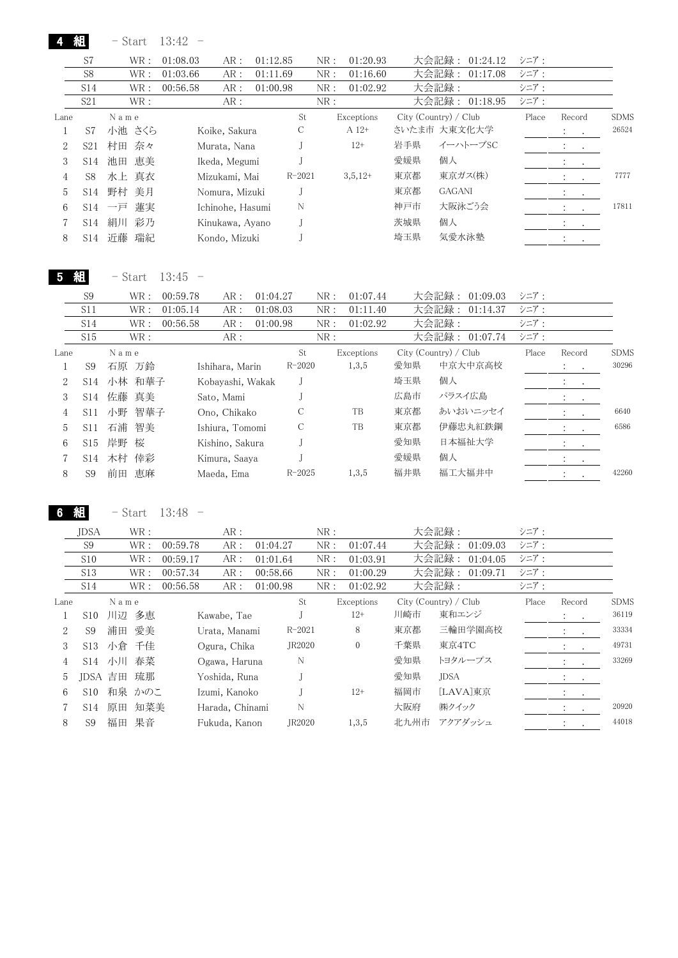- Start 13:42 -

4 組

|      | S7              | WR:      | 01:08.03 | AR:              | 01:12.85 |            | 01:20.93<br>NR: |     | 大会記録:                 | 01:24.12       | シニア:  |                                                                                         |             |
|------|-----------------|----------|----------|------------------|----------|------------|-----------------|-----|-----------------------|----------------|-------|-----------------------------------------------------------------------------------------|-------------|
|      | S <sub>8</sub>  | WR :     | 01:03.66 | AR:              | 01:11.69 |            | NR:<br>01:16.60 |     | 大会記録:                 | 01:17.08       | シニア:  |                                                                                         |             |
|      | S <sub>14</sub> | WR:      | 00:56.58 | AR:              | 01:00.98 |            | NR:<br>01:02.92 |     | 大会記録:                 |                | シニア:  |                                                                                         |             |
|      | S <sub>21</sub> | WR:      |          | AR:              |          |            | NR:             |     |                       | 大会記録: 01:18.95 | シニア:  |                                                                                         |             |
| Lane |                 | Name     |          |                  |          | St         | Exceptions      |     | City (Country) / Club |                | Place | Record                                                                                  | <b>SDMS</b> |
|      | S7              | 小池 さくら   |          | Koike, Sakura    |          | С          | $A 12+$         |     | さいたま市 大東文化大学          |                |       | $\ddot{\cdot}$<br>$\sim$ 100 $\pm$                                                      | 26524       |
| 2    | S <sub>21</sub> | 村田 奈々    |          | Murata, Nana     |          |            | $12+$           | 岩手県 |                       | イーハトーブSC       |       | $\mathcal{I}^{\mathcal{I}}$ , $\mathcal{I}^{\mathcal{I}}$ , $\mathcal{I}^{\mathcal{I}}$ |             |
| 3    | S <sub>14</sub> | 恵美<br>池田 |          | Ikeda, Megumi    |          |            |                 | 愛媛県 | 個人                    |                |       | <b>Service State</b>                                                                    |             |
| 4    | S8              | 水上 真衣    |          | Mizukami, Mai    |          | $R - 2021$ | $3,5,12+$       | 東京都 |                       | 東京ガス(株)        |       | $2.1 - 1.1$                                                                             | 7777        |
| 5    | S <sub>14</sub> | 野村<br>美月 |          | Nomura, Mizuki   |          |            |                 | 東京都 | <b>GAGANI</b>         |                |       | <b>All Contracts</b>                                                                    |             |
| 6    | S14             | 蓮実<br>一戸 |          | Ichinohe, Hasumi |          | N          |                 | 神戸市 |                       | 大阪泳ごう会         |       | <b>Service</b>                                                                          | 17811       |
|      | S <sub>14</sub> | 絹川<br>彩乃 |          | Kinukawa, Ayano  |          |            |                 | 茨城県 | 個人                    |                |       | $\cdot$ $\cdot$ $\cdot$                                                                 |             |
| 8    | S14             | 近藤<br>瑞紀 |          | Kondo, Mizuki    |          |            |                 | 埼玉県 |                       | 気愛水泳塾          |       |                                                                                         |             |

5 組 - Start 13:45 -

Lane N a m e St Exceptions City (Country) / Club Place Record SDMS 1 S9 石原 万鈴 Ishihara, Marin R-2020 1,3,5 愛知県 中京大中京高校 : . 30296 2 S14 小林 和華子 Kobayashi, Wakak J 埼玉県 個人 : . 3 S14 佐藤 真美 Sato, Mami J 広島市 パラスイ広島 : . 4 S11 小野 智華子 Ono, Chikako C TB 東京都 あいおいニッセイ : . 6640 5 S11 石浦 智美 Ishiura, Tomomi C TB 東京都 伊藤忠丸紅鉄鋼 : . 6586 6 S15 岸野 桜 Kishino, Sakura J 愛知県 日本福祉大学 : . 7 S14 木村 倖彩 Kimura, Saaya J 愛媛県 個人 : . 8 S9 前田 恵麻 Maeda, Ema R-2025 1,3,5 福井県 福工大福井中 42260 S9 WR: 00:59.78 AR: 01:04.27 NR: 01:07.44 大会記録: 01:09.03 シニア: S11 WR : 01:05.14 AR : 01:08.03 NR : 01:11.40 大会記録 : 01:14.37 シニア : S14 WR: 00:56.58 AR: 01:00.98 NR: 01:02.92 大会記録: シニア: S15 WR : AR : NR : NR : 大会記録 : 01:07.74 シニア :

6 組

- Start 13:48 -

|      | <b>JDSA</b>     |          | WR :   |          | AR:             |          |            | NR: |                |      | 大会記録:                 | シニア:  |                                                           |         |             |
|------|-----------------|----------|--------|----------|-----------------|----------|------------|-----|----------------|------|-----------------------|-------|-----------------------------------------------------------|---------|-------------|
|      | S <sub>9</sub>  |          | WR:    | 00:59.78 | AR:             | 01:04.27 |            | NR: | 01:07.44       |      | 大会記録:<br>01:09.03     | シニア:  |                                                           |         |             |
|      | S10             |          | WR :   | 00:59.17 | AR:             | 01:01.64 |            | NR: | 01:03.91       |      | 大会記録:<br>01:04.05     | シニア:  |                                                           |         |             |
|      | S <sub>13</sub> |          | WR :   | 00:57.34 | AR:             | 00:58.66 |            | NR: | 01:00.29       |      | 大会記録: 01:09.71        | シニア:  |                                                           |         |             |
|      | S14             |          | WR :   | 00:56.58 | AR:             | 01:00.98 |            | NR: | 01:02.92       |      | 大会記録:                 | シニア:  |                                                           |         |             |
| Lane |                 | Name     |        |          |                 |          | St         |     | Exceptions     |      | City (Country) / Club | Place | Record                                                    |         | <b>SDMS</b> |
|      | S10             | 川辺       | 多恵     |          | Kawabe, Tae     |          |            |     | $12+$          | 川崎市  | 東和エンジ                 |       | $\mathcal{L} = \mathcal{L}$                               |         | 36119       |
| 2    | S <sub>9</sub>  |          | 浦田 愛美  |          | Urata, Manami   |          | $R - 2021$ |     | 8              | 東京都  | 三輪田学園高校               |       | $\ddot{\phantom{0}}$<br>$\ddot{\phantom{a}}$              |         | 33334       |
| 3    | S <sub>13</sub> | 小倉 千佳    |        |          | Ogura, Chika    |          | JR2020     |     | $\overline{0}$ | 千葉県  | 東京4TC                 |       | $\mathcal{L} = \mathcal{L}$                               |         | 49731       |
| 4    |                 | $S14$ 小川 | 春菜     |          | Ogawa, Haruna   |          | N          |     |                | 愛知県  | トヨタループス               |       |                                                           | $\cdot$ | 33269       |
| 5    | JDSA 吉田         |          | 琉那     |          | Yoshida, Runa   |          |            |     |                | 愛知県  | <b>JDSA</b>           |       | $\mathcal{A}^{\mathcal{A}}$ , $\mathcal{A}^{\mathcal{A}}$ |         |             |
| 6    | S10             |          | 和泉 かのこ |          | Izumi, Kanoko   |          |            |     | $12+$          | 福岡市  | [LAVA]東京              |       | $\bullet$ . In the second state $\bullet$                 |         |             |
|      | S14             | 原田       | 知菜美    |          | Harada, Chinami |          | N          |     |                | 大阪府  | ㈱クイック                 |       | $\ddot{\phantom{a}}$                                      |         | 20920       |
| 8    | S9              | 福田       | 果音     |          | Fukuda, Kanon   |          | JR2020     |     | 1,3,5          | 北九州市 | アクアダッシュ               |       | $\ddot{\phantom{a}}$<br>$\bullet$                         |         | 44018       |
|      |                 |          |        |          |                 |          |            |     |                |      |                       |       |                                                           |         |             |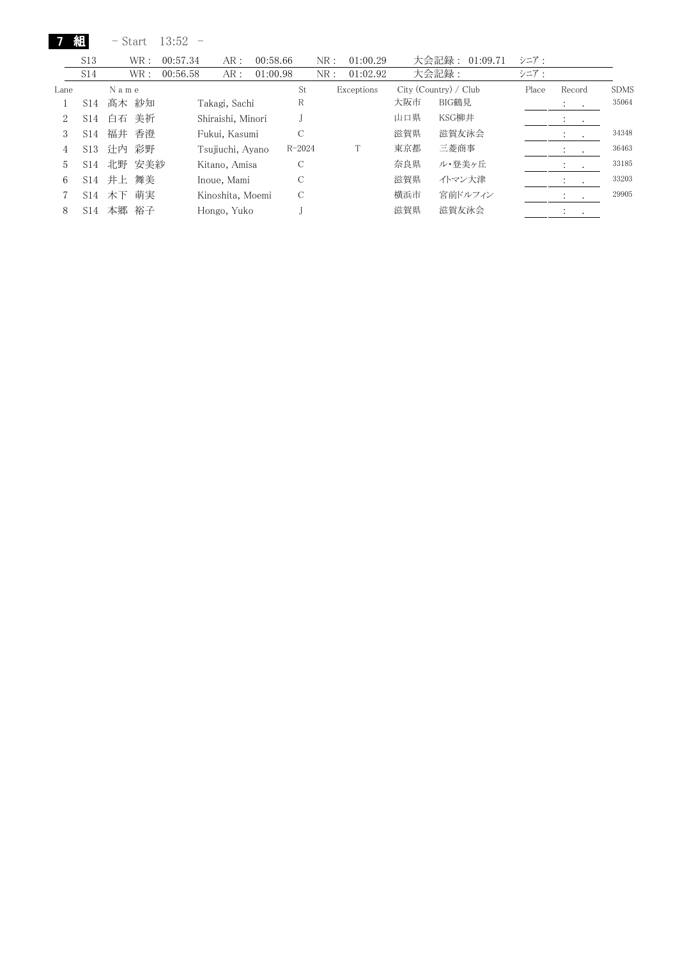|      | 組               | - Start  | $13:52 -$ |                   |          |            |     |            |     |                       |       |                                    |                  |             |
|------|-----------------|----------|-----------|-------------------|----------|------------|-----|------------|-----|-----------------------|-------|------------------------------------|------------------|-------------|
|      | S <sub>13</sub> | WR:      | 00:57.34  | AR:               | 00:58.66 |            | NR: | 01:00.29   |     | 大会記録: 01:09.71        | シニア:  |                                    |                  |             |
|      | S <sub>14</sub> | WR:      | 00:56.58  | AR:               | 01:00.98 |            | NR: | 01:02.92   |     | 大会記録:                 | シニア:  |                                    |                  |             |
| Lane |                 | Name     |           |                   |          | St         |     | Exceptions |     | City (Country) / Club | Place | Record                             |                  | <b>SDMS</b> |
|      | S14             | 髙木 紗知    |           | Takagi, Sachi     |          | R          |     |            | 大阪市 | BIG鶴見                 |       | $\mathbb{R}^n \times \mathbb{R}^n$ |                  | 35064       |
| 2    | S14             | 美祈<br>白石 |           | Shiraishi, Minori |          |            |     |            | 山口県 | KSG柳井                 |       | ÷                                  | $\sim$           |             |
| 3    | S14             | 福井<br>香澄 |           | Fukui, Kasumi     |          | C          |     |            | 滋賀県 | 滋賀友泳会                 |       | $\ddot{\phantom{0}}$               | $\sim$ 100 $\pm$ | 34348       |
| 4    | S13             | 计内<br>彩野 |           | Tsujiuchi, Ayano  |          | $R - 2024$ |     |            | 東京都 | 三菱商事                  |       | $\cdot$                            | $\sim$           | 36463       |
| 5    | S <sub>14</sub> | 北野 安美紗   |           | Kitano, Amisa     |          | C          |     |            | 奈良県 | ル・登美ヶ丘                |       | $\cdot$                            | $\sim$           | 33185       |
| 6    | S14             | 井上 舞美    |           | Inoue, Mami       |          | C          |     |            | 滋賀県 | イトマン大津                |       | $\ddot{\phantom{a}}$               |                  | 33203       |
| 7    | S14             | 木下 萌実    |           | Kinoshita, Moemi  |          | C          |     |            | 横浜市 | 宮前ドルフィン               |       |                                    |                  | 29905       |
| 8    | S14             | 裕子<br>本郷 |           | Hongo, Yuko       |          |            |     |            | 滋賀県 | 滋賀友泳会                 |       | $\cdot$                            |                  |             |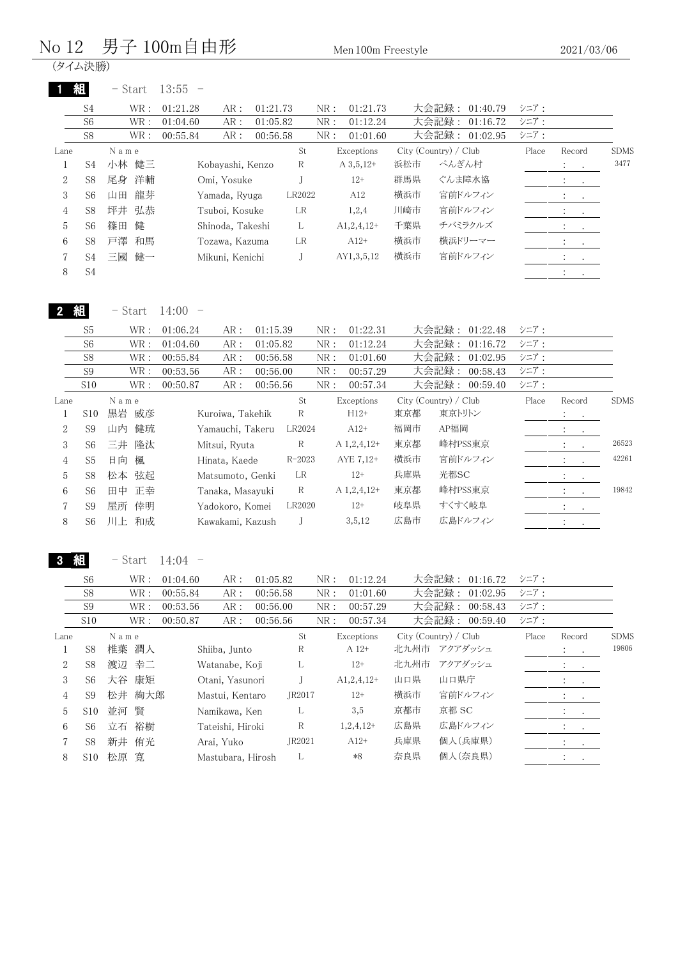# No 12 男子 100m自由形 Men 100m Freestyle

|                | 組<br>S <sub>4</sub>        | $-$ Start<br>$\operatorname{WR}$ :             | $13:55 -$<br>01:21.28<br>AR:        | 01:21.73             |                    | NR:                          | 01:21.73                  |                       |                | 大会記録: 01:40.79             | シニア:         |                                                             |                      |
|----------------|----------------------------|------------------------------------------------|-------------------------------------|----------------------|--------------------|------------------------------|---------------------------|-----------------------|----------------|----------------------------|--------------|-------------------------------------------------------------|----------------------|
|                | S <sub>6</sub>             | $\operatorname{WR}$ :                          | 01:04.60<br>AR:                     | 01:05.82             |                    | ${\rm NR}$ :                 | 01:12.24                  |                       |                | 大会記録: 01:16.72             | シニア:         |                                                             |                      |
|                | S8                         | $\operatorname{WR}$ :                          | 00:55.84<br>AR:                     | 00:56.58             |                    | ${\rm NR}$ :                 | 01:01.60                  |                       |                | 大会記録: 01:02.95             | シニア:         |                                                             |                      |
| Lane           |                            | N a m e                                        |                                     |                      | St                 |                              | Exceptions                | City (Country) / Club |                |                            | Place        | Record                                                      | <b>SDMS</b>          |
| $\mathbf{1}$   | S <sub>4</sub>             | 小林 健三                                          | Kobayashi, Kenzo                    |                      | $\mathbb R$        |                              | $A$ 3,5,12+               | 浜松市                   | ぺんぎん村          |                            |              | $\ddot{\cdot}$<br>$\cdot$                                   | $3477\,$             |
| 2              | S8                         | 尾身<br>洋輔                                       | Omi, Yosuke                         |                      | J                  |                              | $12+$                     | 群馬県                   |                | ぐんま障水協                     |              |                                                             |                      |
| 3              | S <sub>6</sub>             | 龍芽<br>山田                                       | Yamada, Ryuga                       |                      | LR2022             |                              | A12                       | 横浜市<br>川崎市            |                | 宮前ドルフィン<br>宮前ドルフィン         |              |                                                             |                      |
| 4              | S8                         | 坪井<br>弘恭<br>健<br>篠田                            | Tsuboi, Kosuke                      |                      | LR<br>L            |                              | 1,2,4                     | 千葉県                   |                | チバミラクルズ                    |              |                                                             |                      |
| 5<br>6         | S <sub>6</sub><br>S8       | 戸澤<br>和馬                                       | Shinoda, Takeshi<br>Tozawa, Kazuma  |                      | LR                 |                              | $A1, 2, 4, 12+$<br>$A12+$ | 横浜市                   |                | 横浜ドリーマー                    |              | $\ddot{\cdot}$                                              |                      |
|                | S4                         | 健一<br>三國                                       | Mikuni, Kenichi                     |                      | J                  |                              | AY1,3,5,12                | 横浜市                   |                | 宮前ドルフィン                    |              |                                                             |                      |
| 7<br>$8\,$     | $\ensuremath{\mathrm{S4}}$ |                                                |                                     |                      |                    |                              |                           |                       |                |                            |              |                                                             |                      |
|                |                            |                                                |                                     |                      |                    |                              |                           |                       |                |                            |              | $\ddot{\phantom{0}}$                                        |                      |
|                | 組                          | $-$ Start                                      | 14:00<br>$\overline{\phantom{0}}$   |                      |                    |                              |                           |                       |                |                            |              |                                                             |                      |
|                | S5                         | $\operatorname{WR}$ :                          | 01:06.24<br>AR:                     | 01:15.39             |                    | NR:                          | 01:22.31                  |                       |                | 大会記録: 01:22.48             | シニア:         |                                                             |                      |
|                | S <sub>6</sub>             | $\operatorname{WR}$ :                          | 01:04.60<br>AR:                     | 01:05.82             |                    | ${\rm NR}$ :                 | 01:12.24                  |                       | 大会記録:          | 01:16.72                   | シニア:         |                                                             |                      |
|                | S8<br>S <sub>9</sub>       | $\operatorname{WR}$ :<br>$\operatorname{WR}$ : | 00:55.84<br>AR:<br>00:53.56         | 00:56.58<br>00:56.00 |                    | ${\rm NR}$ :<br>${\rm NR}$ : | 01:01.60<br>00:57.29      |                       | 大会記録:<br>大会記録: | 01:02.95<br>00:58.43       | シニア:<br>シニア: |                                                             |                      |
|                | S10                        | $\operatorname{WR}$ :                          | AR:<br>00:50.87<br>${\sf AR}$ :     | 00:56.56             |                    | ${\rm NR}$ :                 | 00:57.34                  |                       | 大会記録:          | 00:59.40                   | シニア:         |                                                             |                      |
| Lane           |                            | N a m e                                        |                                     |                      | St                 |                              | Exceptions                | City (Country) / Club |                |                            | Place        | Record                                                      | <b>SDMS</b>          |
| $\mathbf{1}$   | S10                        | 黒岩 威彦                                          | Kuroiwa, Takehik                    |                      | $\mathbf R$        |                              | $H12+$                    | 東京都                   | 東京トリトン         |                            |              | $\mathbb{E}$<br>$\bullet$                                   |                      |
| 2              | S <sub>9</sub>             | 山内<br>健琉                                       | Yamauchi, Takeru                    |                      | LR2024             |                              | $A12+$                    | 福岡市                   | AP福岡           |                            |              | $\ddot{\cdot}$<br>$\cdot$                                   |                      |
| 3              | S <sub>6</sub>             | 隆汰<br>三井                                       | Mitsui, Ryuta                       |                      | $\mathbf R$        |                              | A 1,2,4,12+               | 東京都                   |                | 峰村PSS東京                    |              | $\ddot{\cdot}$                                              | 26523                |
| 4              | S <sub>5</sub>             | 日向<br>楓                                        | Hinata, Kaede                       |                      | $R - 2023$         |                              | AYE 7,12+                 | 横浜市                   |                | 宮前ドルフィン                    |              |                                                             | 42261                |
| 5              | S8                         | 弦起<br>松本                                       |                                     |                      | LR                 |                              | $12+$                     | 兵庫県                   | 光都SC           |                            |              |                                                             |                      |
|                |                            |                                                |                                     |                      |                    |                              |                           |                       |                |                            |              |                                                             |                      |
| 6              | S <sub>6</sub>             | 正幸                                             | Matsumoto, Genki                    |                      | $\mathbb R$        |                              | A 1,2,4,12+               | 東京都                   |                | 峰村PSS東京                    |              |                                                             | 19842                |
| 7              | S <sub>9</sub>             | 田中<br>屋所 倖明                                    | Tanaka, Masayuki<br>Yadokoro, Komei |                      | LR2020             |                              | $12+$                     | 岐阜県                   | すくすく岐阜         |                            |              | $\ddot{\cdot}$<br>$\bullet$ .<br>$\ddot{\ddot{}}$<br>$\sim$ |                      |
| $\,8\,$        | S <sub>6</sub>             | 川上 和成                                          | Kawakami, Kazush                    |                      | J                  |                              | 3,5,12                    | 広島市                   |                | 広島ドルフィン                    |              | $\bullet$                                                   |                      |
|                | 組                          |                                                | 14:04                               |                      |                    |                              |                           |                       |                |                            |              |                                                             |                      |
|                |                            | $-$ Start $\,$                                 |                                     |                      |                    |                              |                           |                       |                |                            |              |                                                             |                      |
|                | S6                         | WR :                                           | 01:04.60<br>AR:                     | 01:05.82             |                    | ${\rm NR}$ :                 | 01:12.24                  |                       |                | 大会記録: 01:16.72             | シニア:         |                                                             |                      |
|                | S8<br>$\mathbf{S9}$        | $\operatorname{WR}$ :<br>$\operatorname{WR}$ : | 00:55.84<br>AR:<br>00:53.56<br>AR:  | 00:56.58<br>00:56.00 |                    | ${\rm NR}$ :<br>${\rm NR}$ : | 01:01.60<br>00:57.29      |                       | 大会記録:          | 01:02.95<br>大会記録: 00:58.43 | シニア:<br>シニア: |                                                             |                      |
|                | S10                        | WR :                                           | 00:50.87<br>AR:                     | 00:56.56             |                    | ${\rm NR}$ :                 | 00:57.34                  |                       |                | 大会記録: 00:59.40             | シニア:         |                                                             |                      |
| Lane           |                            | $\mathcal N$ a m e                             |                                     |                      | St                 |                              | Exceptions                | City (Country) / Club |                |                            | Place        | Record                                                      |                      |
| $\mathbf{1}$   | S <sub>8</sub>             | 椎葉 潤人                                          | Shiiba, Junto                       |                      | R                  |                              | A 12+                     | 北九州市 アクアダッシュ          |                |                            |              | $\ddot{\phantom{a}}$                                        |                      |
| $\overline{c}$ | S8                         | 渡辺<br>幸二                                       | Watanabe, Koji                      |                      | L                  |                              | $12+$                     | 北九州市                  |                | アクアダッシュ                    |              |                                                             |                      |
| 3              | S <sub>6</sub>             | 大谷 康矩                                          | Otani, Yasunori                     |                      | $_{\rm J}$         |                              | $A1,2,4,12+$              | 山口県                   | 山口県庁           |                            |              |                                                             |                      |
| 4              | S <sub>9</sub>             | 松井 絢大郎                                         | Mastui, Kentaro                     |                      | JR2017             |                              | $12+$                     | 横浜市                   |                | 宮前ドルフィン                    |              |                                                             |                      |
| 5              | S10                        | 並河 賢                                           | Namikawa, Ken                       |                      | L                  |                              | 3,5                       | 京都市                   | 京都 SC          |                            |              | $\ddot{\phantom{a}}$                                        |                      |
| 6              | S <sub>6</sub>             | 立石 裕樹                                          | Tateishi, Hiroki                    |                      | $\mathbb R$        |                              | $1,2,4,12+$               | 広島県                   |                | 広島ドルフィン                    |              |                                                             |                      |
| 7<br>8         | S8<br>S10                  | 新井 侑光<br>松原 寛                                  | Arai, Yuko<br>Mastubara, Hirosh     |                      | JR2021<br>$\Gamma$ |                              | $A12+$<br>$\ast 8$        | 兵庫県<br>奈良県            |                | 個人(兵庫県)<br>個人(奈良県)         |              | $\ddot{\cdot}$                                              | <b>SDMS</b><br>19806 |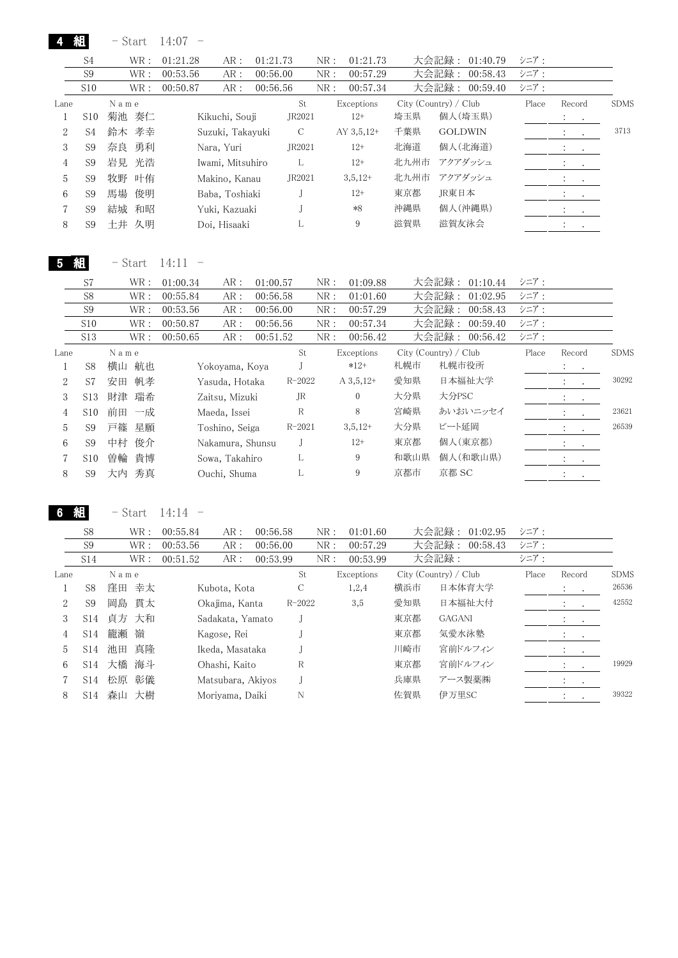|              | 組              | - Start       | 14:07<br>$\qquad \qquad -$ |             |     |                  |      |                       |       |                                                   |             |
|--------------|----------------|---------------|----------------------------|-------------|-----|------------------|------|-----------------------|-------|---------------------------------------------------|-------------|
|              | S <sub>4</sub> | WR:           | 01:21.28<br>AR:            | 01:21.73    | NR: | 01:21.73         |      | 大会記録:<br>01:40.79     | シニア:  |                                                   |             |
|              | S <sub>9</sub> | WR:           | 00:53.56<br>AR:            | 00:56.00    | NR: | 00:57.29         |      | 大会記録:<br>00:58.43     | シニア:  |                                                   |             |
|              | S10            | WR:           | 00:50.87<br>AR:            | 00:56.56    | NR: | 00:57.34         |      | 大会記録:<br>00:59.40     | シニア:  |                                                   |             |
| Lane         |                | N a m e       |                            |             | St  | Exceptions       |      | City (Country) / Club | Place | Record                                            | <b>SDMS</b> |
| 1            | S10            | 菊池 奏仁         | Kikuchi, Souji             | JR2021      |     | $12+$            | 埼玉県  | 個人(埼玉県)               |       | $\ddot{\cdot}$<br>$\bullet$                       |             |
| $\mathbf{2}$ | S <sub>4</sub> | 鈴木 孝幸         | Suzuki, Takayuki           | $\mathsf C$ |     | AY $3,5,12+$     | 千葉県  | <b>GOLDWIN</b>        |       | $\ddot{\cdot}$                                    | 3713        |
| 3            | S <sub>9</sub> | 勇利<br>奈良      | Nara, Yuri                 | JR2021      |     | $12+$            | 北海道  | 個人(北海道)               |       | $\mathcal{I}^{\mathcal{I}}$ .<br>$\sim$ $-$       |             |
| 4            | S <sub>9</sub> | 岩見<br>光浩      | Iwami, Mitsuhiro           | L           |     | $12+$            | 北九州市 | アクアダッシュ               |       |                                                   |             |
| 5            | S <sub>9</sub> | 牧野<br>叶侑      | Makino, Kanau              | JR2021      |     | $3,5,12+$        | 北九州市 | アクアダッシュ               |       | $\ddot{\phantom{a}}$                              |             |
| 6            | S <sub>9</sub> | 馬場<br>俊明      | Baba, Toshiaki             | J           |     | $12+$            | 東京都  | JR東日本                 |       |                                                   |             |
| 7            | S <sub>9</sub> | 結城<br>和昭      | Yuki, Kazuaki              |             |     | $*8$             | 沖縄県  | 個人(沖縄県)               |       | $\mathcal{X} = \{x_1, \ldots, x_n\}$              |             |
| 8            | S <sub>9</sub> | 土井 久明         | Doi, Hisaaki               | L           |     | 9                | 滋賀県  | 滋賀友泳会                 |       | $\mathbb{E}[\mathbf{z}^{\top} \mathbf{z}^{\top}]$ |             |
|              |                |               |                            |             |     |                  |      |                       |       |                                                   |             |
| 5            | 組              | $-$ Start     | 14:11                      |             |     |                  |      |                       |       |                                                   |             |
|              | S7             | WR:           | 01:00.34<br>AR:            | 01:00.57    | NR: | 01:09.88         |      | 大会記録:<br>01:10.44     | シニア:  |                                                   |             |
|              | S8             | WR:           | 00:55.84<br>AR:            | 00:56.58    | NR: | 01:01.60         |      | 大会記録:<br>01:02.95     | シニア:  |                                                   |             |
|              | S <sub>9</sub> | WR:           | 00:53.56<br>AR:            | 00:56.00    | NR: | 00:57.29         |      | 大会記録:<br>00:58.43     | シニア:  |                                                   |             |
|              | S10            | WR:           | 00:50.87<br>AR:            | 00:56.56    | NR: | 00:57.34         |      | 大会記録:<br>00:59.40     | シニア:  |                                                   |             |
|              | S13            | WR :          | 00:50.65<br>AR:            | 00:51.52    | NR: | 00:56.42         |      | 大会記録:<br>00:56.42     | シニア:  |                                                   |             |
| Lane         |                | $N$ a $m$ $e$ |                            |             | St  | Exceptions       |      | City (Country) / Club | Place | Record                                            | <b>SDMS</b> |
| 1            | S <sub>8</sub> | 横山 航也         | Yokoyama, Koya             | J           |     | $*12+$           | 札幌市  | 札幌市役所                 |       | $\ddot{\cdot}$<br>$\bullet$                       |             |
| $\mathbf{2}$ | S7             | 帆孝<br>安田      | Yasuda, Hotaka             | $R - 2022$  |     | $A\,3,5,12+$     | 愛知県  | 日本福祉大学                |       | $\ddot{\cdot}$                                    | 30292       |
| 3            | S13            | 財津<br>瑞希      | Zaitsu, Mizuki             | <b>JR</b>   |     | $\boldsymbol{0}$ | 大分県  | 大分PSC                 |       | $\ddot{\cdot}$<br>$\bullet$                       |             |
| 4            | S10            | 前田 一成         | Maeda, Issei               | $\mathbb R$ |     | 8                | 宮崎県  | あいおいニッセイ              |       | $\bullet$                                         | 23621       |
| 5            | S <sub>9</sub> | 戸篠<br>星願      | Toshino, Seiga             | $R - 2021$  |     | $3,5,12+$        | 大分県  | ビート延岡                 |       | $\ddot{\cdot}$<br>$\cdot$                         | 26539       |
| 6            | S <sub>9</sub> | 俊介<br>中村      | Nakamura, Shunsu           | J           |     | $12+$            | 東京都  | 個人(東京都)               |       | $\mathcal{I}^{\mathcal{I}}$ .<br>$\sim$           |             |
| 7            | S10            | 貴博<br>曽輪      | Sowa, Takahiro             | L           |     | 9                | 和歌山県 | 個人(和歌山県)              |       | $\ddot{\cdot}$                                    |             |
| 8            | S <sub>9</sub> | 大内<br>秀真      | Ouchi, Shuma               | L           |     | 9                | 京都市  | 京都 SC                 |       |                                                   |             |

6 組 - Start 14:14 -

|      | S <sub>8</sub>  |       | WR: | 00:55.84 | AR:               | 00:56.58 |            | NR: | 01:01.60   |     | 大会記録:<br>01:02.95     | シニア:  |                                     |             |
|------|-----------------|-------|-----|----------|-------------------|----------|------------|-----|------------|-----|-----------------------|-------|-------------------------------------|-------------|
|      | S9              |       | WR: | 00:53.56 | AR:               | 00:56.00 |            | NR: | 00:57.29   |     | 大会記録:<br>00:58.43     | シニア:  |                                     |             |
|      | S14             |       | WR: | 00:51.52 | AR:               | 00:53.99 |            | NR: | 00:53.99   |     | 大会記録:                 | シニア:  |                                     |             |
| Lane |                 | Name  |     |          |                   |          | St         |     | Exceptions |     | City (Country) / Club | Place | Record                              | <b>SDMS</b> |
|      | S <sub>8</sub>  | 窪田 幸太 |     |          | Kubota, Kota      |          | C          |     | 1,2,4      | 横浜市 | 日本体育大学                |       | $\mathcal{L} = \mathcal{L}$         | 26536       |
| 2    | S <sub>9</sub>  | 岡島 貫太 |     |          | Okajima, Kanta    |          | $R - 2022$ |     | 3,5        | 愛知県 | 日本福祉大付                |       | $\ddot{\cdot}$<br>$\sim$            | 42552       |
| 3    | S14             | 貞方 大和 |     |          | Sadakata, Yamato  |          |            |     |            | 東京都 | <b>GAGANI</b>         |       | $\bullet$ , $\bullet$ , $\bullet$ , |             |
| 4    | S <sub>14</sub> | 籠瀬    | 嶺   |          | Kagose, Rei       |          |            |     |            | 東京都 | 気愛水泳塾                 |       | $\cdot$<br>$\sim$                   |             |
| 5    | S <sub>14</sub> | 池田 真隆 |     |          | Ikeda, Masataka   |          |            |     |            | 川崎市 | 宮前ドルフィン               |       | $\cdot$<br>$\cdot$                  |             |
| 6    | S14             | 大橋 海斗 |     |          | Ohashi, Kaito     |          | R          |     |            | 東京都 | 宮前ドルフィン               |       | $\mathbb{R}^n$                      | 19929       |
|      | S14             | 松原 彰儀 |     |          | Matsubara, Akivos |          |            |     |            | 兵庫県 | アース製薬㈱                |       | $\ddot{\cdot}$<br>$\sim$ $\sim$     |             |
| 8    | S14             | 森山    | 大樹  |          | Morivama, Daiki   |          | N          |     |            | 佐賀県 | 伊万里SC                 |       |                                     | 39322       |
|      |                 |       |     |          |                   |          |            |     |            |     |                       |       |                                     |             |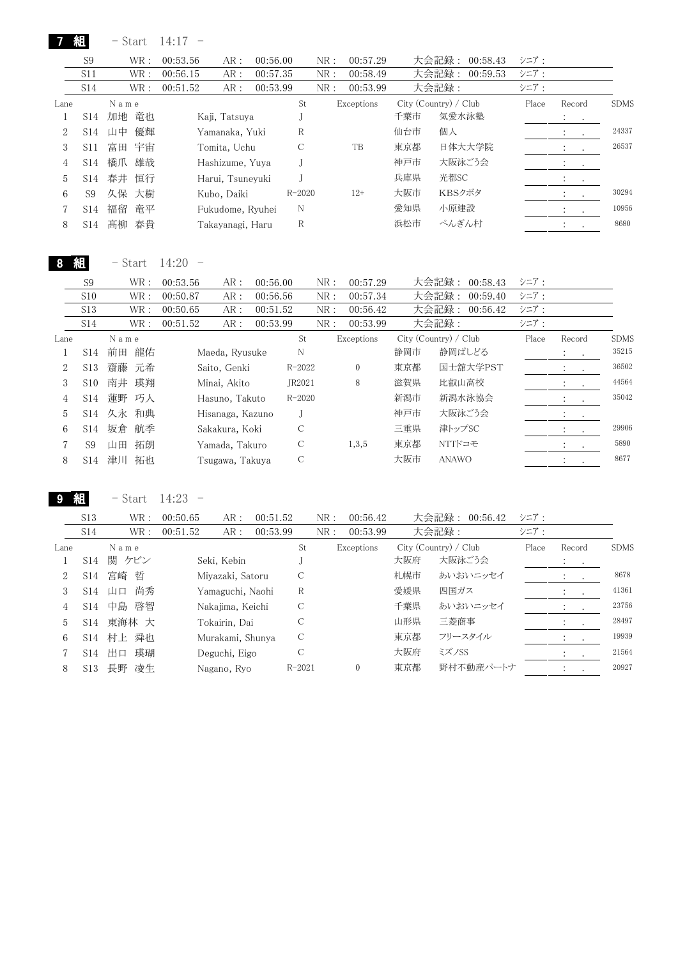|                | $-$ Start                                            | 14:17<br>$\hspace{0.1mm}-\hspace{0.1mm}$                    |                                                                 |                                                                                                                                                                                                           |                                                                                                                            |                                                                          |          |                                                                                                                                                                                                                                   |                                       |                                                  |
|----------------|------------------------------------------------------|-------------------------------------------------------------|-----------------------------------------------------------------|-----------------------------------------------------------------------------------------------------------------------------------------------------------------------------------------------------------|----------------------------------------------------------------------------------------------------------------------------|--------------------------------------------------------------------------|----------|-----------------------------------------------------------------------------------------------------------------------------------------------------------------------------------------------------------------------------------|---------------------------------------|--------------------------------------------------|
| S <sub>9</sub> | WR:                                                  | 00:53.56                                                    |                                                                 | NR:                                                                                                                                                                                                       | 00:57.29                                                                                                                   |                                                                          | 00:58.43 | シニア:                                                                                                                                                                                                                              |                                       |                                                  |
| S11            | WR:                                                  | 00:56.15                                                    |                                                                 | NR:                                                                                                                                                                                                       | 00:58.49                                                                                                                   |                                                                          | 00:59.53 | シニア:                                                                                                                                                                                                                              |                                       |                                                  |
| S14            | WR:                                                  | 00:51.52                                                    |                                                                 | NR:                                                                                                                                                                                                       | 00:53.99                                                                                                                   |                                                                          |          | シニア:                                                                                                                                                                                                                              |                                       |                                                  |
|                | Name                                                 |                                                             |                                                                 | St                                                                                                                                                                                                        |                                                                                                                            |                                                                          |          | Place                                                                                                                                                                                                                             | Record                                | <b>SDMS</b>                                      |
| S14            | 加地<br>竜也                                             |                                                             |                                                                 |                                                                                                                                                                                                           |                                                                                                                            | 千葉市                                                                      |          |                                                                                                                                                                                                                                   | $\ddot{\cdot}$<br>$\bullet$           |                                                  |
| S14            | 山中                                                   |                                                             |                                                                 | R                                                                                                                                                                                                         |                                                                                                                            | 仙台市                                                                      |          |                                                                                                                                                                                                                                   |                                       | 24337                                            |
| S11            | 富田<br>宇宙                                             |                                                             |                                                                 | C                                                                                                                                                                                                         | TB                                                                                                                         | 東京都                                                                      |          |                                                                                                                                                                                                                                   |                                       | 26537                                            |
| S14            | 橋爪<br>雄哉                                             |                                                             |                                                                 | J                                                                                                                                                                                                         |                                                                                                                            | 神戸市                                                                      |          |                                                                                                                                                                                                                                   | :                                     |                                                  |
| S14            | 春井<br>恒行                                             |                                                             |                                                                 | $\mathbf{J}$                                                                                                                                                                                              |                                                                                                                            | 兵庫県                                                                      |          |                                                                                                                                                                                                                                   | $\ddot{\cdot}$                        |                                                  |
| S <sub>9</sub> | 久保<br>大樹                                             |                                                             |                                                                 |                                                                                                                                                                                                           | $12+$                                                                                                                      | 大阪市                                                                      |          |                                                                                                                                                                                                                                   |                                       | 30294                                            |
| S14            | 福留<br>竜平                                             |                                                             |                                                                 | N                                                                                                                                                                                                         |                                                                                                                            | 愛知県                                                                      |          |                                                                                                                                                                                                                                   |                                       | 10956                                            |
|                |                                                      |                                                             |                                                                 | R                                                                                                                                                                                                         |                                                                                                                            | 浜松市                                                                      |          |                                                                                                                                                                                                                                   |                                       | 8680                                             |
|                | - Start                                              | 14:20                                                       |                                                                 |                                                                                                                                                                                                           |                                                                                                                            |                                                                          |          |                                                                                                                                                                                                                                   |                                       |                                                  |
|                |                                                      |                                                             |                                                                 |                                                                                                                                                                                                           |                                                                                                                            |                                                                          |          |                                                                                                                                                                                                                                   |                                       |                                                  |
|                |                                                      |                                                             |                                                                 |                                                                                                                                                                                                           |                                                                                                                            |                                                                          |          |                                                                                                                                                                                                                                   |                                       |                                                  |
|                |                                                      |                                                             |                                                                 |                                                                                                                                                                                                           |                                                                                                                            |                                                                          |          |                                                                                                                                                                                                                                   |                                       |                                                  |
|                |                                                      |                                                             |                                                                 | St                                                                                                                                                                                                        |                                                                                                                            |                                                                          |          |                                                                                                                                                                                                                                   |                                       | <b>SDMS</b>                                      |
| <b>S14</b>     | 前田                                                   |                                                             |                                                                 | N                                                                                                                                                                                                         |                                                                                                                            | 静岡市                                                                      |          |                                                                                                                                                                                                                                   | $\ddot{\cdot}$                        | 35215                                            |
|                |                                                      |                                                             |                                                                 |                                                                                                                                                                                                           |                                                                                                                            |                                                                          |          |                                                                                                                                                                                                                                   |                                       |                                                  |
| S13            | 齋藤<br>元希                                             |                                                             |                                                                 | $R - 2022$                                                                                                                                                                                                | $\boldsymbol{0}$                                                                                                           | 東京都                                                                      | 国士舘大学PST |                                                                                                                                                                                                                                   |                                       | 36502                                            |
|                |                                                      | Saito, Genki                                                |                                                                 | JR2021                                                                                                                                                                                                    | 8                                                                                                                          | 滋賀県                                                                      | 比叡山高校    |                                                                                                                                                                                                                                   | $\ddot{\cdot}$<br>$\cdot$             | 44564                                            |
| S10<br>S14     | 南井<br>瑛翔                                             | Minai, Akito<br>Hasuno, Takuto                              |                                                                 | $R - 2020$                                                                                                                                                                                                |                                                                                                                            | 新潟市                                                                      | 新潟水泳協会   |                                                                                                                                                                                                                                   |                                       | 35042                                            |
| S14            | 蓮野<br>巧人                                             | Hisanaga, Kazuno                                            |                                                                 | J                                                                                                                                                                                                         |                                                                                                                            | 神戸市                                                                      | 大阪泳ごう会   |                                                                                                                                                                                                                                   | $\ddot{\cdot}$                        |                                                  |
| <b>S14</b>     | 久永 和典<br>航季<br>坂倉                                    | Sakakura, Koki                                              |                                                                 | C                                                                                                                                                                                                         |                                                                                                                            | 三重県                                                                      | 津トップSC   |                                                                                                                                                                                                                                   |                                       | 29906                                            |
|                | 組<br>S14<br>組<br>S <sub>9</sub><br>S10<br>S13<br>S14 | 髙柳<br>春貴<br>$\text{WR}$ :<br>WR :<br>WR:<br>WR :<br>N a m e | 優輝<br>00:53.56<br>00:50.87<br>AR:<br>00:50.65<br>00:51.52<br>龍佑 | AR:<br>AR:<br>AR:<br>Kaji, Tatsuya<br>Yamanaka, Yuki<br>Tomita, Uchu<br>Hashizume, Yuya<br>Harui, Tsuneyuki<br>Kubo, Daiki<br>Fukudome, Ryuhei<br>Takayanagi, Haru<br>AR:<br>AR:<br>AR:<br>Maeda, Ryusuke | 00:56.00<br>00:57.35<br>00:53.99<br>$R - 2020$<br>00:56.00<br>NR:<br>00:56.56<br>NR:<br>00:51.52<br>NR:<br>00:53.99<br>NR: | Exceptions<br>00:57.29<br>00:57.34<br>00:56.42<br>00:53.99<br>Exceptions |          | 大会記録:<br>大会記録:<br>大会記録:<br>City (Country) / Club<br>気愛水泳塾<br>個人<br>日体大大学院<br>大阪泳ごう会<br>光都SC<br>KBSクボタ<br>小原建設<br>ぺんぎん村<br>大会記録:<br>00:58.43<br>大会記録:<br>00:59.40<br>大会記録:<br>00:56.42<br>大会記録:<br>City (Country) / Club<br>静岡ぱしどる | シニア:<br>シニア:<br>シニア:<br>シニア:<br>Place | $\ddot{\cdot}$<br>$\ddot{\phantom{0}}$<br>Record |

9 組 - Start 14:23 -

|      | S <sub>13</sub> | WR :      | 00:50.65 | AR:              | 00:51.52 |            | NR: | 00:56.42     |     | 大会記録:<br>00:56.42     | シニア:  |                      |             |
|------|-----------------|-----------|----------|------------------|----------|------------|-----|--------------|-----|-----------------------|-------|----------------------|-------------|
|      | S <sub>14</sub> | WR :      | 00:51.52 | AR:              | 00:53.99 |            | NR: | 00:53.99     |     | 大会記録:                 | シニア:  |                      |             |
| Lane |                 | Name      |          |                  |          | St         |     | Exceptions   |     | City (Country) / Club | Place | Record               | <b>SDMS</b> |
|      | S14             | 関 ケビン     |          | Seki, Kebin      |          |            |     |              | 大阪府 | 大阪泳ごう会                |       | $\cdot$<br>$\sim$    |             |
|      | S14             | 宮崎 哲      |          | Miyazaki, Satoru |          | С          |     |              | 札幌市 | あいおいニッセイ              |       |                      | 8678        |
| 3    | S14             | 尚秀<br>山口  |          | Yamaguchi, Naohi |          | R          |     |              | 愛媛県 | 四国ガス                  |       | $\sim$               | 41361       |
| 4    | S14             | 中島 啓智     |          | Nakajima, Keichi |          | C          |     |              | 千葉県 | あいおいニッセイ              |       |                      | 23756       |
| 5    | S <sub>14</sub> | 東海林 大     |          | Tokairin, Dai    |          | C          |     |              | 山形県 | 三菱商事                  |       |                      | 28497       |
| 6    |                 | S14 村上 舜也 |          | Murakami, Shunya |          | C          |     |              | 東京都 | フリースタイル               |       |                      | 19939       |
|      | S14             | 瑛瑚<br>出口  |          | Deguchi, Eigo    |          | C          |     |              | 大阪府 | ミズノSS                 |       | $\ddot{\phantom{a}}$ | 21564       |
| 8    | S <sub>13</sub> | 長野<br>凌生  |          | Nagano, Ryo      |          | $R - 2021$ |     | $\mathbf{0}$ | 東京都 | 野村不動産パートナ             |       |                      | 20927       |
|      |                 |           |          |                  |          |            |     |              |     |                       |       |                      |             |

8 S14 津川 拓也 Tsugawa, Takuya C 大阪市 ANAWO 8677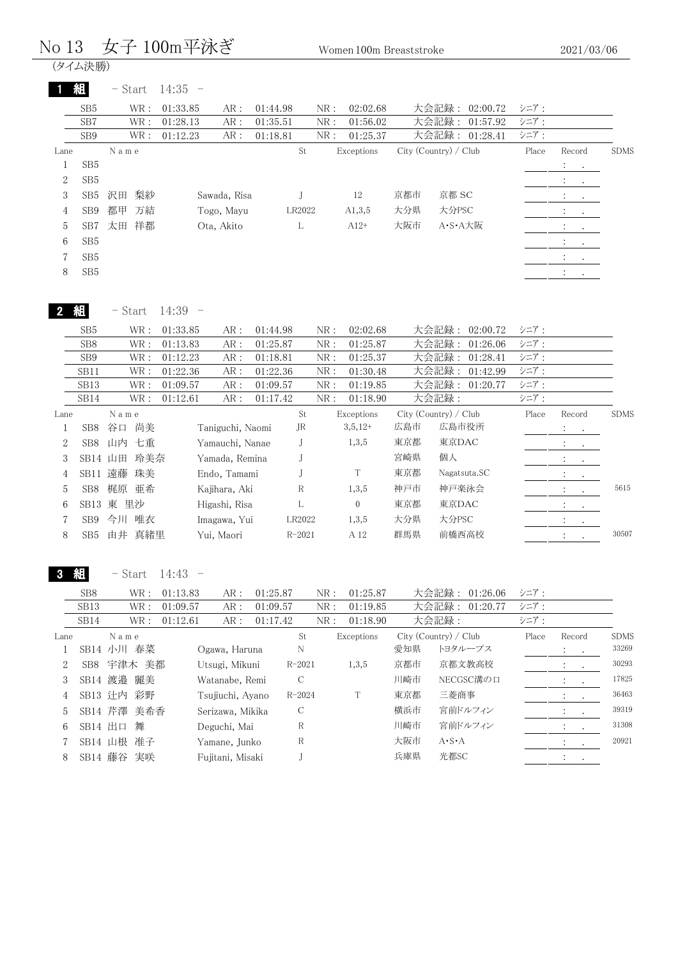| No 13          |                 | 女子 100m平泳ぎ            |           |                  |                              |              | Women 100m Breaststroke |     |                       |       | 2021/03/06                                  |             |
|----------------|-----------------|-----------------------|-----------|------------------|------------------------------|--------------|-------------------------|-----|-----------------------|-------|---------------------------------------------|-------------|
|                | (タイム決勝)         |                       |           |                  |                              |              |                         |     |                       |       |                                             |             |
|                | 組               | $-$ Start             | $14:35 -$ |                  |                              |              |                         |     |                       |       |                                             |             |
|                | SB <sub>5</sub> | WR:                   | 01:33.85  | AR:              | 01:44.98                     | NR:          | 02:02.68                |     | 大会記録:<br>02:00.72     | シニア:  |                                             |             |
|                | SB7             | $\operatorname{WR}$ : | 01:28.13  | AR:              | 01:35.51                     | ${\rm NR}$ : | 01:56.02                |     | 大会記録:<br>01:57.92     | シニア:  |                                             |             |
|                | SB9             | $\operatorname{WR}$ : | 01:12.23  | AR:              | 01:18.81                     | ${\rm NR}$ : | 01:25.37                |     | 大会記録:<br>01:28.41     | シニア:  |                                             |             |
| Lane           |                 | N a m e               |           |                  | St                           |              | Exceptions              |     | City (Country) / Club | Place | Record                                      | <b>SDMS</b> |
| $\mathbf{1}$   | SB <sub>5</sub> |                       |           |                  |                              |              |                         |     |                       |       | $\ddot{\cdot}$                              |             |
| 2              | SB <sub>5</sub> |                       |           |                  |                              |              |                         |     |                       |       |                                             |             |
| 3              | SB <sub>5</sub> | 梨紗<br>沢田              |           | Sawada, Risa     | J                            |              | $12\,$                  | 京都市 | 京都 SC                 |       |                                             |             |
| 4              | SB9             | 都甲<br>万結              |           | Togo, Mayu       | LR2022                       |              | A1,3,5                  | 大分県 | 大分PSC                 |       | $\ddot{\cdot}$<br>$\sim$ 100 $\pm$          |             |
| 5              | SB7             | 太田<br>祥都              |           | Ota, Akito       | L                            |              | $A12+$                  | 大阪市 | A·S·A大阪               |       | $\ddot{\cdot}$                              |             |
| 6              | SB <sub>5</sub> |                       |           |                  |                              |              |                         |     |                       |       | $\bullet$ .                                 |             |
|                |                 |                       |           |                  |                              |              |                         |     |                       |       | $\cdot$                                     |             |
| 7              | SB <sub>5</sub> |                       |           |                  |                              |              |                         |     |                       |       |                                             |             |
| 8              | SB <sub>5</sub> |                       |           |                  |                              |              |                         |     |                       |       | $\mathcal{L}_{\rm{max}}$<br>$\sim 10^{-11}$ |             |
|                | 組               | - Start               | $14:39 -$ |                  |                              |              |                         |     |                       |       |                                             |             |
|                |                 |                       |           |                  |                              |              |                         |     |                       |       |                                             |             |
|                | SB <sub>5</sub> | WR :                  | 01:33.85  | AR:              | 01:44.98                     | ${\rm NR}$ : | 02:02.68                |     | 大会記録:<br>02:00.72     | シニア:  |                                             |             |
|                | SB <sub>8</sub> | WR :                  | 01:13.83  | ${\sf AR}$ :     | 01:25.87                     | ${\rm NR}$ : | 01:25.87                |     | 大会記録:<br>01:26.06     | シニア:  |                                             |             |
|                | SB9             | WR :                  | 01:12.23  | AR:              | 01:18.81                     | ${\rm NR}$ : | 01:25.37                |     | 大会記録:<br>01:28.41     | シニア:  |                                             |             |
|                | SB11            | WR :                  | 01:22.36  | ${\sf AR}$ :     | 01:22.36                     | ${\rm NR}$ : | 01:30.48                |     | 大会記録:<br>01:42.99     | シニア:  |                                             |             |
|                | SB13            | WR :                  | 01:09.57  | AR:              | 01:09.57                     | ${\rm NR}$ : | 01:19.85                |     | 大会記録:<br>01:20.77     | シニア:  |                                             |             |
|                | SB14            | WR :                  | 01:12.61  | AR:              | 01:17.42                     | NR:          | 01:18.90                |     | 大会記録:                 | シニア:  |                                             |             |
| Lane           |                 | N a m e               |           |                  | $\operatorname{\mathsf{St}}$ |              | Exceptions              |     | City (Country) / Club | Place | Record                                      | <b>SDMS</b> |
| 1              | SB8             | 尚美<br>谷口              |           | Taniguchi, Naomi | JR                           |              | $3,5,12+$               | 広島市 | 広島市役所                 |       | :<br>$\bullet$                              |             |
| $\overline{2}$ | SB8             | 山内 七重                 |           | Yamauchi, Nanae  | J                            |              | 1,3,5                   | 東京都 | 東京DAC                 |       | $\ddot{\cdot}$<br>$\cdot$                   |             |
| 3              | SB14 山田         | 玲美奈                   |           | Yamada, Remina   | J                            |              |                         | 宮崎県 | 個人                    |       | $\ddot{\cdot}$<br>$\bullet$                 |             |
| 4              |                 | SB11 遠藤<br>珠美         |           | Endo, Tamami     | J                            |              | T                       | 東京都 | Nagatsuta.SC          |       |                                             |             |
| 5              | SB <sub>8</sub> | 梶原 亜希                 |           | Kajihara, Aki    | $\mathbb R$                  |              | 1, 3, 5                 | 神戸市 | 神戸楽泳会                 |       |                                             | 5615        |
| 6              |                 | SB13 東 里沙             |           | Higashi, Risa    | L                            |              | $\boldsymbol{0}$        | 東京都 | 東京DAC                 |       | $\ddot{\cdot}$<br>$\cdot$                   |             |
| 7              | SB <sub>9</sub> | 今川 唯衣                 |           | Imagawa, Yui     | LR2022                       |              | 1,3,5                   | 大分県 | 大分PSC                 |       | $\ddot{\cdot}$                              |             |
| 8              | SB <sub>5</sub> | 由井 真緒里                |           | Yui, Maori       | $R - 2021$                   |              | A 12                    | 群馬県 | 前橋西高校                 |       |                                             | 30507       |
|                |                 | $-$ Start             | $14:43 -$ |                  |                              |              |                         |     |                       |       | $\cdot$                                     |             |
|                |                 |                       |           |                  |                              |              |                         |     |                       |       |                                             |             |
|                | SB8             | WR :                  | 01:13.83  | AR:              | 01:25.87                     | NR:          | 01:25.87                |     | 大会記録:<br>01:26.06     | シニア:  |                                             |             |
|                | SB13            | WR :                  | 01:09.57  | AR:              | 01:09.57                     | NR:          | 01:19.85                |     | 大会記録:<br>01:20.77     | シニア:  |                                             |             |
|                | SB14            | WR :                  | 01:12.61  | AR:              | 01:17.42                     | NR:          | 01:18.90                |     | 大会記録:                 | シニア:  |                                             |             |
| Lane           |                 | N a m e               |           |                  | $\operatorname{\mathsf{St}}$ |              | Exceptions              |     | City (Country) / Club | Place | Record                                      | <b>SDMS</b> |
| $\mathbf{1}$   |                 | SB14 小川 春菜            |           | Ogawa, Haruna    | N                            |              |                         | 愛知県 | トヨタループス               |       | $\ddot{\cdot}$<br>$\bullet$                 | 33269       |
| 2              |                 | SB8 宇津木 美都            |           | Utsugi, Mikuni   | $R - 2021$                   |              | 1,3,5                   | 京都市 | 京都文教高校                |       | $\bullet$                                   | 30293       |
| 3              |                 | SB14 渡邉 麗美            |           | Watanabe, Remi   | $\mathbf C$                  |              |                         | 川崎市 | NECGSC溝の口             |       | $\bullet$                                   | 17825       |
| 4              |                 | SB13 辻内 彩野            |           | Tsujiuchi, Ayano | $R - 2024$                   |              | $\rm T$                 | 東京都 | 三菱商事                  |       | $\ddot{\cdot}$<br>$\bullet$                 | 36463       |
| 5              |                 | SB14 芹澤 美希香           |           | Serizawa, Mikika | $\mathbf C$                  |              |                         | 横浜市 | 宮前ドルフィン               |       | $\ddot{\cdot}$                              | 39319       |

6 SB14 出口 舞 Deguchi, Mai R 川崎市 宮前ドルフィン <u>| : . 31308</u> 7 SB14 山根 准子 Yamane, Junko R 大阪市 A·S·A : . 20921

8 SB14 藤谷 実咲 Fujitani, Misaki J 兵庫県 光都SC : .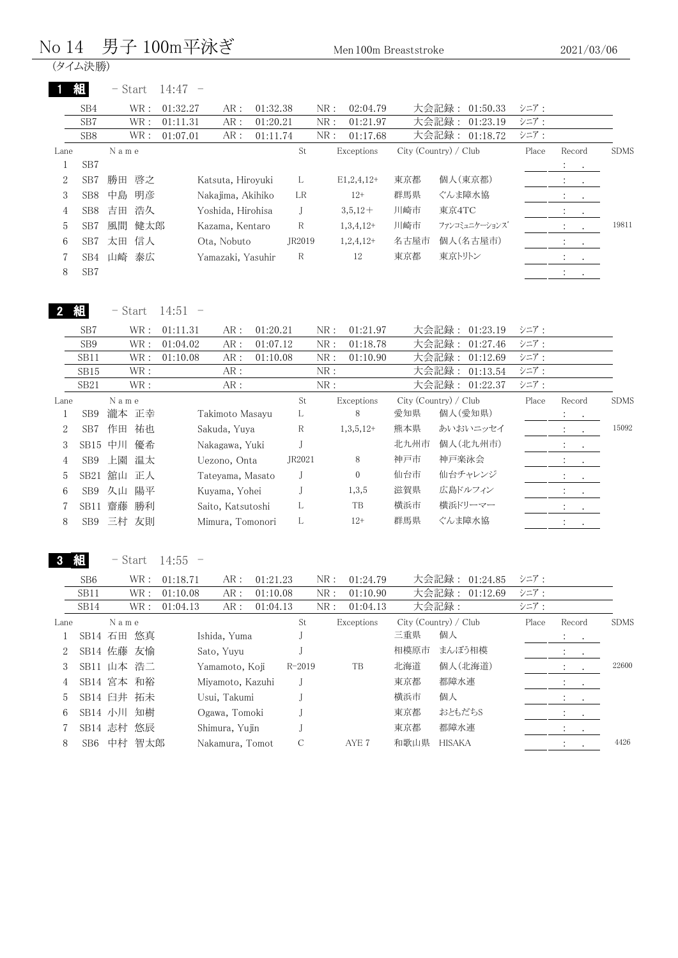#### No 14 男子 100m平泳ぎ Men 100m Breaststroke

(タイム決勝)

|      | 組               | $-$ Start | 14:47    |                   |          |        |     |                 |      |                       |       |                                  |                          |             |
|------|-----------------|-----------|----------|-------------------|----------|--------|-----|-----------------|------|-----------------------|-------|----------------------------------|--------------------------|-------------|
|      | SB4             | WR:       | 01:32.27 | AR:               | 01:32.38 |        | NR: | 02:04.79        |      | 大会記録: 01:50.33        | シニア:  |                                  |                          |             |
|      | SB7             | WR :      | 01:11.31 | AR:               | 01:20.21 |        | NR: | 01:21.97        |      | 大会記録:<br>01:23.19     | シニア:  |                                  |                          |             |
|      | SB <sub>8</sub> | WR :      | 01:07.01 | AR:               | 01:11.74 |        | NR: | 01:17.68        |      | 大会記録: 01:18.72        | シニア:  |                                  |                          |             |
| Lane |                 | Name      |          |                   |          | St     |     | Exceptions      |      | City (Country) / Club | Place | Record                           |                          | <b>SDMS</b> |
|      | SB <sub>7</sub> |           |          |                   |          |        |     |                 |      |                       |       | $\mathcal{L}_{\rm{max}}$ .       |                          |             |
| 2    | SB <sub>7</sub> | 勝田<br>啓之  |          | Katsuta, Hiroyuki |          | L      |     | $E1, 2, 4, 12+$ | 東京都  | 個人(東京都)               |       | $\sim$ 100 $\sim$ 100 $\sim$     |                          |             |
| 3    | SB <sub>8</sub> | 明彦<br>中島  |          | Nakajima, Akihiko |          | LR     |     | $12+$           | 群馬県  | ぐんま障水協                |       | $\mathcal{L} = \{1,2,3,4,5\}$    |                          |             |
| 4    | SB <sub>8</sub> | 浩久<br>吉田  |          | Yoshida, Hirohisa |          |        |     | $3,5,12+$       | 川崎市  | 東京4TC                 |       | $\sim$ 100 $\sim$ 100 $\sim$     |                          |             |
| 5    | SB <sub>7</sub> | 健太郎<br>風間 |          | Kazama, Kentaro   |          | R      |     | $1,3,4,12+$     | 川崎市  | ファンコミュニケーションズ         |       |                                  | $\sim$                   | 19811       |
| 6    | SB <sub>7</sub> | 信人<br>太田  |          | Ota, Nobuto       |          | JR2019 |     | $1,2,4,12+$     | 名古屋市 | 個人(名古屋市)              |       |                                  | <b>All Contracts</b>     |             |
|      | SB4             | 泰広<br>山崎  |          | Yamazaki, Yasuhir |          | R      |     | 12              | 東京都  | 東京トリトン                |       | $\cdot$                          | <b>Contract Contract</b> |             |
| 8    | SB <sub>7</sub> |           |          |                   |          |        |     |                 |      |                       |       | $\mathcal{L} = \{1, \ldots, n\}$ |                          |             |
|      |                 |           |          |                   |          |        |     |                 |      |                       |       |                                  |                          |             |

2 組

- Start 14:51 -

|      | SB7             |         | WR:  | 01:11.31 | AR:               | 01:20.21 |        | NR: | 01:21.97     |      | 大会記録:<br>01:23.19     | シニア:  |                                               |             |
|------|-----------------|---------|------|----------|-------------------|----------|--------|-----|--------------|------|-----------------------|-------|-----------------------------------------------|-------------|
|      | SB <sub>9</sub> |         | WR:  | 01:04.02 | AR:               | 01:07.12 |        | NR: | 01:18.78     |      | 大会記録:<br>01:27.46     | シニア:  |                                               |             |
|      | SB11            |         | WR : | 01:10.08 | AR:               | 01:10.08 |        | NR: | 01:10.90     |      | 大会記録:<br>01:12.69     | シニア:  |                                               |             |
|      | SB15            |         | WR:  |          | AR:               |          |        | NR: |              |      | 大会記録:<br>01:13.54     | シニア:  |                                               |             |
|      | SB21            |         | WR : |          | AR:               |          |        | NR: |              |      | 大会記録:<br>01:22.37     | シニア:  |                                               |             |
| Lane |                 | Name    |      |          |                   |          | St     |     | Exceptions   |      | City (Country) / Club | Place | Record                                        | <b>SDMS</b> |
|      | SB <sub>9</sub> | 瀧本 正幸   |      |          | Takimoto Masayu   |          | L      |     | 8            | 愛知県  | 個人(愛知県)               |       | $\mathcal{X}=\mathcal{L}$                     |             |
| 2    | SB <sub>7</sub> | 作田      | 祐也   |          | Sakuda, Yuya      |          | R      |     | $1,3,5,12+$  | 熊本県  | あいおいニッセイ              |       | $\mathcal{L} = \{1, 2, \ldots \}$             | 15092       |
| 3    | $SB15$ 中川       |         | 優希   |          | Nakagawa, Yuki    |          |        |     |              | 北九州市 | 個人(北九州市)              |       | <b>Alberta Co</b>                             |             |
| 4    | SB <sub>9</sub> | 上園      | 温太   |          | Uezono, Onta      |          | JR2021 |     | 8            | 神戸市  | 神戸楽泳会                 |       | <b>Report Follows</b>                         |             |
| 5    |                 | SB21 舘山 | 正人   |          | Tateyama, Masato  |          |        |     | $\mathbf{0}$ | 仙台市  | 仙台チャレンジ               |       | <b>Contract Contract</b>                      |             |
| 6    | SB <sub>9</sub> | 久山      | 陽平   |          | Kuyama, Yohei     |          |        |     | 1,3,5        | 滋賀県  | 広島ドルフィン               |       | $\bullet$ . In the $\bullet$                  |             |
|      | SB11            | 齋藤      | 勝利   |          | Saito, Katsutoshi |          |        |     | TB           | 横浜市  | 横浜ドリーマー               |       | $\bullet$ , $\bullet$ , $\bullet$ , $\bullet$ |             |
| 8    | SB <sub>9</sub> | 三村 友則   |      |          | Mimura, Tomonori  |          |        |     | $12+$        | 群馬県  | ぐんま障水協                |       | $\mathbb{R}^n$                                |             |
|      |                 |         |      |          |                   |          |        |     |              |      |                       |       |                                               |             |

3 組 - Start 14:55 -

|      |                  |      | ~ີເພະເ     | 11.OU    |                  |          |            |     |            |      |                       |       |                                        |           |             |
|------|------------------|------|------------|----------|------------------|----------|------------|-----|------------|------|-----------------------|-------|----------------------------------------|-----------|-------------|
|      | SB6              |      | WR :       | 01:18.71 | AR:              | 01:21.23 |            | NR: | 01:24.79   |      | 大会記録:<br>01:24.85     | シニア:  |                                        |           |             |
|      | SB <sub>11</sub> |      | WR :       | 01:10.08 | AR:              | 01:10.08 |            | NR: | 01:10.90   |      | 大会記録:<br>01:12.69     | シニア:  |                                        |           |             |
|      | SB <sub>14</sub> |      | WR :       | 01:04.13 | AR:              | 01:04.13 |            | NR: | 01:04.13   |      | 大会記録:                 | シニア:  |                                        |           |             |
| Lane |                  | Name |            |          |                  |          | St         |     | Exceptions |      | City (Country) / Club | Place | Record                                 |           | <b>SDMS</b> |
|      | SB14 石田          |      | 悠真         |          | Ishida, Yuma     |          |            |     |            | 三重県  | 個人                    |       | $\mathbf{r} = \mathbf{r} + \mathbf{r}$ |           |             |
|      | SB14 佐藤 友愉       |      |            |          | Sato, Yuyu       |          |            |     |            | 相模原市 | まんぼう相模                |       | $\cdot$                                | $\cdot$   |             |
| 3    | SB11 山本 浩二       |      |            |          | Yamamoto, Koji   |          | $R - 2019$ |     | TB         | 北海道  | 個人(北海道)               |       | $\ddot{\cdot}$                         | $\cdot$   | 22600       |
| 4    | SB14 宮本 和裕       |      |            |          | Miyamoto, Kazuhi |          |            |     |            | 東京都  | 都障水連                  |       | $\cdot$                                | $\cdot$   |             |
| 5.   | SB14 臼井 拓未       |      |            |          | Usui, Takumi     |          |            |     |            | 横浜市  | 個人                    |       | $\bullet$                              | $\bullet$ |             |
| 6    | SB14 小川 知樹       |      |            |          | Ogawa, Tomoki    |          |            |     |            | 東京都  | おともだちS                |       | $\cdot$                                | $\cdot$   |             |
|      |                  |      | SB14 志村 悠辰 |          | Shimura, Yujin   |          |            |     |            | 東京都  | 都障水連                  |       |                                        | $\cdot$   |             |
| 8    | SB <sub>6</sub>  | 中村   | 智太郎        |          | Nakamura, Tomot  |          | C          |     | AYE 7      | 和歌山県 | <b>HISAKA</b>         |       | $\ddot{\cdot}$                         | $\cdot$   | 4426        |
|      |                  |      |            |          |                  |          |            |     |            |      |                       |       |                                        |           |             |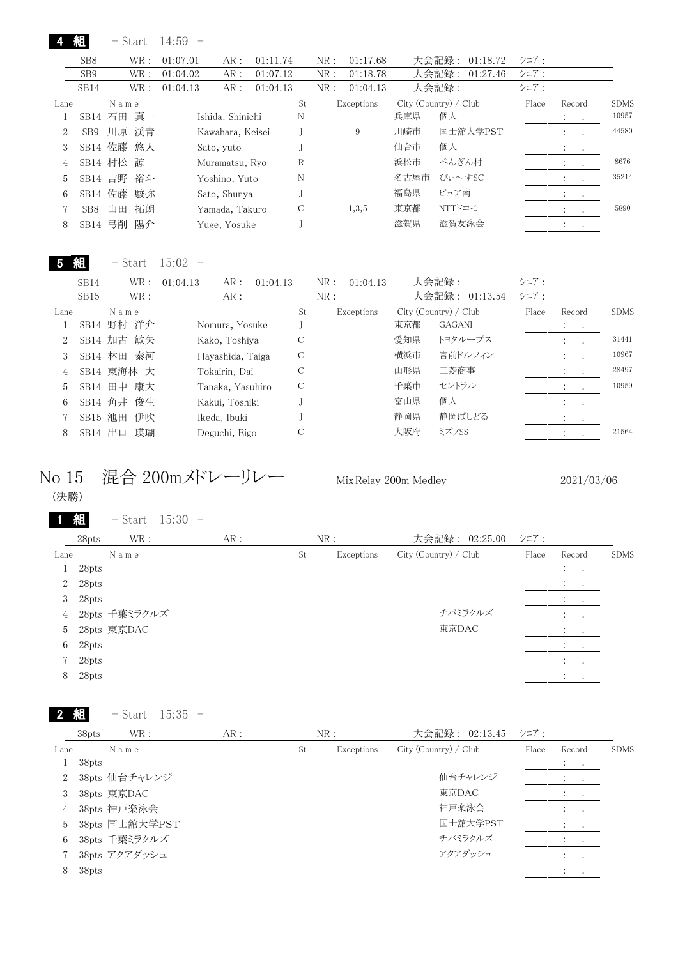|                |                  | $-$ Start  |    | 14:59    |                  |          |    |     |            |      |                       |       |                      |           |             |
|----------------|------------------|------------|----|----------|------------------|----------|----|-----|------------|------|-----------------------|-------|----------------------|-----------|-------------|
|                | SB <sub>8</sub>  | WR:        |    | 01:07.01 | AR:              | 01:11.74 |    | NR: | 01:17.68   |      | 大会記録: 01:18.72        | シニア:  |                      |           |             |
|                | SB <sub>9</sub>  | WR :       |    | 01:04.02 | AR:              | 01:07.12 |    | NR: | 01:18.78   |      | 大会記録:<br>01:27.46     | シニア:  |                      |           |             |
|                | SB <sub>14</sub> | WR :       |    | 01:04.13 | AR:              | 01:04.13 |    | NR: | 01:04.13   |      | 大会記録:                 | シニア:  |                      |           |             |
| Lane           |                  | Name       |    |          |                  |          | St |     | Exceptions |      | City (Country) / Club | Place | Record               |           | <b>SDMS</b> |
|                |                  | SB14 石田 真一 |    |          | Ishida, Shinichi |          | N  |     |            | 兵庫県  | 個人                    |       | $\cdot$              |           | 10957       |
| $\overline{2}$ | SB9              | 川原 渓青      |    |          | Kawahara, Keisei |          |    |     | 9          | 川崎市  | 国士舘大学PST              |       |                      | $\bullet$ | 44580       |
| 3              |                  | SB14 佐藤 悠人 |    |          | Sato, yuto       |          |    |     |            | 仙台市  | 個人                    |       | $\bullet$            | $\bullet$ |             |
| 4              |                  | SB14 村松 諒  |    |          | Muramatsu, Ryo   |          | R  |     |            | 浜松市  | ぺんぎん村                 |       | $\cdot$              | $\cdot$   | 8676        |
| 5              |                  | SB14 吉野 裕斗 |    |          | Yoshino, Yuto    |          | N  |     |            | 名古屋市 | ぴぃ~すSC                |       | $\cdot$              | $\cdot$   | 35214       |
| 6              | SB14 佐藤          |            | 駿弥 |          | Sato, Shunya     |          |    |     |            | 福島県  | ピュア南                  |       | $\bullet$            | $\bullet$ |             |
|                | SB <sub>8</sub>  | 山田         | 拓朗 |          | Yamada, Takuro   |          | С  |     | 1,3,5      | 東京都  | NTTドコモ                |       | $\ddot{\phantom{0}}$ | $\bullet$ | 5890        |
| 8              | SB14 弓削          |            | 陽介 |          | Yuge, Yosuke     |          |    |     |            | 滋賀県  | 滋賀友泳会                 |       | $\bullet$            | $\bullet$ |             |

5 組 - Start 15:02 -

|      | SB <sub>14</sub> | WR :          | 01:04.13<br>AR:  | 01:04.13 | 01:04.13<br>NR: |     | 大会記録:                 | シニア:  |                    |             |
|------|------------------|---------------|------------------|----------|-----------------|-----|-----------------------|-------|--------------------|-------------|
|      | SB15             | WR:           | AR:              |          | NR:             |     | 大会記録: 01:13.54        | シニア:  |                    |             |
| Lane |                  | Name          |                  | St       | Exceptions      |     | City (Country) / Club | Place | Record             | <b>SDMS</b> |
|      |                  | SB14 野村 洋介    | Nomura, Yosuke   |          |                 | 東京都 | <b>GAGANI</b>         |       | <b>All Cards</b>   |             |
|      |                  | SB14 加古 敏矢    | Kako, Toshiya    | С        |                 | 愛知県 | トヨタループス               |       |                    | 31441       |
|      |                  | 泰河<br>SB14 林田 | Hayashida, Taiga | С        |                 | 横浜市 | 宮前ドルフィン               |       |                    | 10967       |
|      |                  | SB14 東海林 大    | Tokairin, Dai    | С        |                 | 山形県 | 三菱商事                  |       | $\cdot$            | 28497       |
| 5.   |                  | SB14 田中 康大    | Tanaka, Yasuhiro | С        |                 | 千葉市 | セントラル                 |       |                    | 10959       |
| 6.   |                  | SB14 角井 俊生    | Kakui, Toshiki   |          |                 | 富山県 | 個人                    |       | $\cdot$<br>$\cdot$ |             |
|      | SB15 池田          | 伊吹            | Ikeda, Ibuki     |          |                 | 静岡県 | 静岡ぱしどる                |       | $\cdot$<br>$\sim$  |             |
| 8    | SB14 出口          | 瑛瑚            | Deguchi, Eigo    | С        |                 | 大阪府 | ミズノSS                 |       |                    | 21564       |
|      |                  |               |                  |          |                 |     |                       |       |                    |             |

No 15 混合 200mメドレーリレー MixRelay 200m Medley

2021/03/06

| (決勝)           |       |                        |     |    |            |                       |       |                                     |             |
|----------------|-------|------------------------|-----|----|------------|-----------------------|-------|-------------------------------------|-------------|
|                | 組     | $15:30 -$<br>$-$ Start |     |    |            |                       |       |                                     |             |
|                | 28pts | WR :                   | AR: |    | NR:        | 大会記録: 02:25.00        | シニア:  |                                     |             |
| Lane           |       | Name                   |     | St | Exceptions | City (Country) / Club | Place | Record                              | <b>SDMS</b> |
| T.             | 28pts |                        |     |    |            |                       |       | $\mathcal{X} \subset \mathcal{X}$ . |             |
| $\overline{2}$ | 28pts |                        |     |    |            |                       |       |                                     |             |
| 3              | 28pts |                        |     |    |            |                       |       | $\sim$<br>$\ddot{\phantom{0}}$      |             |
| $\overline{4}$ |       | 28pts 千葉ミラクルズ          |     |    |            | チバミラクルズ               |       | $\mathbf{A}$ and $\mathbf{A}$       |             |
| 5              |       | 28pts 東京DAC            |     |    |            | 東京DAC                 |       | $\sim$ 100 $\sim$ 100 $\sim$        |             |
| 6              | 28pts |                        |     |    |            |                       |       | $\bullet$<br>$\cdot$ $\cdot$        |             |
|                | 28pts |                        |     |    |            |                       |       | $\sim$<br>$\cdot$                   |             |
| 8              | 28pts |                        |     |    |            |                       |       | $\bullet$                           |             |

 組 - Start 15:35 -

|             | 38pts | WR:            | AR: |    | NR:        | 大会記録: 02:13.45 シニア:     |       |                   |             |
|-------------|-------|----------------|-----|----|------------|-------------------------|-------|-------------------|-------------|
| Lane        |       | Name           |     | St | Exceptions | $City$ (Country) / Club | Place | Record            | <b>SDMS</b> |
|             | 38pts |                |     |    |            |                         |       | $\cdot$<br>$\sim$ |             |
| $2^{\circ}$ |       | 38pts 仙台チャレンジ  |     |    |            | 仙台チャレンジ                 |       | $\bullet$         |             |
| 3           |       | 38pts 東京DAC    |     |    |            | 東京DAC                   |       |                   |             |
| 4           |       | 38pts 神戸楽泳会    |     |    |            | 神戸楽泳会                   |       |                   |             |
| 5           |       | 38pts 国士舘大学PST |     |    |            | 国士舘大学PST                |       | $\sim$            |             |
| 6           |       | 38pts 千葉ミラクルズ  |     |    |            | チバミラクルズ                 |       |                   |             |
|             |       | 38pts アクアダッシュ  |     |    |            | アクアダッシュ                 |       |                   |             |
| 8           | 38pts |                |     |    |            |                         |       |                   |             |
|             |       |                |     |    |            |                         |       |                   |             |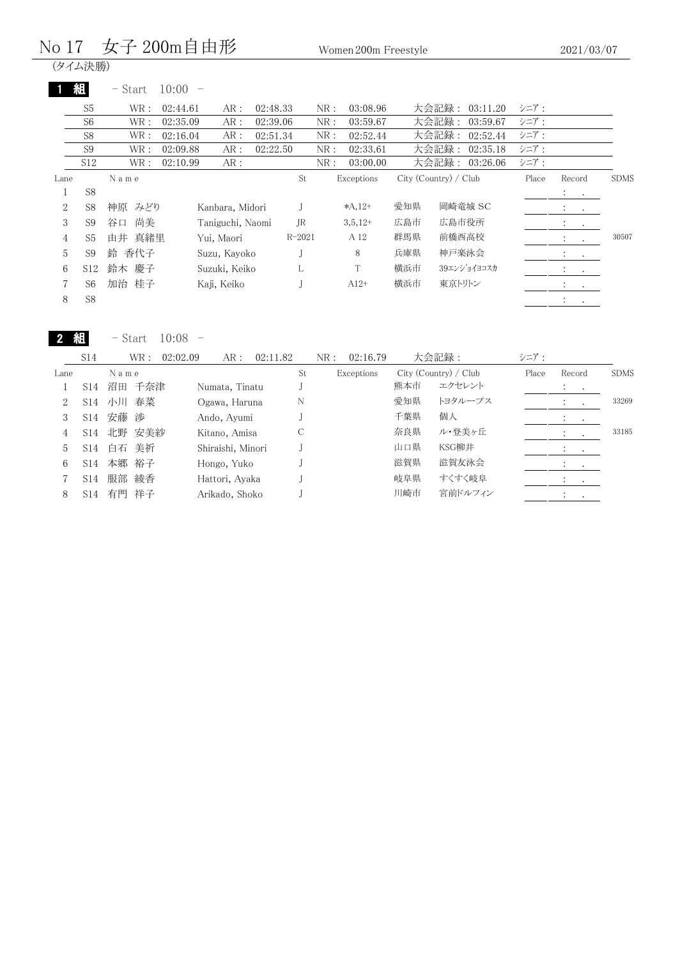### No 17 女子 200m自由形 Women 200m Freestyle

· s ニ · / /<br>(タイム決勝)

|  |  |  | – Start |  | 10:00 |  |
|--|--|--|---------|--|-------|--|
|--|--|--|---------|--|-------|--|

|                |                 | $-$ Start | 10:00    |                  |          |            |     |            |     |                       |       |                                                  |             |
|----------------|-----------------|-----------|----------|------------------|----------|------------|-----|------------|-----|-----------------------|-------|--------------------------------------------------|-------------|
|                | S <sub>5</sub>  | WR :      | 02:44.61 | AR:              | 02:48.33 |            | NR: | 03:08.96   |     | 大会記録: 03:11.20        | シニア:  |                                                  |             |
|                | S <sub>6</sub>  | WR:       | 02:35.09 | AR:              | 02:39.06 |            | NR: | 03:59.67   |     | 大会記録:<br>03:59.67     | シニア:  |                                                  |             |
|                | S <sub>8</sub>  | WR:       | 02:16.04 | AR:              | 02:51.34 |            | NR: | 02:52.44   |     | 大会記録:<br>02:52.44     | シニア:  |                                                  |             |
|                | S <sub>9</sub>  | WR :      | 02:09.88 | AR:              | 02:22.50 |            | NR: | 02:33.61   |     | 大会記録:<br>02:35.18     | シニア:  |                                                  |             |
|                | S <sub>12</sub> | WR :      | 02:10.99 | AR:              |          |            | NR: | 03:00.00   |     | 大会記録:<br>03:26.06     | シニア:  |                                                  |             |
| Lane           |                 | N a m e   |          |                  |          | St         |     | Exceptions |     | City (Country) / Club | Place | Record                                           | <b>SDMS</b> |
| Ŧ              | S <sub>8</sub>  |           |          |                  |          |            |     |            |     |                       |       | $\mathcal{L}=\mathcal{L}$                        |             |
| $\overline{2}$ | S <sub>8</sub>  | 神原<br>みどり |          | Kanbara, Midori  |          |            |     | $*A, 12+$  | 愛知県 | 岡崎竜城 SC               |       | $\mathbf{A}$ and $\mathbf{A}$ and $\mathbf{A}$   |             |
| 3              | S <sub>9</sub>  | 尚美<br>谷口  |          | Taniguchi, Naomi |          | JR.        |     | $3,5,12+$  | 広島市 | 広島市役所                 |       | $\ddot{\phantom{a}}$<br>$\sim$ 100 $\pm$         |             |
| 4              | S <sub>5</sub>  | 由井 真緒里    |          | Yui, Maori       |          | $R - 2021$ |     | A 12       | 群馬県 | 前橋西高校                 |       | $\ddot{\cdot}$<br>$\sim$                         | 30507       |
| 5              | S <sub>9</sub>  | 香代子<br>鈴  |          | Suzu, Kayoko     |          |            |     | 8          | 兵庫県 | 神戸楽泳会                 |       | $\ddot{\cdot}$<br>$\sim$ $\sim$                  |             |
| 6              | S <sub>12</sub> | 鈴木 慶子     |          | Suzuki, Keiko    |          | L          |     | T          | 横浜市 | 39エンショイヨコスカ           |       | $\ddot{\phantom{0}}$<br><b>Contract Contract</b> |             |
| 7              | S <sub>6</sub>  | 加治 桂子     |          | Kaji, Keiko      |          |            |     | $A12+$     | 横浜市 | 東京トリトン                |       | $\cdot$<br>$\sim$                                |             |
| 8              | S <sub>8</sub>  |           |          |                  |          |            |     |            |     |                       |       | $\cdot$<br>$\bullet$                             |             |

2 組

- Start 10:08 -

|      | S <sub>14</sub> |       | WR :   | 02:02.09 | AR:               | 02:11.82 |    | NR: | 02:16.79   |     | 大会記録:                 | シニア:  |           |             |
|------|-----------------|-------|--------|----------|-------------------|----------|----|-----|------------|-----|-----------------------|-------|-----------|-------------|
| Lane |                 | Name  |        |          |                   |          | St |     | Exceptions |     | City (Country) / Club | Place | Record    | <b>SDMS</b> |
|      | S14             |       | 沼田 千奈津 |          | Numata, Tinatu    |          |    |     |            | 熊本市 | エクセレント                |       | $\bullet$ |             |
|      | S14             | 小川    | 春菜     |          | Ogawa, Haruna     |          | N  |     |            | 愛知県 | トヨタループス               |       |           | 33269       |
|      | S14             | 安藤 渉  |        |          | Ando, Ayumi       |          |    |     |            | 千葉県 | 個人                    |       | $\cdot$   |             |
| 4    | S14             |       | 北野 安美紗 |          | Kitano, Amisa     |          | С  |     |            | 奈良県 | ル・登美ヶ丘                |       |           | 33185       |
| 5    | S <sub>14</sub> | 白石    | 美祈     |          | Shiraishi, Minori |          |    |     |            | 山口県 | KSG柳井                 |       |           |             |
| 6    | S14             | 本郷 裕子 |        |          | Hongo, Yuko       |          |    |     |            | 滋賀県 | 滋賀友泳会                 |       |           |             |
|      | S14             | 服部 綾香 |        |          | Hattori, Ayaka    |          |    |     |            | 岐阜県 | すくすく岐阜                |       |           |             |
| 8    | S <sub>14</sub> | 有門 祥子 |        |          | Arikado, Shoko    |          |    |     |            | 川崎市 | 宮前ドルフィン               |       | $\cdot$   |             |
|      |                 |       |        |          |                   |          |    |     |            |     |                       |       |           |             |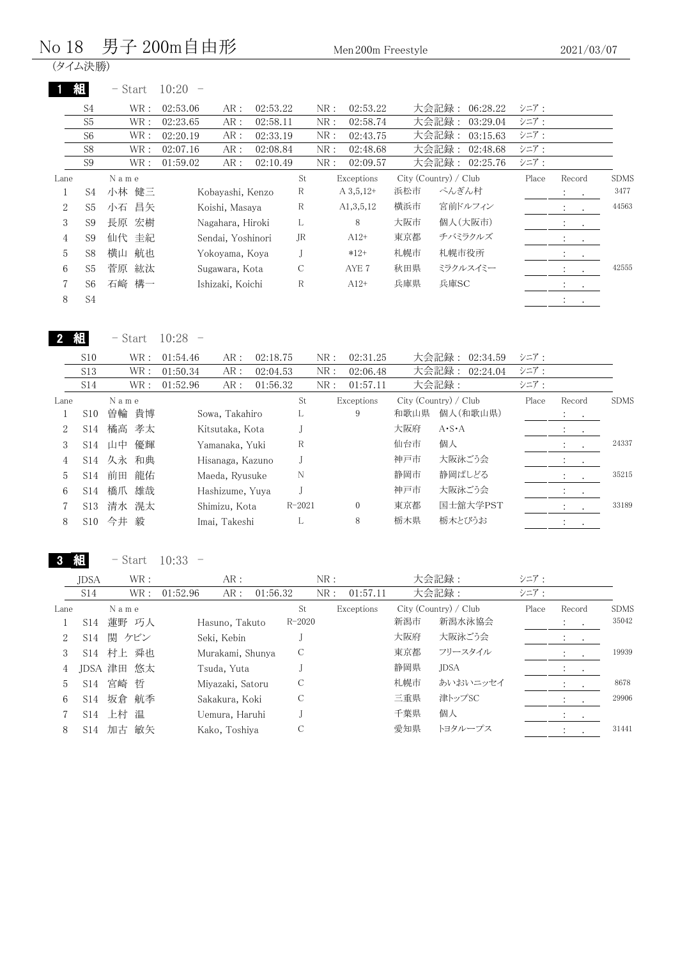#### $\rm No~18~~$  男子  $\rm 200m$ 自由形  $\rm M_{\rm en}$   $\rm 200m$  Freestyle

(タイム決勝)

|      | 組              | $-$ Start | 10:20             |          |     |     |              |     |                       |       |                                                  |             |
|------|----------------|-----------|-------------------|----------|-----|-----|--------------|-----|-----------------------|-------|--------------------------------------------------|-------------|
|      | S4             | WR :      | 02:53.06<br>AR :  | 02:53.22 |     | NR: | 02:53.22     |     | 大会記録:<br>06:28.22     | シニア:  |                                                  |             |
|      | S <sub>5</sub> | WR:       | 02:23.65<br>AR:   | 02:58.11 |     | NR: | 02:58.74     |     | 大会記録:<br>03:29.04     | シニア:  |                                                  |             |
|      | S <sub>6</sub> | WR :      | AR:<br>02:20.19   | 02:33.19 |     | NR: | 02:43.75     |     | 大会記録:<br>03:15.63     | シニア:  |                                                  |             |
|      | S <sub>8</sub> | WR :      | AR:<br>02:07.16   | 02:08.84 |     | NR: | 02:48.68     |     | 大会記録:<br>02:48.68     | シニア:  |                                                  |             |
|      | S <sub>9</sub> | WR :      | AR:<br>01:59.02   | 02:10.49 |     | NR: | 02:09.57     |     | 大会記録:<br>02:25.76     | シニア:  |                                                  |             |
| Lane |                | Name      |                   |          | St. |     | Exceptions   |     | City (Country) / Club | Place | Record                                           | <b>SDMS</b> |
|      | S <sub>4</sub> | 小林<br>健三  | Kobayashi, Kenzo  |          | R   |     | $A\,3,5,12+$ | 浜松市 | ぺんぎん村                 |       | $\ddot{\cdot}$<br>$\sim 100$                     | 3477        |
| 2    | S <sub>5</sub> | 昌矢<br>小石  | Koishi, Masaya    |          | R   |     | A1,3,5,12    | 横浜市 | 宮前ドルフィン               |       | $\ddot{\cdot}$<br>$\ddot{\phantom{a}}$           | 44563       |
| 3    | S <sub>9</sub> | 宏樹<br>長原  | Nagahara, Hiroki  |          | L   |     | 8            | 大阪市 | 個人(大阪市)               |       | $\ddot{\phantom{0}}$<br><b>Contract Contract</b> |             |
| 4    | S <sub>9</sub> | 仙代 圭紀     | Sendai, Yoshinori |          | JR  |     | $A12+$       | 東京都 | チバミラクルズ               |       | $\ddot{\cdot}$<br>$\sim$ $\sim$                  |             |
| 5    | S <sub>8</sub> | 横山<br>航也  | Yokoyama, Koya    |          | J   |     | $*12+$       | 札幌市 | 札幌市役所                 |       | ÷<br>$\bullet$                                   |             |
| 6    | S <sub>5</sub> | 菅原<br>紘汰  | Sugawara, Kota    |          | C   |     | AYE 7        | 秋田県 | ミラクルスイミー              |       | $\ddot{\phantom{a}}$                             | 42555       |
| 7    | S <sub>6</sub> | 石崎 構一     | Ishizaki, Koichi  |          | R   |     | $A12+$       | 兵庫県 | 兵庫SC                  |       | $\ddot{\cdot}$<br>$\sim$                         |             |
| 8    | S <sub>4</sub> |           |                   |          |     |     |              |     |                       |       | $\ddot{\phantom{a}}$<br>$\cdot$                  |             |

2 組 - Start 10:28 -

|      | S10             |       | WR : | 01:54.46 | AR:              | 02:18.75 |            | NR: | 02:31.25   |      | 大会記録: 02:34.59        | シニア:  |                             |           |             |
|------|-----------------|-------|------|----------|------------------|----------|------------|-----|------------|------|-----------------------|-------|-----------------------------|-----------|-------------|
|      | S <sub>13</sub> |       | WR : | 01:50.34 | AR:              | 02:04.53 |            | NR: | 02:06.48   |      | 大会記録:<br>02:24.04     | シニア:  |                             |           |             |
|      | S14             |       | WR : | 01:52.96 | AR:              | 01:56.32 |            | NR: | 01:57.11   |      | 大会記録:                 | シニア:  |                             |           |             |
| Lane |                 | Name  |      |          |                  |          | St         |     | Exceptions |      | City (Country) / Club | Place | Record                      |           | <b>SDMS</b> |
|      | S <sub>10</sub> | 曽輪    | 貴博   |          | Sowa, Takahiro   |          |            |     | 9          | 和歌山県 | 個人(和歌山県)              |       | <b>Allen Art</b>            |           |             |
| 2    | S <sub>14</sub> | 橘高    | 孝太   |          | Kitsutaka, Kota  |          |            |     |            | 大阪府  | $A \cdot S \cdot A$   |       | $\cdot$                     | $\bullet$ |             |
| 3    | S <sub>14</sub> | 山中    | 優輝   |          | Yamanaka, Yuki   |          | R          |     |            | 仙台市  | 個人                    |       | $\sim$ $\sim$               |           | 24337       |
| 4    | S14             | 久永 和典 |      |          | Hisanaga, Kazuno |          |            |     |            | 神戸市  | 大阪泳ごう会                |       | $\ddot{\phantom{1}}$        | $\sim$    |             |
| 5    | S <sub>14</sub> | 前田    | 龍佑   |          | Maeda, Ryusuke   |          | N          |     |            | 静岡市  | 静岡ぱしどる                |       | <b>Contract</b>             |           | 35215       |
| 6    | S <sub>14</sub> | 橋爪    | 雄哉   |          | Hashizume, Yuva  |          |            |     |            | 神戸市  | 大阪泳ごう会                |       | $\mathcal{L} = \{1,2,3,4\}$ |           |             |
|      | S <sub>13</sub> | 清水    | 滉太   |          | Shimizu, Kota    |          | $R - 2021$ |     | $\Omega$   | 東京都  | 国士舘大学PST              |       | $\ddot{\phantom{a}}$        | $\sim$    | 33189       |
| 8    | S <sub>10</sub> | 今井    | 毅    |          | Imai, Takeshi    |          |            |     | 8          | 栃木県  | 栃木とびうお                |       | $\cdot$                     |           |             |
|      |                 |       |      |          |                  |          |            |     |            |      |                       |       |                             |           |             |

3 組 - Start 10:33 -

|      | <b>JDSA</b>     | WR :       | AR :             |            | NR:             |     | 大会記録:                 | シニア:  |                                |             |
|------|-----------------|------------|------------------|------------|-----------------|-----|-----------------------|-------|--------------------------------|-------------|
|      | S14             | WR :       | 01:52.96<br>AR:  | 01:56.32   | 01:57.11<br>NR: |     | 大会記録:                 | シニア:  |                                |             |
| Lane |                 | Name       |                  | St         | Exceptions      |     | City (Country) / Club | Place | Record                         | <b>SDMS</b> |
|      | S <sub>14</sub> | 蓮野 巧人      | Hasuno, Takuto   | $R - 2020$ |                 | 新潟市 | 新潟水泳協会                |       | $\ddot{\phantom{0}}$<br>$\sim$ | 35042       |
| 2    | S <sub>14</sub> | 関 ケビン      | Seki, Kebin      |            |                 | 大阪府 | 大阪泳ごう会                |       |                                |             |
|      |                 | S14 村上 舜也  | Murakami, Shunya | C          |                 | 東京都 | フリースタイル               |       |                                | 19939       |
| 4    |                 | JDSA 津田 悠太 | Tsuda, Yuta      |            |                 | 静岡県 | <b>JDSA</b>           |       |                                |             |
| 5    | S <sub>14</sub> | 宮崎 哲       | Miyazaki, Satoru | С          |                 | 札幌市 | あいおいニッセイ              |       |                                | 8678        |
| 6    | S14             | 坂倉 航季      | Sakakura, Koki   | C          |                 | 三重県 | 津トップSC                |       |                                | 29906       |
|      | S14             | 上村 温       | Uemura, Haruhi   |            |                 | 千葉県 | 個人                    |       | $\cdot$<br>$\sim$              |             |
| 8    | S <sub>14</sub> | 敏矢<br>加古   | Kako, Toshiya    | С          |                 | 愛知県 | トヨタループス               |       |                                | 31441       |
|      |                 |            |                  |            |                 |     |                       |       |                                |             |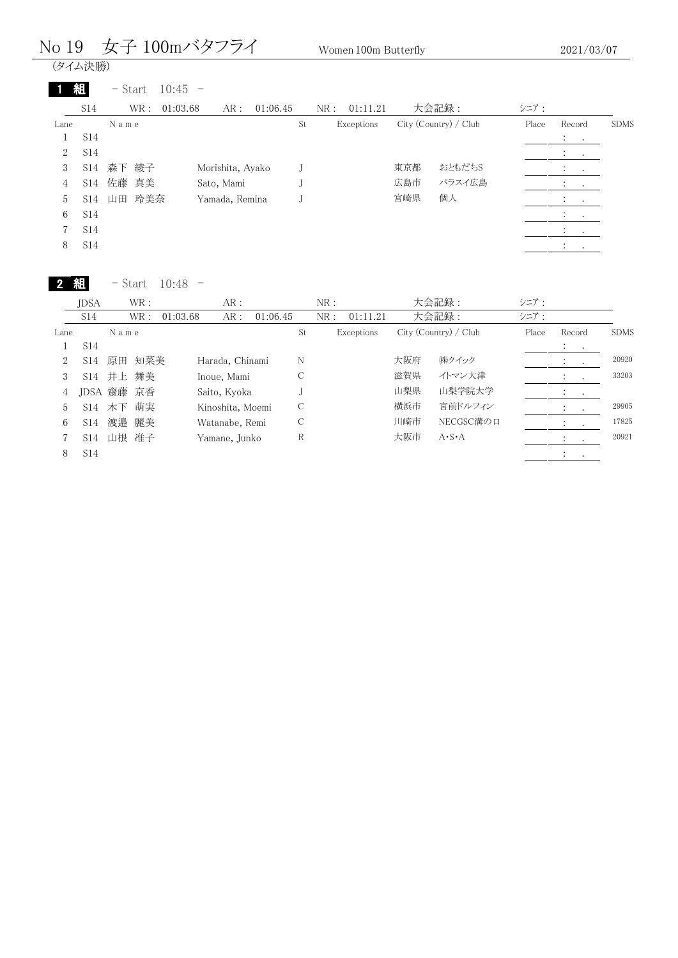## No 19 女子 100mバタフライ Women 100m Butterfly

| (タイム決勝) |  |
|---------|--|
|         |  |

|      |                 | $-$ Start | $10:45 -$ |                          |          |     |            |     |                       |       |                                                                      |             |
|------|-----------------|-----------|-----------|--------------------------|----------|-----|------------|-----|-----------------------|-------|----------------------------------------------------------------------|-------------|
|      | S14             | WR :      | 01:03.68  | AR:                      | 01:06.45 | NR: | 01:11.21   |     | 大会記録:                 | シニア:  |                                                                      |             |
| Lane |                 | Name      |           |                          |          | St  | Exceptions |     | City (Country) / Club | Place | Record                                                               | <b>SDMS</b> |
|      | <b>S14</b>      |           |           |                          |          |     |            |     |                       |       | $\mathbb{Z}^n$ . Then                                                |             |
| 2    | S <sub>14</sub> |           |           |                          |          |     |            |     |                       |       | $\mathcal{L}_{\text{max}}$                                           |             |
| 3    | S14             | 森下 綾子     |           | Morishita, Ayako         |          |     |            | 東京都 | おともだちS                |       |                                                                      |             |
| 4    | S14             | 佐藤 真美     |           | Sato, Mami               |          |     |            | 広島市 | パラスイ広島                |       |                                                                      |             |
| 5    | S14             | 玲美奈<br>山田 |           | Yamada, Remina           |          |     |            | 宮崎県 | 個人                    |       | $1 - 1 - 1$                                                          |             |
| 6    | <b>S14</b>      |           |           |                          |          |     |            |     |                       |       | $\sim$ 100 $\mu$                                                     |             |
| 7    | S <sub>14</sub> |           |           |                          |          |     |            |     |                       |       | $\mathcal{I}^{\mathcal{I}}$ , $\mathcal{I}^{\mathcal{I}}$<br>$\cdot$ |             |
| 8    | S14             |           |           |                          |          |     |            |     |                       |       | $\bullet$                                                            |             |
|      |                 | $-$ Start | 10:48     | $\overline{\phantom{a}}$ |          |     |            |     |                       |       |                                                                      |             |
|      | JDSA            | WR:       |           | AR:                      |          | NR: |            |     | 大会記録:                 | シニア:  |                                                                      |             |

|                | .,              |      |            |          |                  |          |    |     |            |     |                       |       |           |           |             |
|----------------|-----------------|------|------------|----------|------------------|----------|----|-----|------------|-----|-----------------------|-------|-----------|-----------|-------------|
|                | S <sub>14</sub> |      | WR:        | 01:03.68 | AR:              | 01:06.45 |    | NR: | 01:11.21   |     | 大会記録:                 | シニア:  |           |           |             |
| Lane           |                 | Name |            |          |                  |          | St |     | Exceptions |     | City (Country) / Club | Place | Record    |           | <b>SDMS</b> |
|                | S14             |      |            |          |                  |          |    |     |            |     |                       |       | $\bullet$ | $\bullet$ |             |
| 2              | S14             | 原田   | 知菜美        |          | Harada, Chinami  |          | N  |     |            | 大阪府 | ㈱クイック                 |       |           |           | 20920       |
| 3              |                 |      | S14 井上 舞美  |          | Inoue, Mami      |          |    |     |            | 滋賀県 | イトマン大津                |       |           |           | 33203       |
| 4              |                 |      | JDSA 齋藤 京香 |          | Saito, Kyoka     |          |    |     |            | 山梨県 | 山梨学院大学                |       |           | $\cdot$   |             |
| $\mathfrak{h}$ |                 |      | S14 木下 萌実  |          | Kinoshita, Moemi |          | С  |     |            | 横浜市 | 宮前ドルフィン               |       |           |           | 29905       |
| 6              | S14             |      | 渡邉 麗美      |          | Watanabe, Remi   |          | С  |     |            | 川崎市 | NECGSC溝の口             |       |           |           | 17825       |
|                | S14.            |      | 山根 准子      |          | Yamane, Junko    |          | R  |     |            | 大阪市 | $A \cdot S \cdot A$   |       |           |           | 20921       |
| 8              | S <sub>14</sub> |      |            |          |                  |          |    |     |            |     |                       |       |           |           |             |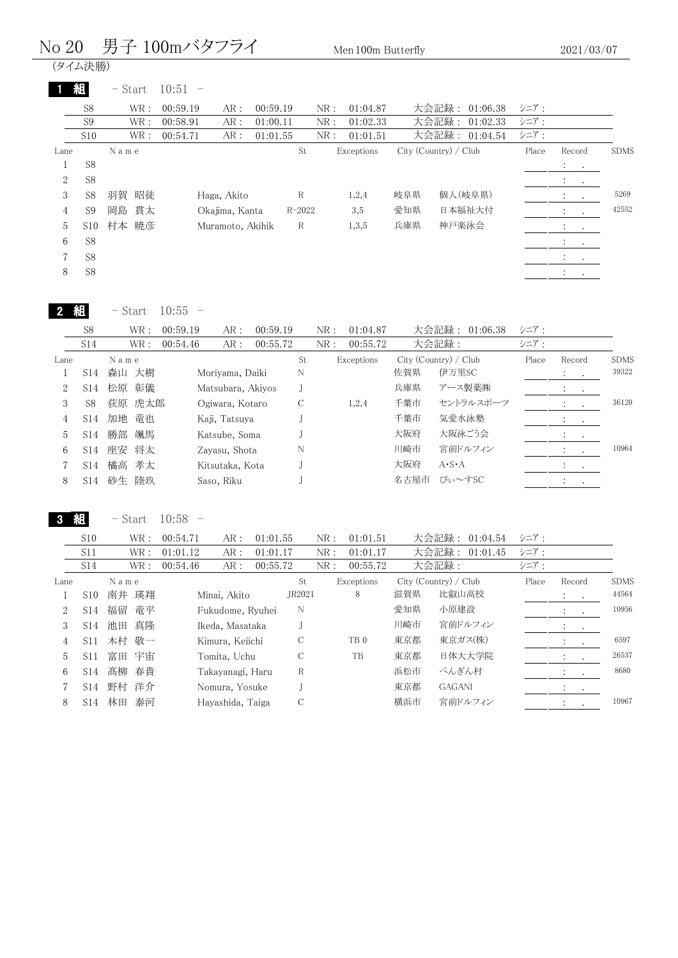#### No 20 男子 100mバタフライ Men 100m Butterfly

(タイム決勝)

|      | 組              | - Start  | $10:51 -$   |                  |            |     |            |     |                       |       |                                                               |             |
|------|----------------|----------|-------------|------------------|------------|-----|------------|-----|-----------------------|-------|---------------------------------------------------------------|-------------|
|      | S <sub>8</sub> | WR:      | 00:59.19    | AR:              | 00:59.19   | NR: | 01:04.87   |     | 大会記録:<br>01:06.38     | シニア:  |                                                               |             |
|      | S <sub>9</sub> | WR:      | 00:58.91    | AR:              | 01:00.11   | NR: | 01:02.33   |     | 大会記録:<br>01:02.33     | シニア:  |                                                               |             |
|      | S10            | WR:      | 00:54.71    | AR:              | 01:01.55   | NR: | 01:01.51   |     | 大会記録: 01:04.54        | シニア:  |                                                               |             |
| Lane |                | Name     |             |                  | St         |     | Exceptions |     | City (Country) / Club | Place | Record                                                        | <b>SDMS</b> |
|      | S <sub>8</sub> |          |             |                  |            |     |            |     |                       |       | $\mathcal{I}^{\mathcal{I}}$ , and $\mathcal{I}^{\mathcal{I}}$ |             |
| 2    | S <sub>8</sub> |          |             |                  |            |     |            |     |                       |       | $\sim 100$<br>$\cdot$                                         |             |
| 3    | S8             | 羽賀<br>昭徒 | Haga, Akito |                  | R          |     | 1,2,4      | 岐阜県 | 個人(岐阜県)               |       | $\ddot{\phantom{0}}$<br>$\bullet$                             | 5269        |
| 4    | S <sub>9</sub> | 岡島<br>貫太 |             | Okajima, Kanta   | $R - 2022$ |     | 3,5        | 愛知県 | 日本福祉大付                |       | $1 - 1$                                                       | 42552       |
| 5    | S10            | 村本<br>暁彦 |             | Muramoto, Akihik | R          |     | 1,3,5      | 兵庫県 | 神戸楽泳会                 |       | <b>Service Control</b>                                        |             |
| 6    | S <sub>8</sub> |          |             |                  |            |     |            |     |                       |       | $\mathbb{R}^n$ and $\mathbb{R}^n$                             |             |
|      | S <sub>8</sub> |          |             |                  |            |     |            |     |                       |       |                                                               |             |
| 8    | S <sub>8</sub> |          |             |                  |            |     |            |     |                       |       | $\ddot{\cdot}$                                                |             |
|      |                |          |             |                  |            |     |            |     |                       |       |                                                               |             |

 $10:55 -$ 

|      | S <sub>8</sub>  |      | WR :   | 00:59.19 | AR:               | 00:59.19 |    | NR: | 01:04.87   |      | 大会記録: 01:06.38        | シニア:  |                |         |             |
|------|-----------------|------|--------|----------|-------------------|----------|----|-----|------------|------|-----------------------|-------|----------------|---------|-------------|
|      | S14             |      | WR :   | 00:54.46 | AR:               | 00:55.72 |    | NR: | 00:55.72   |      | 大会記録:                 | シニア:  |                |         |             |
| Lane |                 | Name |        |          |                   |          | St |     | Exceptions |      | City (Country) / Club | Place | Record         |         | <b>SDMS</b> |
|      | S14             |      | 森山 大樹  |          | Moriyama, Daiki   |          | N  |     |            | 佐賀県  | 伊万里SC                 |       | $\ddot{\cdot}$ |         | 39322       |
| 2    | S <sub>14</sub> |      | 松原 彰儀  |          | Matsubara, Akiyos |          |    |     |            | 兵庫県  | アース製薬㈱                |       |                |         |             |
| 3    | S8              |      | 荻原 虎太郎 |          | Ogiwara, Kotaro   |          | С  |     | 1,2,4      | 千葉市  | セントラルスポーツ             |       |                |         | 36120       |
| 4    | S14             |      | 加地 竜也  |          | Kaji, Tatsuya     |          |    |     |            | 千葉市  | 気愛水泳塾                 |       |                |         |             |
| 5    | S14             | 勝部   | 颯馬     |          | Katsube, Soma     |          |    |     |            | 大阪府  | 大阪泳ごう会                |       |                | $\cdot$ |             |
| 6    | S14             | 座安   | 将太     |          | Zavasu, Shota     |          | N  |     |            | 川崎市  | 宮前ドルフィン               |       |                |         | 10964       |
|      | S14             |      | 橘高 孝太  |          | Kitsutaka, Kota   |          |    |     |            | 大阪府  | $A \cdot S \cdot A$   |       | $\cdot$        | $\sim$  |             |
| 8    | S <sub>14</sub> | 砂生   | 陸玖     |          | Saso, Riku        |          |    |     |            | 名古屋市 | ぴぃ~すSC                |       |                |         |             |
|      |                 |      |        |          |                   |          |    |     |            |      |                       |       |                |         |             |

組

- Start 10:58 -

| S10 | WR : | 00:54.71                       | AR : | 01:01.55            | NR:  | 01:01.51 | 大会記録: 01:04.54  シニア: |        |
|-----|------|--------------------------------|------|---------------------|------|----------|----------------------|--------|
| UII |      | 01:01:12                       |      | AR: 01:01.17        | NR : | 01:01.17 | 大会記録: 01:01.45 シニア:  |        |
|     |      | $M/D$ $\cdot$ 00 $\cdot$ 54 46 |      | $AD \cdot 00.55.79$ | ND.  | 00.55.79 | 十个印纪.                | $\sim$ |

|      | 514              | WK :     | UU:54.46<br>AK :<br>UU:55.72 |        | NK :<br>UU:55.72 |     | 大会記録:                   | ンーノー  |                   |             |
|------|------------------|----------|------------------------------|--------|------------------|-----|-------------------------|-------|-------------------|-------------|
| Lane |                  | Name     |                              | St     | Exceptions       |     | $City$ (Country) / Club | Place | Record            | <b>SDMS</b> |
|      | S <sub>10</sub>  | 瑛翔<br>南井 | Minai, Akito                 | JR2021 | 8                | 滋賀県 | 比叡山高校                   |       | $\ddot{\cdot}$    | 44564       |
|      | S <sub>14</sub>  | 福留<br>竜平 | Fukudome, Ryuhei             | N      |                  | 愛知県 | 小原建設                    |       |                   | 10956       |
| 3    | S14              | 池田 真隆    | Ikeda, Masataka              |        |                  | 川崎市 | 宮前ドルフィン                 |       | $\cdot$<br>$\sim$ |             |
|      | S <sub>11</sub>  | 木村 敬一    | Kimura, Keiichi              | С      | TB <sub>0</sub>  | 東京都 | 東京ガス(株)                 |       |                   | 6597        |
| 5    | S <sub>1</sub> 1 | 宇宙<br>富田 | Tomita, Uchu                 | С      | TB               | 東京都 | 日体大大学院                  |       |                   | 26537       |
| 6.   | S14              | 髙柳 春貴    | Takayanagi, Haru             | R      |                  | 浜松市 | ぺんぎん村                   |       |                   | 8680        |
|      | S <sub>14</sub>  | 野村 洋介    | Nomura, Yosuke               |        |                  | 東京都 | <b>GAGANI</b>           |       |                   |             |
| 8    | S <sub>14</sub>  | 泰河<br>林田 | Hayashida, Taiga             | С      |                  | 横浜市 | 宮前ドルフィン                 |       |                   | 10967       |
|      |                  |          |                              |        |                  |     |                         |       |                   |             |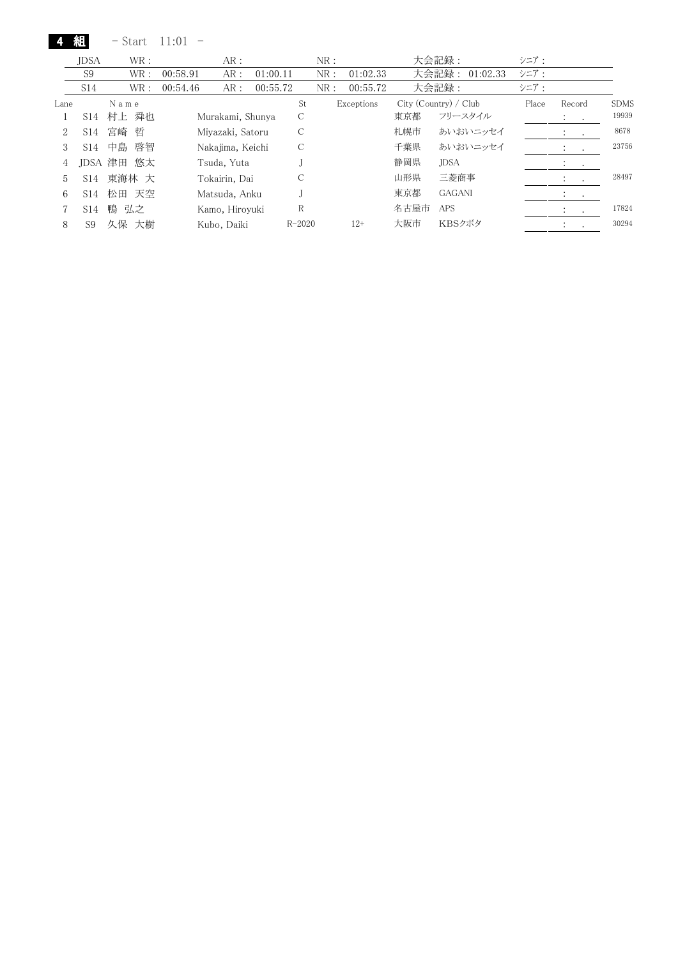4 組 - Start 11:01 -

|      | <b>JDSA</b>     | WR:        |          | AR:              |          |            | NR: |            |      | 大会記録:                 | シニア:  |                                 |             |
|------|-----------------|------------|----------|------------------|----------|------------|-----|------------|------|-----------------------|-------|---------------------------------|-------------|
|      | S <sub>9</sub>  | WR:        | 00:58.91 | AR:              | 01:00.11 |            | NR: | 01:02.33   |      | 大会記録:<br>01:02.33     | シニア:  |                                 |             |
|      | S <sub>14</sub> | WR:        | 00:54.46 | AR:              | 00:55.72 |            | NR: | 00:55.72   |      | 大会記録:                 | シニア:  |                                 |             |
| Lane |                 | Name       |          |                  |          | St         |     | Exceptions |      | City (Country) / Club | Place | Record                          | <b>SDMS</b> |
|      | S14             | 村上 舜也      |          | Murakami, Shunya |          | С          |     |            | 東京都  | フリースタイル               |       | $\ddot{\phantom{0}}$<br>$\cdot$ | 19939       |
| 2    | S14             | 宮崎 哲       |          | Miyazaki, Satoru |          | С          |     |            | 札幌市  | あいおいニッセイ              |       | ÷<br>$\bullet$                  | 8678        |
| 3    | S <sub>14</sub> | 中島<br>啓智   |          | Nakajima, Keichi |          | С          |     |            | 千葉県  | あいおいニッセイ              |       |                                 | 23756       |
| 4    |                 | JDSA 津田 悠太 |          | Tsuda, Yuta      |          |            |     |            | 静岡県  | <b>JDSA</b>           |       | $\cdot$<br>$\bullet$            |             |
| 5    | S <sub>14</sub> | 東海林 大      |          | Tokairin, Dai    |          | С          |     |            | 山形県  | 三菱商事                  |       |                                 | 28497       |
| 6    | S <sub>14</sub> | 松田 天空      |          | Matsuda, Anku    |          |            |     |            | 東京都  | <b>GAGANI</b>         |       |                                 |             |
|      | S14             | 鴨<br>弘之    |          | Kamo, Hiroyuki   |          | R          |     |            | 名古屋市 | <b>APS</b>            |       | $\ddot{\phantom{1}}$<br>$\cdot$ | 17824       |
| 8    | S9              | 久保 大樹      |          | Kubo, Daiki      |          | $R - 2020$ |     | 12+        | 大阪市  | KBSクボタ                |       |                                 | 30294       |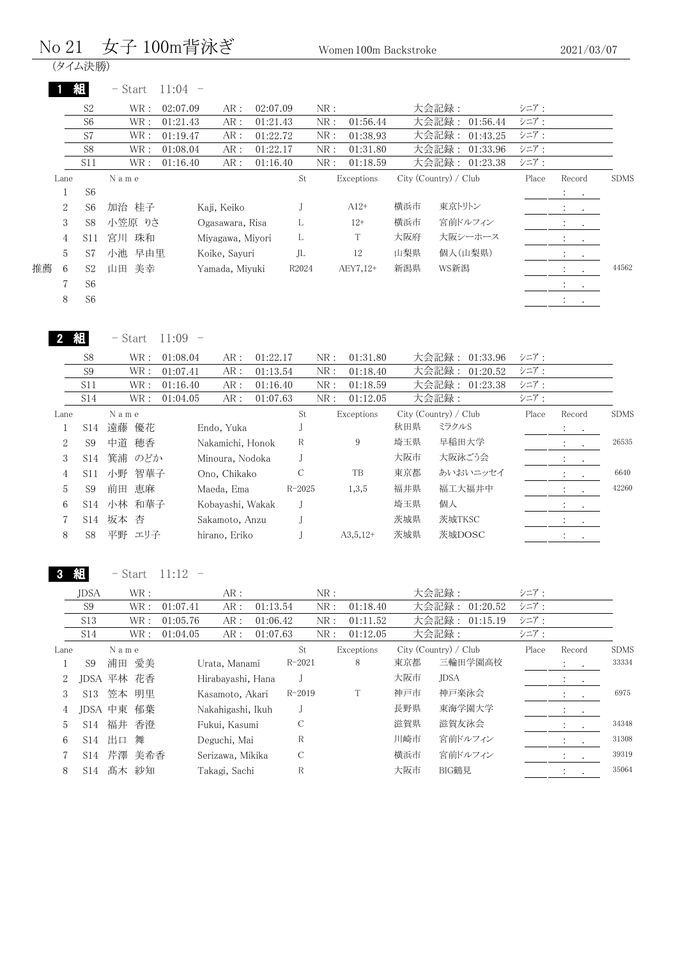### No 21 女子 100m背泳ぎ Women 100m Backstroke

| (タイム決勝) |  |
|---------|--|
|         |  |

|                      | 組               | $11:04 -$<br>- Start              |                  |          |                    |     |            |     |                                    |       |                                  |             |
|----------------------|-----------------|-----------------------------------|------------------|----------|--------------------|-----|------------|-----|------------------------------------|-------|----------------------------------|-------------|
|                      | S <sub>2</sub>  | $\operatorname{WR}$ :<br>02:07.09 | AR:              | 02:07.09 |                    | NR: |            |     | 大会記録:                              | シニア:  |                                  |             |
|                      | S <sub>6</sub>  | WR :<br>01:21.43                  | AR :             | 01:21.43 |                    | NR: | 01:56.44   |     | 大会記録:<br>01:56.44                  | シニア:  |                                  |             |
|                      | S7              | WR :<br>01:19.47                  | AR:              | 01:22.72 |                    | NR: | 01:38.93   |     | 大会記録:<br>01:43.25                  | シニア:  |                                  |             |
|                      | S <sub>8</sub>  | WR :<br>01:08.04                  | AR:              | 01:22.17 |                    | NR: | 01:31.80   |     | 大会記録:<br>01:33.96                  | シニア:  |                                  |             |
|                      | S11             | WR :<br>01:16.40                  | AR:              | 01:16.40 |                    | NR: | 01:18.59   |     | 大会記録:<br>01:23.38                  | シニア:  |                                  |             |
| Lane                 |                 | N a m e                           |                  |          | St                 |     | Exceptions |     | City (Country) / Club              | Place | Record                           | <b>SDMS</b> |
| 1                    | S <sub>6</sub>  |                                   |                  |          |                    |     |            |     |                                    |       |                                  |             |
| $\overline{2}$       | S <sub>6</sub>  | 加治 桂子                             | Kaji, Keiko      |          | J                  |     | $A12+$     | 横浜市 | 東京トリトン                             |       | $\bullet$                        |             |
| 3                    | S <sub>8</sub>  | 小笠原 りさ                            | Ogasawara, Risa  |          | L                  |     | $12+$      | 横浜市 | 宮前ドルフィン                            |       | <b>All Contracts</b>             |             |
| 4                    | S11             | 宮川 珠和                             | Miyagawa, Miyori |          | L                  |     | T          | 大阪府 | 大阪シーホース                            |       | $\bullet$                        |             |
| 5                    | S7              | 小池<br>早由里                         | Koike, Sayuri    |          | JL                 |     | 12         | 山梨県 | 個人(山梨県)                            |       |                                  |             |
| 推薦<br>6              | S <sub>2</sub>  | 美幸<br>山田                          | Yamada, Miyuki   |          | R2024              |     | AEY7,12+   | 新潟県 | WS新潟                               |       | $\bullet$                        | 44562       |
| 7                    | S <sub>6</sub>  |                                   |                  |          |                    |     |            |     |                                    |       | A.<br><b>Contract Contract</b>   |             |
| 8                    | S <sub>6</sub>  |                                   |                  |          |                    |     |            |     |                                    |       | $\mathcal{I}^{\text{max}}$ , and |             |
| $\mathbf{2}$         | 組               | $11:09 -$<br>– Start              |                  |          |                    |     |            |     |                                    |       |                                  |             |
|                      | S <sub>8</sub>  | WR :<br>01:08.04                  | AR:              | 01:22.17 |                    | NR: | 01:31.80   |     | 大会記録:<br>01:33.96                  | シニア:  |                                  |             |
|                      | S <sub>9</sub>  | 01:07.41<br>WR:                   | AR:              | 01:13.54 |                    | NR: | 01:18.40   |     | 大会記録:<br>01:20.52                  | シニア:  |                                  |             |
|                      | S <sub>11</sub> | 01:16.40<br>WR :                  | AR:              | 01:16.40 |                    | NR: | 01:18.59   |     | 大会記録:<br>01:23.38                  | シニア:  |                                  |             |
|                      | S14             | WR:<br>01:04.05                   | AR:              | 01:07.63 |                    | NR: | 01:12.05   |     | 大会記録:                              | シニア:  |                                  |             |
| Lane<br>$\mathbf{1}$ |                 | N a m e<br>○14 清藤 偏龙              | Endo Vuka        |          | St<br>$\mathbf{L}$ |     | Exceptions |     | City (Country) / Club<br>秋田県 ミラクルS | Place | Record                           | <b>SDMS</b> |

|   | S14             |      | 遠藤 優花      | Endo, Yuka       |            |            | 秋田県 | ミラクルS    |  |       |
|---|-----------------|------|------------|------------------|------------|------------|-----|----------|--|-------|
|   | S9              |      | 中道 穂香      | Nakamichi, Honok | R          | 9          | 埼玉県 | 早稲田大学    |  | 26535 |
|   | S <sub>14</sub> |      | 箕浦 のどか     | Minoura, Nodoka  |            |            | 大阪市 | 大阪泳ごう会   |  |       |
|   | S <sub>11</sub> | 小野   | 智華子        | Ono, Chikako     | C          | TB         | 東京都 | あいおいニッセイ |  | 6640  |
|   | S <sub>9</sub>  |      | 前田 恵麻      | Maeda, Ema       | $R - 2025$ | 1,3,5      | 福井県 | 福工大福井中   |  | 42260 |
| 6 |                 |      | S14 小林 和華子 | Kobayashi, Wakak |            |            | 埼玉県 | 個人       |  |       |
|   | S <sub>14</sub> | 坂本 杏 |            | Sakamoto, Anzu   |            |            | 茨城県 | 茨城TKSC   |  |       |
|   | S8              |      | 平野 エリ子     | hirano, Eriko    |            | $A3,5,12+$ | 茨城県 | 茨城DOSC   |  |       |
|   |                 |      |            |                  |            |            |     |          |  |       |

3 組 - Start 11:12 -

Lane N a m e St Exceptions City (Country) / Club Place Record SDMS 1 S9 浦田 愛美 Urata, Manami R-2021 8 東京都 三輪田学園高校 : . 33334 2 JDSA 平林 花香 Hirabayashi, Hana J オ阪市 JDSA : . 3 S13 笠本 明里 Kasamoto, Akari R-2019 T 神戸市 神戸楽泳会 : . 6975 4 JDSA 中東 郁葉 Nakahigashi, Ikuh J 長野県 東海学園大学 : . 5 S14 福井 香澄 Fukui, Kasumi C 滋賀県 滋賀友泳会 : . 34348 6 S14 出口 舞 Deguchi, Mai R H 川崎市 宮前ドルフィン : . 31308 7 S14 芹澤 美希香 Serizawa, Mikika C 横浜市 宮前ドルフィン : . 39319 8 S14 髙木 紗知 Takagi, Sachi R 大阪市 BIG鶴見 : . 35064 JDSA WR : AR : NR : 大会記録 : シニア : S9 WR: 01:07.41 AR: 01:13.54 NR: 01:18.40 大会記録: 01:20.52 シニア: S13 WR: 01:05.76 AR: 01:06.42 NR: 01:11.52 大会記録: 01:15.19 シニア: S14 WR: 01:04.05 AR: 01:07.63 NR: 01:12.05 大会記録 : シニア: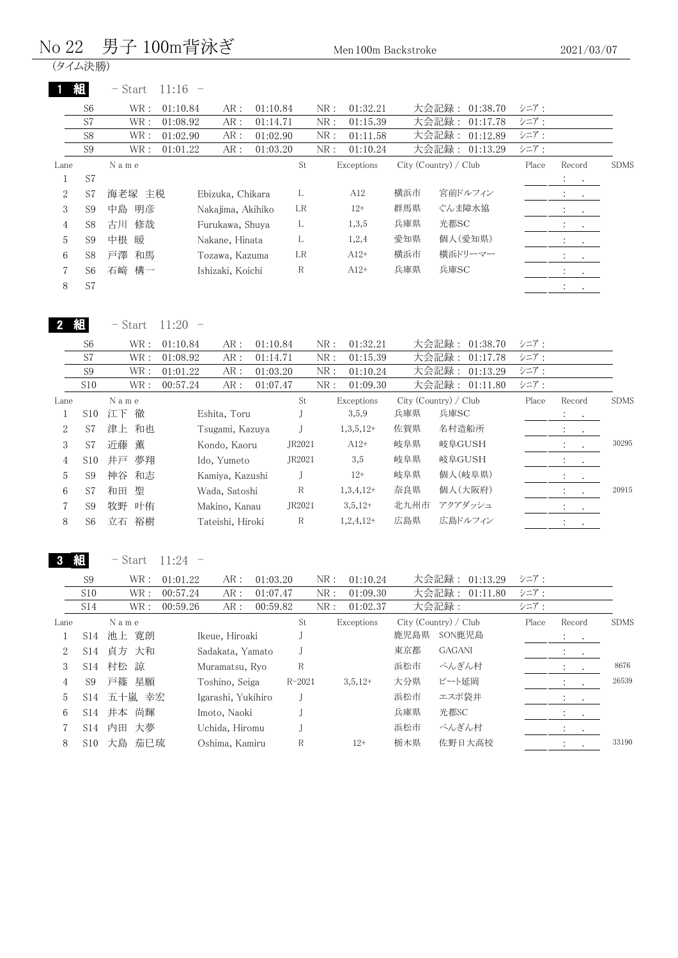#### No 22 男子 100m背泳ぎ <sub>Men 100m Backstroke</sub>

(タイム決勝)

|      | 組              | 11:16<br>$-$ Start |                   |          |    |     |            |     |                       |       |                                                         |             |
|------|----------------|--------------------|-------------------|----------|----|-----|------------|-----|-----------------------|-------|---------------------------------------------------------|-------------|
|      | S <sub>6</sub> | WR:<br>01:10.84    | AR:               | 01:10.84 |    | NR: | 01:32.21   |     | 大会記録: 01:38.70        | シニア:  |                                                         |             |
|      | S7             | WR:<br>01:08.92    | AR:               | 01:14.71 |    | NR: | 01:15.39   |     | 大会記録:<br>01:17.78     | シニア:  |                                                         |             |
|      | S <sub>8</sub> | WR :<br>01:02.90   | AR:               | 01:02.90 |    | NR: | 01:11.58   |     | 大会記録:<br>01:12.89     | シニア:  |                                                         |             |
|      | S <sub>9</sub> | WR :<br>01:01.22   | AR:               | 01:03.20 |    | NR: | 01:10.24   |     | 大会記録: 01:13.29        | シニア:  |                                                         |             |
| Lane |                | Name               |                   |          | St |     | Exceptions |     | City (Country) / Club | Place | Record                                                  | <b>SDMS</b> |
|      | S7             |                    |                   |          |    |     |            |     |                       |       | $\mathcal{L}^{\text{max}}$ , $\mathcal{L}^{\text{max}}$ |             |
| 2    | S7             | 海老塚 主税             | Ebizuka, Chikara  |          | L  |     | A12        | 横浜市 | 宮前ドルフィン               |       | Φ.<br><b>Contract Contract</b>                          |             |
| 3    | S <sub>9</sub> | 明彦<br>中島           | Nakajima, Akihiko |          | LR |     | $12+$      | 群馬県 | ぐんま障水協                |       | <b>All Contracts</b>                                    |             |
| 4    | S <sub>8</sub> | 修哉<br>古川           | Furukawa, Shuya   |          | L  |     | 1,3,5      | 兵庫県 | 光都SC                  |       | $\mathcal{V}=\frac{1}{2}$ .                             |             |
| 5    | S <sub>9</sub> | 中根<br>暖            | Nakane, Hinata    |          | L  |     | 1,2,4      | 愛知県 | 個人(愛知県)               |       | $\bullet$ , and $\bullet$ , and $\bullet$               |             |
| 6    | S8             | 戸澤<br>和馬           | Tozawa, Kazuma    |          | LR |     | $A12+$     | 横浜市 | 横浜ドリーマー               |       | <b>All States</b>                                       |             |
|      | S6             | 石崎 構一              | Ishizaki, Koichi  |          | R  |     | $A12+$     | 兵庫県 | 兵庫SC                  |       | $\mathcal{I}^{\text{max}}$ , $\mathcal{I}^{\text{max}}$ |             |
| 8    | S7             |                    |                   |          |    |     |            |     |                       |       | $\bullet$<br>$\bullet$                                  |             |

2 組 - Start 11:20 -

| S <sub>6</sub>  |    |    | 01:10.84                                   | AR: |                                                                                                                                         |                                              | 01:32.21   |                                                         | 01:38.70 | シニア:                                                               |                           |                                                                                                                                       |
|-----------------|----|----|--------------------------------------------|-----|-----------------------------------------------------------------------------------------------------------------------------------------|----------------------------------------------|------------|---------------------------------------------------------|----------|--------------------------------------------------------------------|---------------------------|---------------------------------------------------------------------------------------------------------------------------------------|
| S7              |    |    | 01:08.92                                   | AR: |                                                                                                                                         |                                              | 01:15.39   |                                                         | 01:17.78 | シニア:                                                               |                           |                                                                                                                                       |
| S <sub>9</sub>  |    |    | 01:01.22                                   | AR: |                                                                                                                                         | NR:                                          | 01:10.24   |                                                         | 01:13.29 | シニア:                                                               |                           |                                                                                                                                       |
| S10             |    |    | 00:57.24                                   | AR: |                                                                                                                                         | NR:                                          | 01:09.30   |                                                         |          | シニア:                                                               |                           |                                                                                                                                       |
|                 |    |    |                                            |     | St                                                                                                                                      |                                              |            |                                                         |          | Place                                                              |                           | <b>SDMS</b>                                                                                                                           |
| S <sub>10</sub> | 江下 | 徹  |                                            |     |                                                                                                                                         |                                              | 3,5,9      | 兵庫県                                                     | 兵庫SC     |                                                                    | $\ddot{\phantom{a}}$      |                                                                                                                                       |
| S7              |    |    |                                            |     |                                                                                                                                         |                                              |            | 佐賀県                                                     | 名村造船所    |                                                                    |                           |                                                                                                                                       |
| S7              | 近藤 | 薫  |                                            |     | JR2021                                                                                                                                  |                                              | $A12+$     | 岐阜県                                                     | 岐阜GUSH   |                                                                    | ÷.<br>$\cdot$             | 30295                                                                                                                                 |
| S <sub>10</sub> | 井戸 | 夢翔 |                                            |     | JR2021                                                                                                                                  |                                              | 3,5        | 岐阜県                                                     | 岐阜GUSH   |                                                                    |                           |                                                                                                                                       |
| S <sub>9</sub>  | 神谷 | 和志 |                                            |     |                                                                                                                                         |                                              | $12+$      | 岐阜県                                                     | 個人(岐阜県)  |                                                                    | $\ddot{\phantom{1}}$      |                                                                                                                                       |
| S7              | 和田 | 聖  |                                            |     | R                                                                                                                                       |                                              |            | 奈良県                                                     | 個人(大阪府)  |                                                                    | $\ddot{\cdot}$<br>$\cdot$ | 20915                                                                                                                                 |
| S <sub>9</sub>  | 牧野 | 叶侑 |                                            |     | JR2021                                                                                                                                  |                                              | $3,5,12+$  | 北九州市                                                    | アクアダッシュ  |                                                                    |                           |                                                                                                                                       |
| S6              | 立石 | 裕樹 |                                            |     | R                                                                                                                                       |                                              |            | 広島県                                                     | 広島ドルフィン  |                                                                    | $\cdot$                   |                                                                                                                                       |
|                 |    |    | WR :<br>WR:<br>WR:<br>WR:<br>Name<br>津上 和也 |     | Eshita, Toru<br>Tsugami, Kazuya<br>Kondo, Kaoru<br>Ido, Yumeto<br>Kamiya, Kazushi<br>Wada, Satoshi<br>Makino, Kanau<br>Tateishi, Hiroki | 01:10.84<br>01:14.71<br>01:03.20<br>01:07.47 | NR:<br>NR: | Exceptions<br>$1,3,5,12+$<br>$1,3,4,12+$<br>$1,2,4,12+$ |          | 大会記録:<br>大会記録:<br>大会記録:<br>大会記録: 01:11.80<br>City (Country) / Club |                           | Record<br>$\sim$ $\sim$<br>$\mathbf{A} = \mathbf{A} \mathbf{A}$<br>$\frac{1}{2}$ $\frac{1}{2}$<br>$\sim$ $\sim$<br><b>All Control</b> |

3 組 - Start 11:24 -

| S <sub>9</sub> | WR :     | 01:01.22 | AR:           | 01:03.20 |                                                                                                                                                  | NR:                  | 01:10.24   |            | 01:13.29      | シニア:                                             |                      |                                                                                                                                              |
|----------------|----------|----------|---------------|----------|--------------------------------------------------------------------------------------------------------------------------------------------------|----------------------|------------|------------|---------------|--------------------------------------------------|----------------------|----------------------------------------------------------------------------------------------------------------------------------------------|
| S10            | WR :     | 00:57.24 | AR:           |          |                                                                                                                                                  | NR:                  | 01:09.30   |            | 01:11.80      | シニア:                                             |                      |                                                                                                                                              |
| S14            | WR :     | 00:59.26 | AR:           |          |                                                                                                                                                  | NR:                  | 01:02.37   |            |               | シニア:                                             |                      |                                                                                                                                              |
|                | Name     |          |               |          | St                                                                                                                                               |                      |            |            |               | Place                                            |                      | <b>SDMS</b>                                                                                                                                  |
| S14            | 池上 寛朗    |          |               |          |                                                                                                                                                  |                      |            | 鹿児島県       | SON鹿児島        |                                                  |                      |                                                                                                                                              |
| S14            | 貞方 大和    |          |               |          |                                                                                                                                                  |                      |            | 東京都        | <b>GAGANI</b> |                                                  |                      |                                                                                                                                              |
| S14            | 村松 諒     |          |               |          | R                                                                                                                                                |                      |            | 浜松市        | ぺんぎん村         |                                                  | $\ddot{\phantom{0}}$ | 8676                                                                                                                                         |
| S9             | 戸篠 星願    |          |               |          |                                                                                                                                                  |                      | $3,5,12+$  | 大分県        | ビート延岡         |                                                  |                      | 26539                                                                                                                                        |
| S14            |          |          |               |          |                                                                                                                                                  |                      |            | 浜松市        | エスポ袋井         |                                                  |                      |                                                                                                                                              |
| S14            | 井本 尚輝    |          |               |          |                                                                                                                                                  |                      |            | 兵庫県        | 光都SC          |                                                  |                      |                                                                                                                                              |
| S14            | 大夢<br>内田 |          |               |          |                                                                                                                                                  |                      |            | 浜松市        | ぺんぎん村         |                                                  |                      |                                                                                                                                              |
| S10            | 大島       |          |               |          | R                                                                                                                                                |                      | $12+$      | 栃木県        | 佐野日大高校        |                                                  | $\ddot{\cdot}$       | 33190                                                                                                                                        |
|                |          |          | 五十嵐 幸宏<br>茄巳琉 |          | Ikeue, Hiroaki<br>Sadakata, Yamato<br>Muramatsu, Ryo<br>Toshino, Seiga<br>Igarashi, Yukihiro<br>Imoto, Naoki<br>Uchida, Hiromu<br>Oshima, Kamiru | 01:07.47<br>00:59.82 | $R - 2021$ | Exceptions |               | 大会記録:<br>大会記録:<br>大会記録:<br>City (Country) / Club |                      | Record<br>$\sim$ 100 $\sim$ 100 $\sim$<br>$\mathcal{I}=\mathcal{I}$ .<br>$\sim$<br>$1 - 1$<br>$\sim$ $\sim$<br>$\mathbf{A}$ and $\mathbf{A}$ |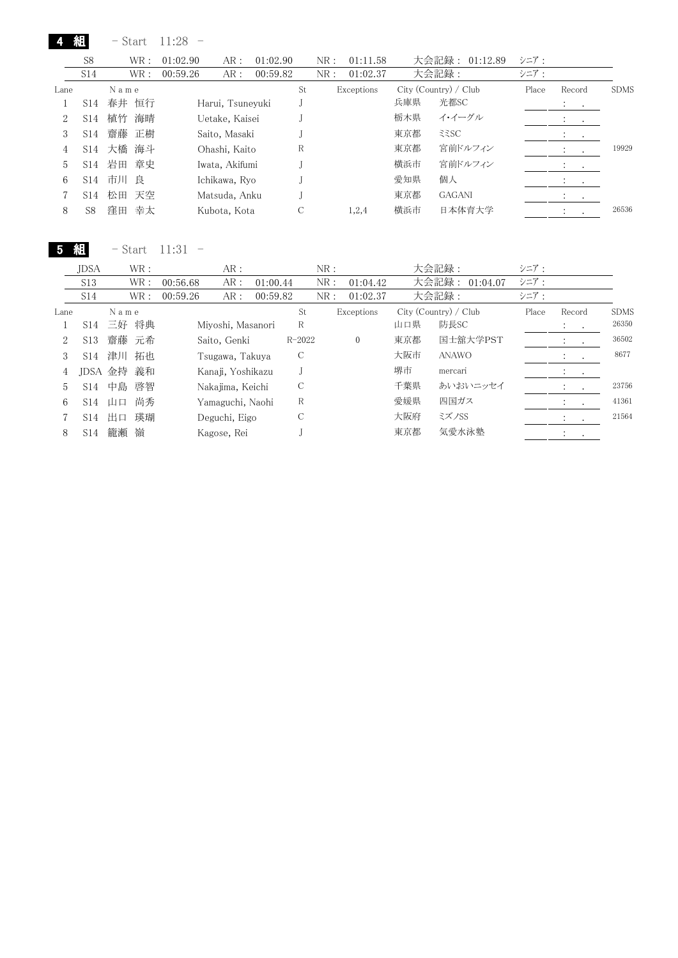|      | 組               |      | – Start | 11:28    |                  |          |    |     |            |     |                       |       |               |         |             |
|------|-----------------|------|---------|----------|------------------|----------|----|-----|------------|-----|-----------------------|-------|---------------|---------|-------------|
|      | S <sub>8</sub>  |      | WR :    | 01:02.90 | AR:              | 01:02.90 |    | NR: | 01:11.58   |     | 大会記録:<br>01:12.89     | シニア:  |               |         |             |
|      | S14             |      | WR :    | 00:59.26 | AR:              | 00:59.82 |    | NR: | 01:02.37   |     | 大会記録:                 | シニア:  |               |         |             |
| Lane |                 | Name |         |          |                  |          | St |     | Exceptions |     | City (Country) / Club | Place | Record        |         | <b>SDMS</b> |
|      | S14             |      | 春井 恒行   |          | Harui, Tsuneyuki |          |    |     |            | 兵庫県 | 光都SC                  |       | $\sim$ $\sim$ |         |             |
| 2    | S <sub>14</sub> | 植竹   | 海晴      |          | Uetake, Kaisei   |          |    |     |            | 栃木県 | イ・イーグル                |       |               |         |             |
| 3    | S <sub>14</sub> |      | 齋藤 正樹   |          | Saito, Masaki    |          |    |     |            | 東京都 | 335C                  |       |               |         |             |
| 4    | S14             |      | 大橋 海斗   |          | Ohashi, Kaito    |          | R  |     |            | 東京都 | 宮前ドルフィン               |       | $\bullet$     | $\cdot$ | 19929       |
| 5    | S <sub>14</sub> |      | 岩田 章史   |          | Iwata, Akifumi   |          |    |     |            | 横浜市 | 宮前ドルフィン               |       |               |         |             |
| 6    | S <sub>14</sub> | 市川   | 良       |          | Ichikawa, Ryo    |          |    |     |            | 愛知県 | 個人                    |       | $\cdot$       | $\cdot$ |             |
|      | S <sub>14</sub> |      | 松田 天空   |          | Matsuda, Anku    |          |    |     |            | 東京都 | <b>GAGANI</b>         |       | $\cdot$       | $\sim$  |             |
| 8    | S8              | 窪田   | 幸太      |          | Kubota, Kota     |          |    |     | 1,2,4      | 横浜市 | 日本体育大学                |       |               |         | 26536       |

5 組 - Start 11:31 -

|      | <b>JDSA</b>     |           | WR:   |          | AR:               |          |            | NR: |              |     | 大会記録:                 | シニア:  |                                                                                         |             |
|------|-----------------|-----------|-------|----------|-------------------|----------|------------|-----|--------------|-----|-----------------------|-------|-----------------------------------------------------------------------------------------|-------------|
|      | S <sub>13</sub> |           | WR:   | 00:56.68 | AR:               | 01:00.44 |            | NR: | 01:04.42     |     | 大会記録: 01:04.07        | シニア:  |                                                                                         |             |
|      | S14             |           | WR:   | 00:59.26 | AR:               | 00:59.82 |            | NR: | 01:02.37     |     | 大会記録:                 | シニア:  |                                                                                         |             |
| Lane |                 | Name      |       |          |                   |          | St         |     | Exceptions   |     | City (Country) / Club | Place | Record                                                                                  | <b>SDMS</b> |
|      |                 | S14 三好 将典 |       |          | Miyoshi, Masanori |          | R          |     |              | 山口県 | 防長SC                  |       | $\mathcal{I}^{\mathcal{I}}$ , $\mathcal{I}^{\mathcal{I}}$ , $\mathcal{I}^{\mathcal{I}}$ | 26350       |
| 2    | S <sub>13</sub> |           | 齋藤 元希 |          | Saito, Genki      |          | $R - 2022$ |     | $\mathbf{0}$ | 東京都 | 国士舘大学PST              |       | $\ddot{\cdot}$<br>$\sim$ 100 $\pm$                                                      | 36502       |
| 3    | S14             | 津川        | 拓也    |          | Tsugawa, Takuya   |          | C          |     |              | 大阪市 | <b>ANAWO</b>          |       | $\cdot$                                                                                 | 8677        |
| 4    |                 | JDSA 金持   | 義和    |          | Kanaji, Yoshikazu |          |            |     |              | 堺市  | mercari               |       | <b>Service</b>                                                                          |             |
| 5    | S <sub>14</sub> | 中島        | 啓智    |          | Nakajima, Keichi  |          | С          |     |              | 千葉県 | あいおいニッセイ              |       | $\sim$                                                                                  | 23756       |
| 6    |                 | $S14$ 山口  | 尚秀    |          | Yamaguchi, Naohi  |          | R          |     |              | 愛媛県 | 四国ガス                  |       | $\bullet$                                                                               | 41361       |
|      | S <sub>14</sub> | 出口        | 瑛瑚    |          | Deguchi, Eigo     |          | С          |     |              | 大阪府 | ミズノSS                 |       | $\mathcal{L}$                                                                           | 21564       |
| 8    | S <sub>14</sub> | 籠瀬        | 嶺     |          | Kagose, Rei       |          |            |     |              | 東京都 | 気愛水泳塾                 |       |                                                                                         |             |
|      |                 |           |       |          |                   |          |            |     |              |     |                       |       |                                                                                         |             |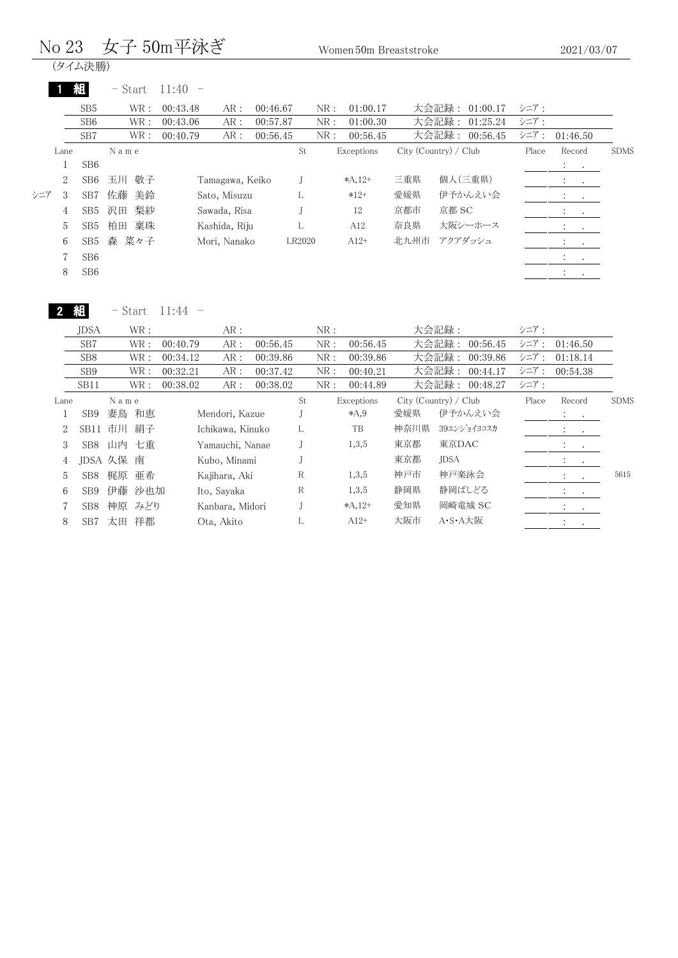#### $\rm No~23~~$ 女子  $\rm 50m$ 平泳ぎ  $\rm W\rm o\,$  Women 50m Breaststroke

(タイム決勝)

|     |                | 組               | $-$ Start | 11:40           |          |        |     |            |      |                         |       |                                                         |             |
|-----|----------------|-----------------|-----------|-----------------|----------|--------|-----|------------|------|-------------------------|-------|---------------------------------------------------------|-------------|
|     |                | SB <sub>5</sub> | WR :      | 00:43.48<br>AR: | 00:46.67 |        | NR: | 01:00.17   |      | 大会記録:<br>01:00.17       | シニア:  |                                                         |             |
|     |                | SB <sub>6</sub> | WR:       | AR:<br>00:43.06 | 00:57.87 |        | NR: | 01:00.30   |      | 大会記録:<br>01:25.24       | シニア:  |                                                         |             |
|     |                | SB7             | WR :      | AR:<br>00:40.79 | 00:56.45 |        | NR: | 00:56.45   |      | 大会記録:<br>00:56.45       | シニア:  | 01:46.50                                                |             |
|     | Lane           |                 | Name      |                 |          | St     |     | Exceptions |      | $City$ (Country) / Club | Place | Record                                                  | <b>SDMS</b> |
|     |                | SB <sub>6</sub> |           |                 |          |        |     |            |      |                         |       | <b>All Cards</b>                                        |             |
|     | 2              | SB6             | 玉川 敬子     | Tamagawa, Keiko |          |        |     | $*A, 12+$  | 三重県  | 個人(三重県)                 |       | $\mathcal{L}^{\text{max}}$ , $\mathcal{L}^{\text{max}}$ |             |
| シニア | 3              | SB <sub>7</sub> | 佐藤<br>美鈴  | Sato, Misuzu    |          | L      |     | $*12+$     | 愛媛県  | 伊予かんえい会                 |       | $\ddot{\phantom{0}}$<br>$\sim$                          |             |
|     | $\overline{4}$ | SB5             | 梨紗<br>沢田  | Sawada, Risa    |          |        |     | 12         | 京都市  | 京都 SC                   |       | $\sim$<br>$\cdot$                                       |             |
|     | 5              | SB <sub>5</sub> | 柏田<br>稟珠  | Kashida, Riju   |          | L      |     | A12        | 奈良県  | 大阪シーホース                 |       | $\sim 100$ km s $^{-1}$<br>$\bullet$                    |             |
|     | 6              | SB5             | 森 菜々子     | Mori, Nanako    |          | LR2020 |     | $A12+$     | 北九州市 | アクアダッシュ                 |       | $\cdot$<br>$\sim$ 100 $\pm$                             |             |
|     |                | SB <sub>6</sub> |           |                 |          |        |     |            |      |                         |       | $\sim$ 100 $\sim$ 100 $\sim$                            |             |
|     | 8              | SB <sub>6</sub> |           |                 |          |        |     |            |      |                         |       | $\cdot$<br>$\cdot$                                      |             |
|     |                |                 |           |                 |          |        |     |            |      |                         |       |                                                         |             |

2 組

 $-$  Start 11:44  $-$ 

| <b>JDSA</b>     |      |      |                                                              | AR:         |            |                                                                                                           | NR: |           |                         |             | シニア:                                                               |                                        |             |
|-----------------|------|------|--------------------------------------------------------------|-------------|------------|-----------------------------------------------------------------------------------------------------------|-----|-----------|-------------------------|-------------|--------------------------------------------------------------------|----------------------------------------|-------------|
| SB7             |      |      | 00:40.79                                                     | AR:         | 00:56.45   |                                                                                                           | NR: | 00:56.45  |                         | 00:56.45    | シニア:                                                               | 01:46.50                               |             |
| SB <sub>8</sub> |      |      | 00:34.12                                                     | AR:         | 00:39.86   |                                                                                                           | NR: | 00:39.86  |                         | 00:39.86    | シニア:                                                               | 01:18.14                               |             |
| SB <sub>9</sub> |      |      | 00:32.21                                                     | AR:         | 00:37.42   |                                                                                                           | NR: | 00:40.21  |                         | 00:44.17    | シニア:                                                               | 00:54.38                               |             |
| SB11            |      |      | 00:38.02                                                     | AR:         | 00:38.02   |                                                                                                           | NR: | 00:44.89  |                         | 00:48.27    | シニア:                                                               |                                        |             |
|                 |      |      |                                                              |             |            | St                                                                                                        |     |           |                         |             | Place                                                              | Record                                 | <b>SDMS</b> |
| SB <sub>9</sub> | 妻鳥   | 和恵   |                                                              |             |            |                                                                                                           |     | $*$ A,9   | 愛媛県                     | 伊予かんえい会     |                                                                    | $\mathcal{L}^{\text{max}}$ , where     |             |
|                 | 市川   | 絹子   |                                                              |             |            | L                                                                                                         |     | <b>TB</b> | 神奈川県                    | 39エンジョイヨコスカ |                                                                    | <b>All Contracts</b>                   |             |
| SB8             |      |      |                                                              |             |            |                                                                                                           |     | 1,3,5     | 東京都                     | 東京DAC       |                                                                    | <b>All Control</b>                     |             |
|                 |      | 南    |                                                              |             |            |                                                                                                           |     |           | 東京都                     | <b>JDSA</b> |                                                                    | $\ddot{\cdot}$<br>$\ddot{\phantom{0}}$ |             |
| SB <sub>8</sub> | 梶原   | 亜希   |                                                              |             |            | R                                                                                                         |     | 1,3,5     | 神戸市                     | 神戸楽泳会       |                                                                    | $\mathbf{a}$ , and $\mathbf{a}$        | 5615        |
| SB <sub>9</sub> | 伊藤   |      |                                                              | Ito, Sayaka |            | R                                                                                                         |     | 1,3,5     | 静岡県                     | 静岡ぱしどる      |                                                                    | $\mathcal{L}^{\text{max}}$             |             |
| SB <sub>8</sub> | 神原   |      |                                                              |             |            |                                                                                                           |     |           | 愛知県                     | 岡崎竜城 SC     |                                                                    | $\cdot$<br>$\sim$ $\sim$               |             |
| SB7             | 太田   | 祥都   |                                                              |             |            |                                                                                                           |     | $A12+$    | 大阪市                     | A·S·A大阪     |                                                                    |                                        |             |
| 2<br>4          | Lane | SB11 | WR:<br>WR:<br>WR:<br>WR :<br>WR:<br>Name<br>山内 七重<br>JDSA 久保 | 沙也加<br>みどり  | Ota, Akito | Mendori, Kazue<br>Ichikawa, Kinuko<br>Yamauchi, Nanae<br>Kubo, Minami<br>Kajihara, Aki<br>Kanbara, Midori |     |           | Exceptions<br>$*A, 12+$ |             | 大会記録:<br>大会記録:<br>大会記録:<br>大会記録:<br>大会記録:<br>City (Country) / Club |                                        |             |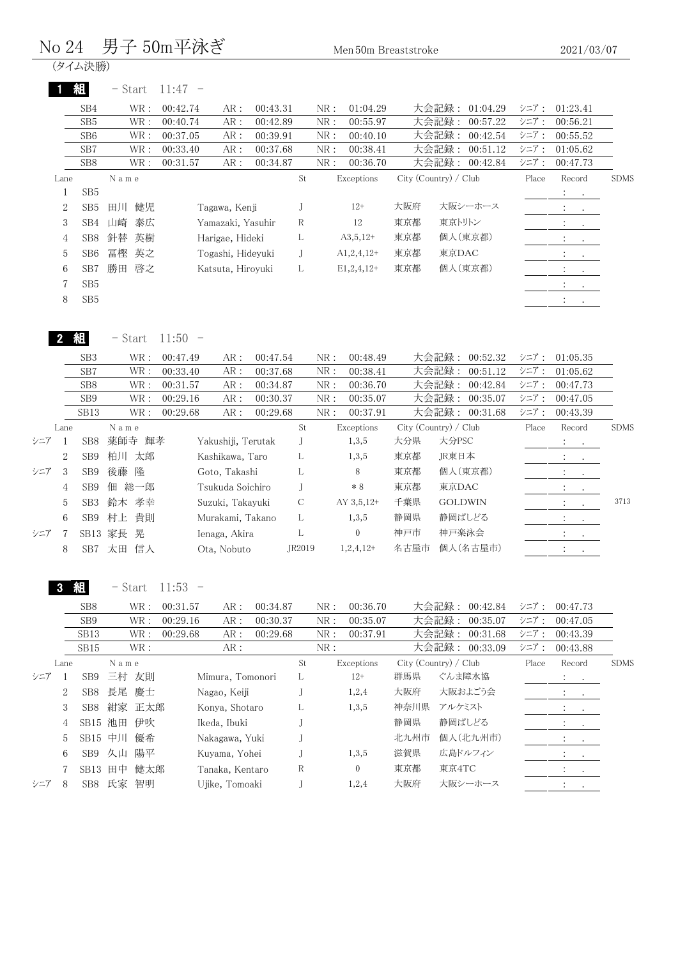#### $\rm No~24~~$ 男子  $\rm 50m$ 平泳ぎ  $\rm M_{\rm en}$  50m Breaststroke

(タイム決勝)

|                | 組               | $-$ Start | 11:47<br>$\hspace{0.1mm}-\hspace{0.1mm}$ |                   |          |             |     |                 |     |                       |       |                                                         |             |
|----------------|-----------------|-----------|------------------------------------------|-------------------|----------|-------------|-----|-----------------|-----|-----------------------|-------|---------------------------------------------------------|-------------|
|                | SB4             | WR :      | 00:42.74                                 | AR:               | 00:43.31 |             | NR: | 01:04.29        |     | 大会記録:<br>01:04.29     | シニア:  | 01:23.41                                                |             |
|                | SB <sub>5</sub> | WR :      | 00:40.74                                 | AR:               | 00:42.89 |             | NR: | 00:55.97        |     | 大会記録:<br>00:57.22     | シニア:  | 00:56.21                                                |             |
|                | SB <sub>6</sub> | WR :      | 00:37.05                                 | AR:               | 00:39.91 |             | NR: | 00:40.10        |     | 大会記録:<br>00:42.54     | シニア:  | 00:55.52                                                |             |
|                | SB7             | WR :      | 00:33.40                                 | AR:               | 00:37.68 |             | NR: | 00:38.41        |     | 大会記録:<br>00:51.12     | シニア:  | 01:05.62                                                |             |
|                | SB <sub>8</sub> | WR :      | 00:31.57                                 | AR:               | 00:34.87 |             | NR: | 00:36.70        |     | 大会記録:<br>00:42.84     | シニア:  | 00:47.73                                                |             |
| Lane           |                 | Name      |                                          |                   |          | St          |     | Exceptions      |     | City (Country) / Club | Place | Record                                                  | <b>SDMS</b> |
|                | SB <sub>5</sub> |           |                                          |                   |          |             |     |                 |     |                       |       | $\mathcal{L}_{\rm{max}}$                                |             |
| $\overline{2}$ | SB <sub>5</sub> | 健児<br>田川  |                                          | Tagawa, Kenji     |          |             |     | $12+$           | 大阪府 | 大阪シーホース               |       | $\ddot{\phantom{a}}$<br>$\bullet$                       |             |
| 3              | SB4             | 山崎<br>泰広  |                                          | Yamazaki, Yasuhir |          | $\mathbb R$ |     | 12              | 東京都 | 東京トリトン                |       | $\bullet$<br>$\bullet$                                  |             |
| $\overline{4}$ | SB <sub>8</sub> | 針替<br>英樹  |                                          | Harigae, Hideki   |          | L           |     | $A3,5,12+$      | 東京都 | 個人(東京都)               |       |                                                         |             |
| 5              | SB <sub>6</sub> | 冨樫<br>英之  |                                          | Togashi, Hideyuki |          | J           |     | $A1,2,4,12+$    | 東京都 | 東京DAC                 |       |                                                         |             |
| 6              | SB7             | 啓之<br>勝田  |                                          | Katsuta, Hiroyuki |          | L           |     | $E1, 2, 4, 12+$ | 東京都 | 個人(東京都)               |       | $\bullet$<br>$\bullet$                                  |             |
| $\overline{7}$ | SB <sub>5</sub> |           |                                          |                   |          |             |     |                 |     |                       |       | $\ddot{\phantom{a}}$<br>$\sim$                          |             |
| 8              | SB <sub>5</sub> |           |                                          |                   |          |             |     |                 |     |                       |       | $\mathcal{L}_{\mathcal{L}}$<br><b>Contract Contract</b> |             |
|                |                 |           |                                          |                   |          |             |     |                 |     |                       |       |                                                         |             |
|                |                 | - Start   | 11:50<br>$\overline{\phantom{m}}$        |                   |          |             |     |                 |     |                       |       |                                                         |             |
|                | SB <sub>3</sub> | WR :      | 00:47.49                                 | AR:               | 00:47.54 |             | NR: | 00:48.49        |     | 大会記録:<br>00:52.32     | シニア:  | 01:05.35                                                |             |

|   | SB7              | WR:       | AR:     |                                              |                                                                                                                                                    | NR:                                          | 00:38.41     |                                           |                |                                                           |                                                                               |                                                         |                                         |
|---|------------------|-----------|---------|----------------------------------------------|----------------------------------------------------------------------------------------------------------------------------------------------------|----------------------------------------------|--------------|-------------------------------------------|----------------|-----------------------------------------------------------|-------------------------------------------------------------------------------|---------------------------------------------------------|-----------------------------------------|
|   | SB <sub>8</sub>  | WR :      | AR:     |                                              |                                                                                                                                                    | NR:                                          | 00:36.70     |                                           |                |                                                           |                                                                               | 00:47.73                                                |                                         |
|   | SB <sub>9</sub>  | WR:       | AR:     |                                              |                                                                                                                                                    | NR:                                          | 00:35.07     |                                           |                |                                                           |                                                                               | 00:47.05                                                |                                         |
|   | SB <sub>13</sub> | WR:       | AR:     |                                              |                                                                                                                                                    | NR:                                          | 00:37.91     |                                           |                |                                                           |                                                                               | 00:43.39                                                |                                         |
|   |                  | Name      |         |                                              | St                                                                                                                                                 |                                              |              |                                           |                |                                                           | Place                                                                         | Record                                                  | <b>SDMS</b>                             |
|   | SB <sub>8</sub>  | 薬師寺<br>輝孝 |         |                                              |                                                                                                                                                    |                                              | 1,3,5        | 大分県                                       | 大分PSC          |                                                           |                                                                               | $\mathcal{L}_{\text{max}}$ , $\mathcal{L}_{\text{max}}$ |                                         |
| 2 | S <sub>B</sub> 9 | 柏川<br>太郎  |         |                                              | L                                                                                                                                                  |                                              | 1,3,5        | 東京都                                       | JR東日本          |                                                           |                                                                               |                                                         |                                         |
| 3 | SB <sub>9</sub>  | 後藤<br>降   |         |                                              | L                                                                                                                                                  |                                              | 8            | 東京都                                       |                |                                                           |                                                                               | <b>Contractor</b>                                       |                                         |
| 4 | SB <sub>9</sub>  | 総一郎<br>佃  |         |                                              |                                                                                                                                                    |                                              | $*8$         | 東京都                                       | 東京DAC          |                                                           |                                                                               | $\sim$ 100 $\sim$ 100 $\sim$                            |                                         |
| 5 | SB <sub>3</sub>  | 鈴木 孝幸     |         |                                              | C                                                                                                                                                  |                                              |              | 千葉県                                       | <b>GOLDWIN</b> |                                                           |                                                                               | $\mathcal{L} = \{1, 2, \ldots \}$                       | 3713                                    |
| 6 | SB <sub>9</sub>  | 村上 貴則     |         |                                              | L                                                                                                                                                  |                                              | 1,3,5        | 静岡県                                       |                |                                                           |                                                                               | $1 - 1$                                                 |                                         |
|   |                  | 晃         |         |                                              | L                                                                                                                                                  |                                              | $\mathbf{0}$ | 神戸市                                       | 神戸楽泳会          |                                                           |                                                                               | $\bullet$ . In the set of $\bullet$                     |                                         |
| 8 | SB <sub>7</sub>  | 信人<br>太田  |         |                                              |                                                                                                                                                    |                                              |              | 名古屋市                                      |                |                                                           |                                                                               | $\cdot$<br>$\sim$                                       |                                         |
|   | Lane             |           | SB13 家長 | 00:33.40<br>00:31.57<br>00:29.16<br>00:29.68 | Yakushiji, Terutak<br>Kashikawa, Taro<br>Goto, Takashi<br>Tsukuda Soichiro<br>Suzuki, Takayuki<br>Murakami, Takano<br>Ienaga, Akira<br>Ota, Nobuto | 00:37.68<br>00:34.87<br>00:30.37<br>00:29.68 | JR2019       | Exceptions<br>AY $3,5,12+$<br>$1,2,4,12+$ |                | 大会記録:<br>大会記録:<br>大会記録:<br>大会記録:<br>City (Country) / Club | 00:51.12<br>00:42.84<br>00:35.07<br>00:31.68<br>個人(東京都)<br>静岡ぱしどる<br>個人(名古屋市) | シニア:<br>シニア:<br>シニア:<br>シニア:                            | 01:05.62<br>$\mathcal{L} = \mathcal{L}$ |

3 組  $-$  Start 11:53  $-$ 

|     |      | SB <sub>8</sub>  |        | WR : | 00:31.57 | AR:              | 00:34.87 |    | NR: | 00:36.70     |                       | 大会記録:  | 00:42.84 | シニア:  | 00:47.73                      |                          |             |
|-----|------|------------------|--------|------|----------|------------------|----------|----|-----|--------------|-----------------------|--------|----------|-------|-------------------------------|--------------------------|-------------|
|     |      | SB <sub>9</sub>  |        | WR:  | 00:29.16 | AR:              | 00:30.37 |    | NR: | 00:35.07     |                       | 大会記録:  | 00:35.07 | シニア:  | 00:47.05                      |                          |             |
|     |      | SB <sub>13</sub> |        | WR:  | 00:29.68 | AR:              | 00:29.68 |    | NR: | 00:37.91     |                       | 大会記録:  | 00:31.68 | シニア:  | 00:43.39                      |                          |             |
|     |      | SB15             |        | WR:  |          | AR:              |          |    | NR: |              |                       | 大会記録:  | 00:33.09 | シニア:  | 00:43.88                      |                          |             |
|     | Lane |                  | Name   |      |          |                  |          | St |     | Exceptions   | City (Country) / Club |        |          | Place | Record                        |                          | <b>SDMS</b> |
| シニア |      | SB <sub>9</sub>  | 三村 友則  |      |          | Mimura, Tomonori |          | L  |     | $12+$        | 群馬県                   |        | ぐんま障水協   |       | $\mathbf{A}$ and $\mathbf{A}$ |                          |             |
|     | 2    | SB <sub>8</sub>  | 長尾     | 慶士   |          | Nagao, Keiji     |          |    |     | 1,2,4        | 大阪府                   |        | 大阪およごう会  |       |                               | <b>All Contracts</b>     |             |
|     | 3    | SB8              | 紺家 正太郎 |      |          | Konya, Shotaro   |          | L  |     | 1,3,5        | 神奈川県                  | アルケミスト |          |       | $\sim$ 100 $\sim$ 100 $\sim$  |                          |             |
|     | 4    | SB15 池田          |        | 伊吹   |          | Ikeda, Ibuki     |          |    |     |              | 静岡県                   |        | 静岡ぱしどる   |       | $\cdot$ $\cdot$               |                          |             |
|     | 5    | SB15             | 中川     | 優希   |          | Nakagawa, Yuki   |          |    |     |              | 北九州市                  |        | 個人(北九州市) |       | <b>All Cards</b>              |                          |             |
|     | 6    | SB <sub>9</sub>  | 久山     | 陽平   |          | Kuvama, Yohei    |          |    |     | 1,3,5        | 滋賀県                   |        | 広島ドルフィン  |       |                               | <b>Contract Contract</b> |             |
|     |      | SB13             | 田中     | 健太郎  |          | Tanaka, Kentaro  |          | R  |     | $\mathbf{0}$ | 東京都                   | 東京4TC  |          |       | $\cdot$                       | $\sim$ $\sim$            |             |
| シニア | 8    | SB <sub>8</sub>  | 氏家     | 智明   |          | Uiike, Tomoaki   |          |    |     | 1,2,4        | 大阪府                   |        | 大阪シーホース  |       |                               |                          |             |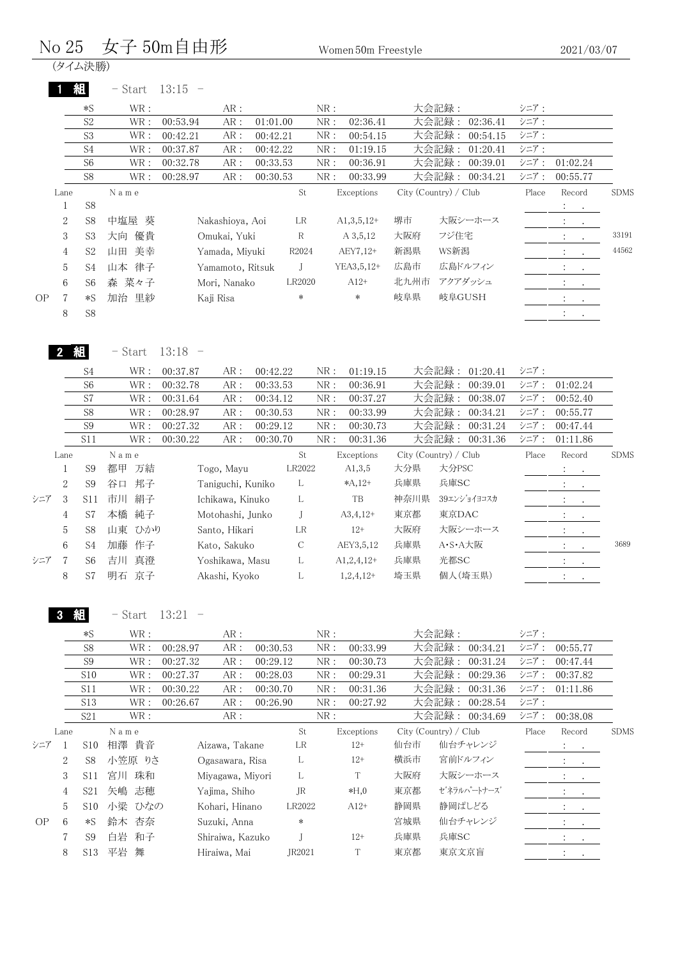#### $\rm No~25$  文子  $\rm 50m$ 自由形 Women 50m Freestyle

(タイム決勝)

1 **組** - Start  $13:15$  -

|     |                | $*S$           | WR:      | AR:              |          |        | NR: |              |                       | 大会記録:   |          | シニア:  |                               |                          |             |
|-----|----------------|----------------|----------|------------------|----------|--------|-----|--------------|-----------------------|---------|----------|-------|-------------------------------|--------------------------|-------------|
|     |                | S <sub>2</sub> | WR :     | AR:<br>00:53.94  | 01:01.00 |        | NR: | 02:36.41     |                       | 大会記録:   | 02:36.41 | シニア:  |                               |                          |             |
|     |                | S <sub>3</sub> | WR:      | AR:<br>00:42.21  | 00:42.21 |        | NR: | 00:54.15     |                       | 大会記録:   | 00:54.15 | シニア:  |                               |                          |             |
|     |                | S <sub>4</sub> | WR:      | 00:37.87<br>AR:  | 00:42.22 |        | NR: | 01:19.15     |                       | 大会記録:   | 01:20.41 | シニア:  |                               |                          |             |
|     |                | S <sub>6</sub> | WR :     | AR:<br>00:32.78  | 00:33.53 |        | NR: | 00:36.91     |                       | 大会記録:   | 00:39.01 | シニア:  | 01:02.24                      |                          |             |
|     |                | S <sub>8</sub> | WR:      | AR:<br>00:28.97  | 00:30.53 |        | NR: | 00:33.99     |                       | 大会記録:   | 00:34.21 | シニア:  | 00:55.77                      |                          |             |
|     | Lane           |                | Name     |                  |          | St     |     | Exceptions   | City (Country) / Club |         |          | Place | Record                        |                          | <b>SDMS</b> |
|     |                | S <sub>8</sub> |          |                  |          |        |     |              |                       |         |          |       | $\mathcal{L}^{\text{max}}$    |                          |             |
|     | $\overline{2}$ | S <sub>8</sub> | 中塩屋<br>葵 | Nakashioya, Aoi  |          | LR     |     | $A1,3,5,12+$ | 堺市                    |         | 大阪シーホース  |       | $\bullet$                     | $\sim 100$ km s $^{-1}$  |             |
|     | 3              | S <sub>3</sub> | 優貴<br>大向 | Omukai, Yuki     |          | R      |     | A 3,5,12     | 大阪府                   | フジ住宅    |          |       | $\bullet$                     | $\sim$                   | 33191       |
|     | 4              | S <sub>2</sub> | 美幸<br>山田 | Yamada, Miyuki   |          | R2024  |     | AEY7,12+     | 新潟県                   | WS新潟    |          |       | $2.1 - 1.1$                   |                          | 44562       |
|     | 5              | S <sub>4</sub> | 律子<br>山本 | Yamamoto, Ritsuk |          |        |     | YEA3, 5, 12+ | 広島市                   |         | 広島ドルフィン  |       | $\ddot{\phantom{0}}$          | <b>Contract Contract</b> |             |
|     | 6              | S <sub>6</sub> | 森 菜々子    | Mori, Nanako     |          | LR2020 |     | $A12+$       | 北九州市                  | アクアダッシュ |          |       | $1 - 1 - 1$                   |                          |             |
| OP. | 7              | $*S$           | 加治 里紗    | Kaji Risa        |          | *      |     | $\ast$       | 岐阜県                   | 岐阜GUSH  |          |       | $\mathbf{A}$ and $\mathbf{A}$ |                          |             |
|     | 8              | S <sub>8</sub> |          |                  |          |        |     |              |                       |         |          |       | $\bullet$                     |                          |             |
|     |                |                |          |                  |          |        |     |              |                       |         |          |       |                               |                          |             |

2 組 - Start 13:18 -

|     |                | S <sub>4</sub> | WR:      | 00:37.87 | AR:               | 00:42.22 |               | NR: | 01:19.15     |      | 大会記録:<br>01:20.41     | シニア:  |                                      |             |
|-----|----------------|----------------|----------|----------|-------------------|----------|---------------|-----|--------------|------|-----------------------|-------|--------------------------------------|-------------|
|     |                | S <sub>6</sub> | WR:      | 00:32.78 | AR:               | 00:33.53 |               | NR: | 00:36.91     |      | 大会記録:<br>00:39.01     | シニア:  | 01:02.24                             |             |
|     |                | S7             | WR:      | 00:31.64 | AR:               | 00:34.12 |               | NR: | 00:37.27     |      | 大会記録:<br>00:38.07     | シニア:  | 00:52.40                             |             |
|     |                | S <sub>8</sub> | WR:      | 00:28.97 | AR:               | 00:30.53 |               | NR: | 00:33.99     |      | 大会記録:<br>00:34.21     | シニア:  | 00:55.77                             |             |
|     |                | S <sub>9</sub> | WR:      | 00:27.32 | AR:               | 00:29.12 |               | NR: | 00:30.73     |      | 大会記録:<br>00:31.24     | シニア:  | 00:47.44                             |             |
|     |                | S11            | WR:      | 00:30.22 | AR:               | 00:30.70 |               | NR: | 00:31.36     |      | 大会記録:<br>00:31.36     | シニア:  | 01:11.86                             |             |
|     | Lane           |                | Name     |          |                   |          | St            |     | Exceptions   |      | City (Country) / Club | Place | Record                               | <b>SDMS</b> |
|     |                | S <sub>9</sub> | 都甲<br>万結 |          | Togo, Mayu        |          | LR2022        |     | A1,3,5       | 大分県  | 大分PSC                 |       | $\mathbb{R}^n$ , and                 |             |
|     | $\overline{2}$ | S <sub>9</sub> | 谷口<br>邦子 |          | Taniguchi, Kuniko |          | L             |     | $*A,12+$     | 兵庫県  | 兵庫SC                  |       | $\mathbb{R}^n \times \mathbb{R}^n$   |             |
| シニア | 3              | S11            | 絹子<br>市川 |          | Ichikawa, Kinuko  |          | L             |     | TB           | 神奈川県 | 39エンショイヨコスカ           |       | $\mathcal{V}=\mathcal{V}$ .          |             |
|     | $\overline{4}$ | S7             | 本橋<br>純子 |          | Motohashi, Junko  |          |               |     | $A3,4,12+$   | 東京都  | 東京DAC                 |       | $\mathcal{A}=\{x_{1},\ldots,x_{n}\}$ |             |
|     | 5              | S <sub>8</sub> | 山東 ひかり   |          | Santo, Hikari     |          | LR            |     | $12+$        | 大阪府  | 大阪シーホース               |       | <b>Contract</b>                      |             |
|     | 6              | S4             | 加藤<br>作子 |          | Kato, Sakuko      |          | $\mathcal{C}$ |     | AEY3,5,12    | 兵庫県  | A·S·A大阪               |       | Andrew Constitution                  | 3689        |
| シニア |                | S6             | 真澄<br>吉川 |          | Yoshikawa, Masu   |          | L             |     | $A1,2,4,12+$ | 兵庫県  | 光都SC                  |       | <b>Service State</b>                 |             |
|     | 8              | S7             | 明石<br>京子 |          | Akashi, Kyoko     |          | L             |     | $1,2,4,12+$  | 埼玉県  | 個人(埼玉県)               |       | $\mathbb{R}^n \times \mathbb{R}^n$   |             |
|     |                |                |          |          |                   |          |               |     |              |      |                       |       |                                      |             |

3 組 - Start 13:21 -

|     |                | $*S$            | WR:      | AR:              |          |        | NR: |            |     | 大会記録:                 |                | シニア:  |                                                                                                                                                             |             |
|-----|----------------|-----------------|----------|------------------|----------|--------|-----|------------|-----|-----------------------|----------------|-------|-------------------------------------------------------------------------------------------------------------------------------------------------------------|-------------|
|     |                | S <sub>8</sub>  | WR:      | 00:28.97<br>AR : | 00:30.53 |        | NR: | 00:33.99   |     | 大会記録:                 | 00:34.21       | シニア:  | 00:55.77                                                                                                                                                    |             |
|     |                | S <sub>9</sub>  | WR:      | 00:27.32<br>AR : | 00:29.12 |        | NR: | 00:30.73   |     | 大会記録:                 | 00:31.24       | シニア:  | 00:47.44                                                                                                                                                    |             |
|     |                | <b>S10</b>      | WR:      | 00:27.37<br>AR:  | 00:28.03 |        | NR: | 00:29.31   |     | 大会記録:                 | 00:29.36       | シニア:  | 00:37.82                                                                                                                                                    |             |
|     |                | S <sub>11</sub> | WR :     | 00:30.22<br>AR:  | 00:30.70 |        | NR: | 00:31.36   |     | 大会記録:                 | 00:31.36       | シニア:  | 01:11.86                                                                                                                                                    |             |
|     |                | S <sub>13</sub> | WR :     | 00:26.67<br>AR:  | 00:26.90 |        | NR: | 00:27.92   |     | 大会記録:                 | 00:28.54       | シニア:  |                                                                                                                                                             |             |
|     |                | S <sub>21</sub> | WR :     | AR:              |          |        | NR: |            |     |                       | 大会記録: 00:34.69 | シニア:  | 00:38.08                                                                                                                                                    |             |
|     | Lane           |                 | Name     |                  |          | St     |     | Exceptions |     | City (Country) / Club |                | Place | Record                                                                                                                                                      | <b>SDMS</b> |
| シニア |                | S10             | 貴音<br>相澤 | Aizawa, Takane   |          | LR     |     | $12+$      | 仙台市 |                       | 仙台チャレンジ        |       | $\mathcal{L}^{\text{max}}$ , $\mathcal{L}^{\text{max}}$                                                                                                     |             |
|     | $\overline{2}$ | S <sub>8</sub>  | 小笠原 りさ   | Ogasawara, Risa  |          | L      |     | $12+$      | 横浜市 | 宮前ドルフィン               |                |       | All Card                                                                                                                                                    |             |
|     | 3              | S11             | 珠和<br>宮川 | Miyagawa, Miyori |          | L      |     | T          | 大阪府 |                       | 大阪シーホース        |       | $\sim$ $\sim$                                                                                                                                               |             |
|     | 4              | S <sub>21</sub> | 矢嶋<br>志穂 | Yajima, Shiho    |          | JR     |     | $*H,0$     | 東京都 |                       | ゼネラルパートナーズ     |       | <b>Contractor</b><br>$\ddot{\phantom{0}}$                                                                                                                   |             |
|     | 5              | S <sub>10</sub> | 小梁 ひなの   | Kohari, Hinano   |          | LR2022 |     | $A12+$     | 静岡県 | 静岡ぱしどる                |                |       | $\sim$ 100 $\pm$                                                                                                                                            |             |
| OP  | 6              | $*S$            | 杏奈<br>鈴木 | Suzuki, Anna     |          | $\ast$ |     |            | 宮城県 |                       | 仙台チャレンジ        |       | $\bullet$ .<br><br><br><br><br><br><br><br><br><br><br><br><br><br><br><br><br><br><br><br><br><br><br><br><br><br><br><br><br><br><br><br><br><br><br><br> |             |
|     | 7              | S9              | 白岩<br>和子 | Shiraiwa, Kazuko |          |        |     | $12+$      | 兵庫県 | 兵庫SC                  |                |       | $\cdot$                                                                                                                                                     |             |
|     | 8              | S <sub>13</sub> | 平岩<br>舞  | Hiraiwa, Mai     |          | JR2021 |     | T          | 東京都 | 東京文京盲                 |                |       | $\cdot$<br>$\cdot$                                                                                                                                          |             |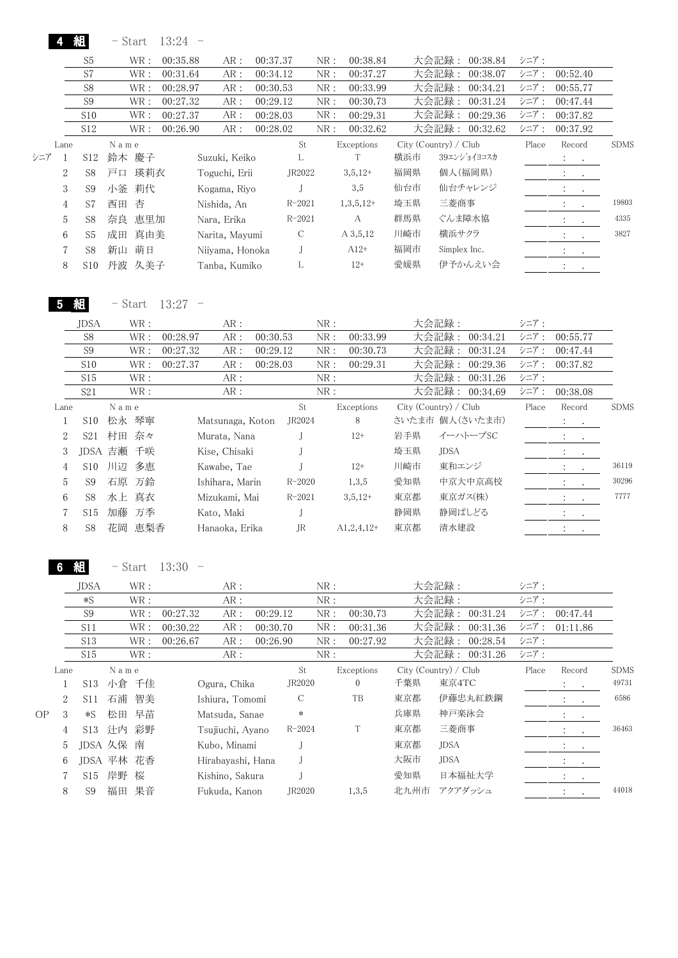|           |                  | 組                         | $-$ Start                                      | 13:24     |                   |          |                     |                              |                  |                       |                |                 |       |                                                     |                      |
|-----------|------------------|---------------------------|------------------------------------------------|-----------|-------------------|----------|---------------------|------------------------------|------------------|-----------------------|----------------|-----------------|-------|-----------------------------------------------------|----------------------|
|           |                  | S <sub>5</sub>            | $\operatorname{WR}$ :                          | 00:35.88  | AR:               | 00:37.37 |                     | NR:                          | 00:38.84         |                       | 大会記録:          | 00:38.84        | シニア:  |                                                     |                      |
|           |                  | S7                        | $\text{WR}$ :                                  | 00:31.64  | $AR:$             | 00:34.12 |                     | ${\rm NR}$ :                 | 00:37.27         |                       | 大会記録:          | 00:38.07        | シニア:  | 00:52.40                                            |                      |
|           |                  | S8                        | $\operatorname{WR}$ :                          | 00:28.97  | AR:               | 00:30.53 |                     | NR:                          | 00:33.99         |                       | 大会記録:          | 00:34.21        | シニア:  | 00:55.77                                            |                      |
|           |                  | $\mathbf{S9}$             | $\operatorname{WR}$ :                          | 00:27.32  | AR:               | 00:29.12 |                     | NR:                          | 00:30.73         |                       | 大会記録:          | 00:31.24        | シニア:  | 00:47.44                                            |                      |
|           |                  | S10                       | $\operatorname{WR}$ :                          | 00:27.37  | AR:               | 00:28.03 |                     | NR:                          | 00:29.31         |                       | 大会記録:          | 00:29.36        | シニア:  | 00:37.82                                            |                      |
|           |                  | S12                       | $\operatorname{WR}$ :                          | 00:26.90  | AR:               | 00:28.02 |                     | ${\rm NR}$ :                 | 00:32.62         |                       |                | 大会記録: 00:32.62  | シニア:  | 00:37.92                                            |                      |
|           | Lane             |                           | ${\cal N}$ a m e                               |           |                   |          | St                  |                              | Exceptions       | City (Country) / Club |                |                 | Place | Record                                              | <b>SDMS</b>          |
| シニア       | 1                | S12                       | 鈴木 慶子                                          |           | Suzuki, Keiko     |          | L                   |                              | $\mathbf T$      | 横浜市                   |                | 39エンショイヨコスカ     |       | $\mathbb{Z}^n$ .<br>$\sim$                          |                      |
|           | $\overline{2}$   | S8                        | 瑛莉衣<br>戸口                                      |           | Toguchi, Erii     |          | JR2022              |                              | $3,5,12+$        | 福岡県                   |                | 個人(福岡県)         |       | $\mathcal{Z}^{\mathcal{A}}$<br>$\sim$               |                      |
|           | $\boldsymbol{3}$ | S <sub>9</sub>            | 莉代<br>小釜                                       |           | Kogama, Riyo      |          | J                   |                              | 3,5              | 仙台市                   |                | 仙台チャレンジ         |       | $\mathbb{C}^2$                                      |                      |
|           | $\overline{4}$   | S7                        | 杏<br>西田                                        |           | Nishida, An       |          | $R - 2021$          |                              | $1,3,5,12+$      | 埼玉県                   | 三菱商事           |                 |       | $\bullet$<br>$\ddot{\cdot}$                         | 19803                |
|           |                  |                           |                                                |           |                   |          |                     |                              |                  |                       |                |                 |       | $\bullet$                                           | 4335                 |
|           | 5                | S8                        | 奈良 恵里加                                         |           | Nara, Erika       |          | $R - 2021$          |                              | $\boldsymbol{A}$ | 群馬県                   |                | ぐんま障水協          |       | $\mathcal{L}^{\mathcal{L}}$<br>$\ddot{\phantom{0}}$ |                      |
|           | 6                | S <sub>5</sub>            | 成田<br>真由美                                      |           | Narita, Mayumi    |          | $\mathbf C$         |                              | A 3,5,12         | 川崎市                   | 横浜サクラ          |                 |       | $\mathbb{R}^n$<br>$\sim$                            | 3827                 |
|           | $\overline{7}$   | S8                        | 萌日<br>新山                                       |           | Niiyama, Honoka   |          | J                   |                              | $A12+$           | 福岡市                   | Simplex Inc.   |                 |       | $\mathbb{Z}^+$<br>$\sim 100$                        |                      |
|           | 8                | S10                       | 丹波 久美子                                         |           | Tanba, Kumiko     |          | L                   |                              | $12+$            | 愛媛県                   |                | 伊予かんえい会         |       | $1\leq i\leq n$                                     |                      |
|           | 5                | 組                         | - Start                                        | $13:27 -$ |                   |          |                     |                              |                  |                       |                |                 |       |                                                     |                      |
|           |                  | JDSA                      | $\operatorname{WR}$ :                          |           | AR:               |          |                     | NR:                          |                  |                       | 大会記録:          |                 | シニア:  |                                                     |                      |
|           |                  | S8                        | $\operatorname{WR}$ :                          | 00:28.97  | AR:               | 00:30.53 |                     | NR:                          | 00:33.99         |                       | 大会記録:          | 00:34.21        | シニア:  | 00:55.77                                            |                      |
|           |                  | S <sub>9</sub>            | $\operatorname{WR}$ :                          | 00:27.32  | AR:               | 00:29.12 |                     | NR:                          | 00:30.73         |                       | 大会記録:          | 00:31.24        | シニア:  | 00:47.44                                            |                      |
|           |                  | S10                       | WR:                                            | 00:27.37  | AR:               | 00:28.03 |                     | ${\rm NR}$ :                 | 00:29.31         |                       | 大会記録:          | 00:29.36        | シニア:  | 00:37.82                                            |                      |
|           |                  | $\rm S15$                 | $\text{WR}$ :                                  |           | AR:               |          |                     | ${\rm NR}$ :                 |                  |                       | 大会記録:          | 00:31.26        | シニア:  |                                                     |                      |
|           |                  | S <sub>21</sub>           | $\operatorname{WR}$ :                          |           | AR:               |          |                     | ${\rm NR}$ :                 |                  |                       |                | 大会記録: 00:34.69  | シニア:  | 00:38.08                                            |                      |
|           | Lane             |                           | N a m e                                        |           |                   |          | $\operatorname{St}$ |                              | Exceptions       | City (Country) / Club |                |                 | Place | Record                                              | <b>SDMS</b>          |
|           | 1                | S10                       | 松永 琴寧                                          |           | Matsunaga, Koton  |          | JR2024              |                              | 8                |                       |                | さいたま市 個人(さいたま市) |       | $\mathcal{L}_{\mathrm{eff}}$                        |                      |
|           | $\boldsymbol{2}$ | S <sub>21</sub>           | 村田<br>奈々                                       |           | Murata, Nana      |          | J                   |                              | $12+$            | 岩手県                   |                | イーハトーブSC        |       | $\sim$                                              |                      |
|           |                  |                           |                                                |           |                   |          |                     |                              |                  |                       |                |                 |       | $\ddot{\cdot}$<br>$\sim$                            |                      |
|           | 3                |                           | JDSA 吉瀬<br>千咲                                  |           | Kise, Chisaki     |          | J                   |                              |                  | 埼玉県                   | <b>JDSA</b>    |                 |       | $\ddot{\cdot}$<br>$\bullet$                         |                      |
|           | $\overline{4}$   | S10                       | 多恵<br>川辺                                       |           | Kawabe, Tae       |          | J                   |                              | $12+$            | 川崎市                   | 東和エンジ          |                 |       | $\ddot{\cdot}$<br>$\bullet$                         | 36119                |
|           | 5                | S <sub>9</sub>            | 石原 万鈴                                          |           | Ishihara, Marin   |          | $R - 2020$          |                              | 1,3,5            | 愛知県                   |                | 中京大中京高校         |       | $\ddot{\cdot}$<br>$\bullet$                         | 30296                |
|           | 6                | S8                        | 水上 真衣                                          |           | Mizukami, Mai     |          | $R - 2021$          |                              | $3,5,12+$        | 東京都                   |                | 東京ガス(株)         |       | $\bullet$                                           | 7777                 |
|           | 7                | S15                       | 加藤 万季                                          |           | Kato, Maki        |          | J                   |                              |                  | 静岡県                   |                | 静岡ぱしどる          |       | $\ddot{\cdot}$<br>$\bullet$                         |                      |
|           | 8                | S8                        | 恵梨香<br>花岡                                      |           | Hanaoka, Erika    |          | <b>JR</b>           |                              | $A1, 2, 4, 12+$  | 東京都                   | 清水建設           |                 |       | $\ddot{\ddot{z}}$<br>$\bullet$                      |                      |
|           |                  |                           | - Start                                        | $13:30 -$ |                   |          |                     |                              |                  |                       |                |                 |       |                                                     |                      |
|           |                  |                           |                                                |           |                   |          |                     |                              |                  |                       |                |                 | シニア:  |                                                     |                      |
|           |                  | JDSA<br>$\ast\mathcal{S}$ | $\operatorname{WR}$ :<br>$\operatorname{WR}$ : |           | AR:<br>AR:        |          |                     | ${\rm NR}$ :<br>${\rm NR}$ : |                  |                       | 大会記録:<br>大会記録: |                 | シニア:  |                                                     |                      |
|           |                  | $\mathbf{S9}$             | $\operatorname{WR}$ :                          | 00:27.32  | AR:               | 00:29.12 |                     | NR:                          | 00:30.73         |                       |                | 大会記録: 00:31.24  | シニア:  | 00:47.44                                            |                      |
|           |                  | S11                       | $\operatorname{WR}$ :                          | 00:30.22  | AR:               | 00:30.70 |                     | NR:                          | 00:31.36         |                       | 大会記録:          | 00:31.36        | シニア:  | 01:11.86                                            |                      |
|           |                  | S13                       | $\operatorname{WR}$ :                          | 00:26.67  | AR:               | 00:26.90 |                     | ${\rm NR}$ :                 | 00:27.92         |                       | 大会記録:          | 00:28.54        | シニア:  |                                                     |                      |
|           |                  | S15                       | WR:                                            |           | AR:               |          |                     | NR:                          |                  |                       |                | 大会記録: 00:31.26  | シニア:  |                                                     |                      |
|           |                  |                           |                                                |           |                   |          |                     |                              | Exceptions       | City (Country) / Club |                |                 |       |                                                     |                      |
|           | Lane             |                           | N a m e<br>小倉 千佳                               |           |                   |          | St<br>JR2020        |                              | $\boldsymbol{0}$ | 千葉県                   | 東京4TC          |                 | Place | Record                                              | <b>SDMS</b><br>49731 |
|           | 1                | S <sub>13</sub>           |                                                |           | Ogura, Chika      |          |                     |                              |                  |                       |                |                 |       | $\ddot{\cdot}$                                      |                      |
|           | $\mathbf{2}$     | S11                       | 智美<br>石浦                                       |           | Ishiura, Tomomi   |          | $\mathsf C$         |                              | TB               | 東京都                   |                | 伊藤忠丸紅鉄鋼         |       | $\ddot{\cdot}$<br>$\bullet$                         | 6586                 |
| <b>OP</b> | 3                | $*S$                      | 松田<br>早苗                                       |           | Matsuda, Sanae    |          | *                   |                              |                  | 兵庫県                   | 神戸楽泳会          |                 |       | $\ddot{\cdot}$                                      |                      |
|           | 4                | S13                       | 辻内<br>彩野                                       |           | Tsujiuchi, Ayano  |          | $R - 2024$          |                              | $\rm T$          | 東京都                   | 三菱商事           |                 |       | $\ddot{\phantom{a}}$                                | 36463                |
|           | 5                |                           | JDSA 久保 南                                      |           | Kubo, Minami      |          | J                   |                              |                  | 東京都                   | <b>JDSA</b>    |                 |       | $\ddot{\cdot}$<br>$\bullet$                         |                      |
|           | 6                |                           | JDSA 平林<br>花香                                  |           | Hirabayashi, Hana |          | J                   |                              |                  | 大阪市                   | <b>JDSA</b>    |                 |       | $\ddot{\cdot}$<br>$\bullet$                         |                      |
|           | 7                | S15                       | 岸野<br>桜                                        |           | Kishino, Sakura   |          | J                   |                              |                  | 愛知県                   |                | 日本福祉大学          |       | $\ddot{\cdot}$<br>$\bullet$                         |                      |
|           | 8                | S <sub>9</sub>            | 果音<br>福田                                       |           | Fukuda, Kanon     |          | JR2020              |                              | 1,3,5            | 北九州市                  |                | アクアダッシュ         |       | $\cdot$                                             | 44018                |
|           |                  |                           |                                                |           |                   |          |                     |                              |                  |                       |                |                 |       |                                                     |                      |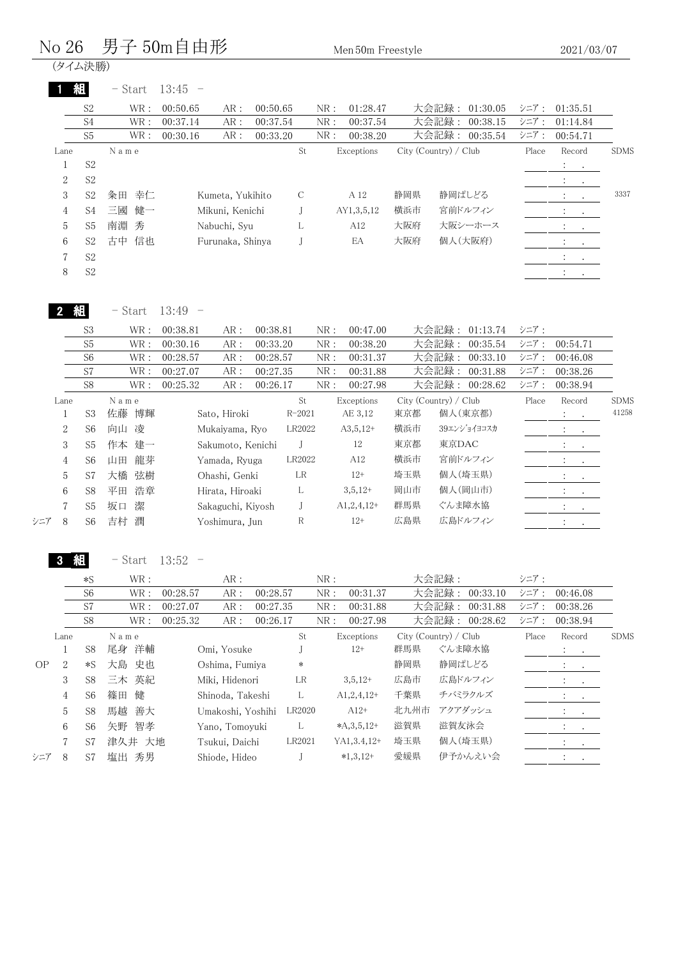#### $\rm No~26$  男子  $\rm 50m$ 自由形 Men $\rm 50m$  Freestyle

(タイム決勝)

|                | 組              | $-$ Start | 13:45<br>$\overline{\phantom{a}}$ |                  |          |    |     |            |     |                       |       |                                                         |             |
|----------------|----------------|-----------|-----------------------------------|------------------|----------|----|-----|------------|-----|-----------------------|-------|---------------------------------------------------------|-------------|
|                | S <sub>2</sub> | WR:       | 00:50.65                          | AR:              | 00:50.65 |    | NR: | 01:28.47   |     | 大会記録:<br>01:30.05     | シニア:  | 01:35.51                                                |             |
|                | S <sub>4</sub> | WR:       | 00:37.14                          | AR:              | 00:37.54 |    | NR: | 00:37.54   |     | 大会記録:<br>00:38.15     | シニア:  | 01:14.84                                                |             |
|                | S <sub>5</sub> | WR :      | 00:30.16                          | AR:              | 00:33.20 |    | NR: | 00:38.20   |     | 大会記録:<br>00:35.54     | シニア:  | 00:54.71                                                |             |
| Lane           |                | N a m e   |                                   |                  |          | St |     | Exceptions |     | City (Country) / Club | Place | Record                                                  | <b>SDMS</b> |
|                | S <sub>2</sub> |           |                                   |                  |          |    |     |            |     |                       |       | $\frac{1}{2}$                                           |             |
| 2              | S <sub>2</sub> |           |                                   |                  |          |    |     |            |     |                       |       | $\ddot{\phantom{0}}$<br>$\sim$ 100 $\pm$                |             |
| 3              | S <sub>2</sub> | 幸仁<br>粂田  |                                   | Kumeta, Yukihito |          | C  |     | A 12       | 静岡県 | 静岡ぱしどる                |       | $\sim$ $\sim$                                           | 3337        |
| $\overline{4}$ | S4             | 三國<br>健一  |                                   | Mikuni, Kenichi  |          |    |     | AY1,3,5,12 | 横浜市 | 宮前ドルフィン               |       | $\mathcal{L}_{\text{max}}$ , $\mathcal{L}_{\text{max}}$ |             |
| 5              | S <sub>5</sub> | 南淵 秀      |                                   | Nabuchi, Syu     |          | L  |     | A12        | 大阪府 | 大阪シーホース               |       | $\mathcal{L}^{\text{max}}$ , $\mathcal{L}^{\text{max}}$ |             |
| 6              | S <sub>2</sub> | 信也<br>古中  |                                   | Furunaka, Shinya |          |    |     | EA         | 大阪府 | 個人(大阪府)               |       | <b>Contract Contract</b><br>$\ddot{\phantom{0}}$        |             |
| $\overline{7}$ | S <sub>2</sub> |           |                                   |                  |          |    |     |            |     |                       |       |                                                         |             |
| 8              | S <sub>2</sub> |           |                                   |                  |          |    |     |            |     |                       |       | $\bullet$                                               |             |
|                |                |           |                                   |                  |          |    |     |            |     |                       |       |                                                         |             |

|--|

- Start 13:49 -

|     |                | S <sub>3</sub> | WR:      | 00:38.81<br>AR:   | 00:38.81   | NR: | 00:47.00     |     | 大会記録:<br>01:13.74     | シニア:  |                                                               |             |
|-----|----------------|----------------|----------|-------------------|------------|-----|--------------|-----|-----------------------|-------|---------------------------------------------------------------|-------------|
|     |                | S <sub>5</sub> | WR:      | 00:30.16<br>AR:   | 00:33.20   | NR: | 00:38.20     |     | 大会記録:<br>00:35.54     | シニア:  | 00:54.71                                                      |             |
|     |                | S <sub>6</sub> | WR :     | 00:28.57<br>AR:   | 00:28.57   | NR: | 00:31.37     |     | 大会記録:<br>00:33.10     | シニア:  | 00:46.08                                                      |             |
|     |                | S7             | WR:      | 00:27.07<br>AR:   | 00:27.35   | NR: | 00:31.88     |     | 大会記録:<br>00:31.88     | シニア:  | 00:38.26                                                      |             |
|     |                | S8             | WR :     | 00:25.32<br>AR:   | 00:26.17   | NR: | 00:27.98     |     | 大会記録:<br>00:28.62     | シニア:  | 00:38.94                                                      |             |
|     | Lane           |                | Name     |                   | St         |     | Exceptions   |     | City (Country) / Club | Place | Record                                                        | <b>SDMS</b> |
|     |                | S <sub>3</sub> | 佐藤<br>博輝 | Sato, Hiroki      | $R - 2021$ |     | AE 3,12      | 東京都 | 個人(東京都)               |       | $\mathcal{I}^{\text{max}}$ , $\mathcal{I}^{\text{max}}$       | 41258       |
|     | $\overline{2}$ | S6             | 凌<br>向山  | Mukaiyama, Ryo    | LR2022     |     | $A3,5,12+$   | 横浜市 | 39エンショイヨコスカ           |       | $\mathcal{L}^{\text{max}}$ , where $\mathcal{L}^{\text{max}}$ |             |
|     | 3              | S5             | 建一<br>作本 | Sakumoto, Kenichi |            |     | 12           | 東京都 | 東京DAC                 |       | $\mathcal{I}=\{i,j\}$                                         |             |
|     | 4              | S <sub>6</sub> | 龍芽<br>山田 | Yamada, Ryuga     | LR2022     |     | A12          | 横浜市 | 宮前ドルフィン               |       | $\mathbb{R}^n$ . The $\mathbb{R}^n$                           |             |
|     | 5              | S7             | 弦樹<br>大橋 | Ohashi, Genki     | LR         |     | $12+$        | 埼玉県 | 個人(埼玉県)               |       | <b>All Contracts</b>                                          |             |
|     | 6              | S8             | 浩章<br>平田 | Hirata, Hiroaki   | L          |     | $3,5,12+$    | 岡山市 | 個人(岡山市)               |       | $\mathcal{L}_{\text{max}}$ , $\mathcal{L}_{\text{max}}$       |             |
|     | $\mathbf{7}$   | S <sub>5</sub> | 坂口<br>潔  | Sakaguchi, Kiyosh |            |     | $A1,2,4,12+$ | 群馬県 | ぐんま障水協                |       | $\sim$                                                        |             |
| シニア | 8              | S6             | 灈<br>吉村  | Yoshimura, Jun    | R          |     | $12+$        | 広島県 | 広島ドルフィン               |       | $\cdot$                                                       |             |
|     |                |                |          |                   |            |     |              |     |                       |       |                                                               |             |

3 組 - Start 13:52 -

|     |      | $*S$           | WR:      |          | AR:               |          |        | NR: |                 |      | 大会記録:                 | シニア:  |                              |             |
|-----|------|----------------|----------|----------|-------------------|----------|--------|-----|-----------------|------|-----------------------|-------|------------------------------|-------------|
|     |      | S <sub>6</sub> | WR:      | 00:28.57 | AR:               | 00:28.57 |        | NR: | 00:31.37        |      | 大会記録:<br>00:33.10     | シニア:  | 00:46.08                     |             |
|     |      | S7             | WR:      | 00:27.07 | AR:               | 00:27.35 |        | NR: | 00:31.88        |      | 大会記録:<br>00:31.88     | シニア:  | 00:38.26                     |             |
|     |      | S <sub>8</sub> | WR:      | 00:25.32 | AR:               | 00:26.17 |        | NR: | 00:27.98        |      | 大会記録:<br>00:28.62     | シニア:  | 00:38.94                     |             |
|     | Lane |                | Name     |          |                   |          | St     |     | Exceptions      |      | City (Country) / Club | Place | Record                       | <b>SDMS</b> |
|     |      | S8             | 洋輔<br>尾身 |          | Omi, Yosuke       |          |        |     | $12+$           | 群馬県  | ぐんま障水協                |       | Andrew Card                  |             |
| OP  | 2    | $*S$           | 史也<br>大島 |          | Oshima, Fumiya    |          | *      |     |                 | 静岡県  | 静岡ぱしどる                |       | $\cdot$<br>$\sim 1000$       |             |
|     | 3    | S8             | 三木 英紀    |          | Miki, Hidenori    |          | LR     |     | $3,5,12+$       | 広島市  | 広島ドルフィン               |       | $\bullet$ . In the $\bullet$ |             |
|     | 4    | S6             | 篠田<br>健  |          | Shinoda, Takeshi  |          | L      |     | $A1,2,4,12+$    | 千葉県  | チバミラクルズ               |       | $\cdot$<br>$\bullet$         |             |
|     | 5    | S8             | 善大<br>馬越 |          | Umakoshi, Yoshihi |          | LR2020 |     | $A12+$          | 北九州市 | アクアダッシュ               |       | $\cdot$<br>$\sim$ $\sim$     |             |
|     | 6    | S6             | 智孝<br>矢野 |          | Yano, Tomoyuki    |          | L.     |     | $*A,3,5,12+$    | 滋賀県  | 滋賀友泳会                 |       | $\cdot$                      |             |
|     | 7    | S7             | 津久井 大地   |          | Tsukui, Daichi    |          | LR2021 |     | $YA1, 3.4, 12+$ | 埼玉県  | 個人(埼玉県)               |       | $\sim$ $\sim$                |             |
| シニア | 8    | S7             | 秀男<br>塩出 |          | Shiode, Hideo     |          |        |     | $*1,3,12+$      | 愛媛県  | 伊予かんえい会               |       |                              |             |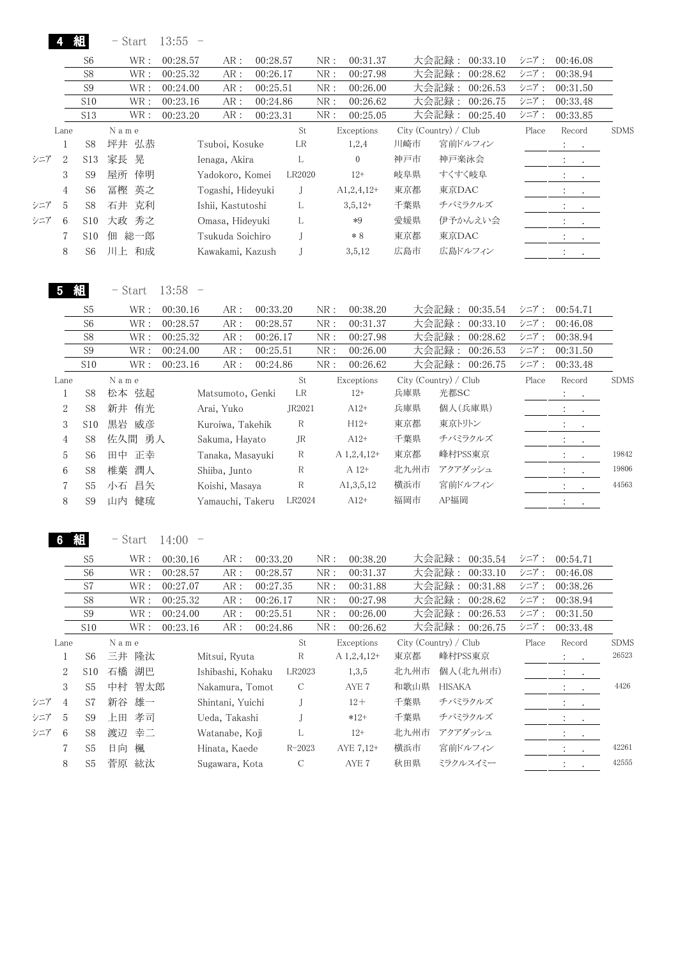|     |                | 組              | $-$ Start     | 13:55<br>$\overline{\phantom{0}}$ |                   |               |              |                  |                       |               |                |       |                                                                                                                                        |                      |
|-----|----------------|----------------|---------------|-----------------------------------|-------------------|---------------|--------------|------------------|-----------------------|---------------|----------------|-------|----------------------------------------------------------------------------------------------------------------------------------------|----------------------|
|     |                | S6             | WR:           | 00:28.57                          | 00:28.57<br>AR:   |               | NR:          | 00:31.37         |                       | 大会記録:         | 00:33.10       | シニア:  | 00:46.08                                                                                                                               |                      |
|     |                | S8             | WR:           | 00:25.32                          | AR:<br>00:26.17   |               | NR:          | 00:27.98         |                       | 大会記録:         | 00:28.62       | シニア:  | 00:38.94                                                                                                                               |                      |
|     |                | S <sub>9</sub> | WR:           | 00:24.00                          | AR:<br>00:25.51   |               | NR:          | 00:26.00         |                       | 大会記録:         | 00:26.53       | シニア:  | 00:31.50                                                                                                                               |                      |
|     |                | S10            | WR:           | 00:23.16                          | AR:<br>00:24.86   |               | NR:          | 00:26.62         |                       | 大会記録:         | 00:26.75       | シニア:  | 00:33.48                                                                                                                               |                      |
|     |                | S13            | WR:           | 00:23.20                          | AR:<br>00:23.31   |               | ${\rm NR}$ : | 00:25.05         |                       |               | 大会記録: 00:25.40 | シニア:  | 00:33.85                                                                                                                               |                      |
|     | Lane           |                | N a m e       |                                   |                   | St            |              | Exceptions       | City (Country) / Club |               |                | Place | Record                                                                                                                                 | <b>SDMS</b>          |
|     | $\mathbf{1}$   | S8             | 坪井 弘恭         | Tsuboi, Kosuke                    |                   | LR            |              | 1,2,4            | 川崎市                   |               | 宮前ドルフィン        |       | $\mathbb{Z}^n$ .<br>$\bullet$ .                                                                                                        |                      |
| シニア | $\sqrt{2}$     | S13            | 家長<br>晃       | Ienaga, Akira                     |                   | L             |              | $\boldsymbol{0}$ | 神戸市                   | 神戸楽泳会         |                |       | $\frac{1}{2}$ . The set of $\frac{1}{2}$                                                                                               |                      |
|     | 3              | S <sub>9</sub> | 屋所<br>倖明      |                                   | Yadokoro, Komei   | LR2020        |              | $12+$            | 岐阜県                   |               | すくすく岐阜         |       | $\mathcal{I}^{\mathcal{A}}$ .<br>$\sim$ 100 $\sim$                                                                                     |                      |
|     | $\overline{4}$ | S <sub>6</sub> | 冨樫<br>英之      |                                   | Togashi, Hideyuki | J             |              | $A1, 2, 4, 12+$  | 東京都                   | 東京DAC         |                |       | $\sim$                                                                                                                                 |                      |
| シニア | 5              | S8             | 石井 克利         |                                   | Ishii, Kastutoshi | L             |              | $3,5,12+$        | 千葉県                   |               | チバミラクルズ        |       |                                                                                                                                        |                      |
| シニア | 6              | S10            | 大政 秀之         |                                   | Omasa, Hideyuki   | L             |              | $*9$             | 愛媛県                   |               | 伊予かんえい会        |       | $\mathcal{L}^{\mathcal{L}}(\mathcal{L}^{\mathcal{L}}(\mathcal{L}^{\mathcal{L}}(\mathcal{L}^{\mathcal{L}}(\mathcal{L}^{\mathcal{L}})))$ |                      |
|     | 7              | S10            | 佃 総一郎         |                                   | Tsukuda Soichiro  | J             |              | $*8$             | 東京都                   | 東京DAC         |                |       | $\mathcal{I}^{\text{max}}$ , $\mathcal{I}^{\text{max}}$                                                                                |                      |
|     | 8              | S <sub>6</sub> | 川上 和成         |                                   | Kawakami, Kazush  | J             |              | 3,5,12           | 広島市                   |               | 広島ドルフィン        |       | $\mathbb{Z}^n$ . The $\mathbb{Z}^n$                                                                                                    |                      |
|     |                |                |               |                                   |                   |               |              |                  |                       |               |                |       |                                                                                                                                        |                      |
|     | 5              | 組              | $-$ Start     | $13:58 -$                         |                   |               |              |                  |                       |               |                |       |                                                                                                                                        |                      |
|     |                | S <sub>5</sub> | WR:           | 00:30.16                          | 00:33.20<br>AR:   |               | NR:          | 00:38.20         |                       | 大会記録:         | 00:35.54       | シニア:  | 00:54.71                                                                                                                               |                      |
|     |                | S <sub>6</sub> | WR :          | 00:28.57                          | 00:28.57<br>AR:   |               | NR:          | 00:31.37         |                       | 大会記録:         | 00:33.10       | シニア:  | 00:46.08                                                                                                                               |                      |
|     |                | S8             | WR :          | 00:25.32                          | 00:26.17<br>AR:   |               | NR:          | 00:27.98         |                       | 大会記録:         | 00:28.62       | シニア:  | 00:38.94                                                                                                                               |                      |
|     |                | S9             | WR :          | 00:24.00                          | 00:25.51<br>AR:   |               | NR:          | 00:26.00         |                       | 大会記録:         | 00:26.53       | シニア:  | 00:31.50                                                                                                                               |                      |
|     |                | S10            | WR :          | 00:23.16                          | AR:<br>00:24.86   |               | NR:          | 00:26.62         |                       |               | 大会記録: 00:26.75 | シニア:  | 00:33.48                                                                                                                               |                      |
|     | Lane           |                | $N$ a $m$ $e$ |                                   |                   | St            |              | Exceptions       | City (Country) / Club |               |                | Place | Record                                                                                                                                 | <b>SDMS</b>          |
|     | $\mathbf{1}$   | S8             | 松本 弦起         |                                   | Matsumoto, Genki  | $\rm LR$      |              | $12+$            | 兵庫県                   | 光都SC          |                |       |                                                                                                                                        |                      |
|     | $\,2$          | S8             | 新井 侑光         | Arai, Yuko                        |                   | JR2021        |              | $A12+$           | 兵庫県                   |               | 個人(兵庫県)        |       | $\mathbb{Z}^{\times}$                                                                                                                  |                      |
|     | $\,3$          | S10            | 黒岩 威彦         |                                   | Kuroiwa, Takehik  | $\mathbb R$   |              | $H12+$           | 東京都                   | 東京トリトン        |                |       | $\ddot{\phantom{a}}$<br>$\bullet$                                                                                                      |                      |
|     | $\overline{4}$ | S8             | 佐久間 勇人        |                                   | Sakuma, Hayato    | <b>JR</b>     |              | $A12+$           | 千葉県                   |               | チバミラクルズ        |       | $\mathcal{L}$<br>$\bullet$ .                                                                                                           |                      |
|     | 5              | S <sub>6</sub> | 田中<br>正幸      |                                   | Tanaka, Masayuki  | R             |              | A 1,2,4,12+      | 東京都                   |               | 峰村PSS東京        |       | $\ddot{\cdot}$<br>$\bullet$                                                                                                            | 19842                |
|     | 6              | S8             | 潤人<br>椎葉      | Shiiba, Junto                     |                   | R             |              | $A$ 12+          | 北九州市                  |               | アクアダッシュ        |       |                                                                                                                                        | 19806                |
|     | 7              | S <sub>5</sub> | 小石 昌矢         | Koishi, Masaya                    |                   | R             |              | A1, 3, 5, 12     | 横浜市                   |               | 宮前ドルフィン        |       |                                                                                                                                        | 44563                |
|     | 8              | S <sub>9</sub> | 山内 健琉         |                                   | Yamauchi, Takeru  | LR2024        |              | $A12+$           | 福岡市                   | AP福岡          |                |       | $\mathcal{X} \subset \mathcal{X}$ .                                                                                                    |                      |
|     |                |                |               |                                   |                   |               |              |                  |                       |               |                |       |                                                                                                                                        |                      |
|     | 6.             | 組              | - Start       | 14:00                             |                   |               |              |                  |                       |               |                |       |                                                                                                                                        |                      |
|     |                | S <sub>5</sub> | WR :          | 00:30.16                          | 00:33.20<br>AR:   |               | NR:          | 00:38.20         |                       |               | 大会記録: 00:35.54 | シニア:  | 00:54.71                                                                                                                               |                      |
|     |                | S <sub>6</sub> | WR :          | 00:28.57                          | 00:28.57<br>AR:   |               | NR:          | 00:31.37         |                       | 大会記録:         | 00:33.10       | シニア:  | 00:46.08                                                                                                                               |                      |
|     |                | S7             | WR :          | 00:27.07                          | 00:27.35<br>AR:   |               | NR:          | 00:31.88         |                       | 大会記録:         | 00:31.88       | シニア:  | 00:38.26                                                                                                                               |                      |
|     |                | S8             | WR :          | 00:25.32                          | 00:26.17<br>AR:   |               | NR:          | 00:27.98         |                       | 大会記録:         | 00:28.62       | シニア:  | 00:38.94                                                                                                                               |                      |
|     |                | S9             | WR :          | 00:24.00                          | 00:25.51<br>AR:   |               | NR:          | 00:26.00         |                       | 大会記録:         | 00:26.53       | シニア:  | 00:31.50                                                                                                                               |                      |
|     |                | S10            | WR :          | 00:23.16                          | 00:24.86<br>AR:   |               | NR:          | 00:26.62         |                       |               | 大会記録: 00:26.75 | シニア:  | 00:33.48                                                                                                                               |                      |
|     | Lane           |                | N a m e       |                                   |                   | St            |              | Exceptions       | City (Country) / Club |               |                | Place | Record                                                                                                                                 | <b>SDMS</b><br>26523 |
|     | $\mathbf{1}$   | S <sub>6</sub> | 三井 隆汰         | Mitsui, Ryuta                     |                   | R             |              | A 1,2,4,12+      | 東京都                   |               | 峰村PSS東京        |       | $\bullet$                                                                                                                              |                      |
|     | $\sqrt{2}$     | S10            | 石橋 湖巴         |                                   | Ishibashi, Kohaku | LR2023        |              | 1,3,5            | 北九州市                  |               | 個人(北九州市)       |       | $\ddot{\cdot}$                                                                                                                         |                      |
|     | $\,3$          | S <sub>5</sub> | 中村<br>智太郎     |                                   | Nakamura, Tomot   | $\mathcal{C}$ |              | $\rm{AYE}$ 7     | 和歌山県                  | <b>HISAKA</b> |                |       |                                                                                                                                        | 4426                 |
| シニア | 4              | S7             | 雄一<br>新谷      | Shintani, Yuichi                  |                   | J             |              | $12 +$           | 千葉県                   |               | チバミラクルズ        |       |                                                                                                                                        |                      |
| シニア | 5              | S <sub>9</sub> | 孝司<br>上田      | Ueda, Takashi                     |                   | J             |              | $*12+$           | 千葉県                   |               | チバミラクルズ        |       |                                                                                                                                        |                      |
| シニア | 6              | S8             | 幸二<br>渡辺      | Watanabe, Koji                    |                   | L             |              | $12+$            | 北九州市                  |               | アクアダッシュ        |       | $\ddot{\cdot}$<br>$\cdot$                                                                                                              |                      |
|     | 7              | S <sub>5</sub> | 日向<br>楓       | Hinata, Kaede                     |                   | $R - 2023$    |              | AYE 7,12+        | 横浜市                   |               | 宮前ドルフィン        |       | $\ddot{\cdot}$<br>$\bullet$                                                                                                            | 42261                |
|     | 8              | ${\rm S}5$     | 菅原 紘汰         | Sugawara, Kota                    |                   | $\mathsf C$   |              | AYE 7            | 秋田県                   |               | ミラクルスイミー       |       | $\ddot{\cdot}$                                                                                                                         | $42555\,$            |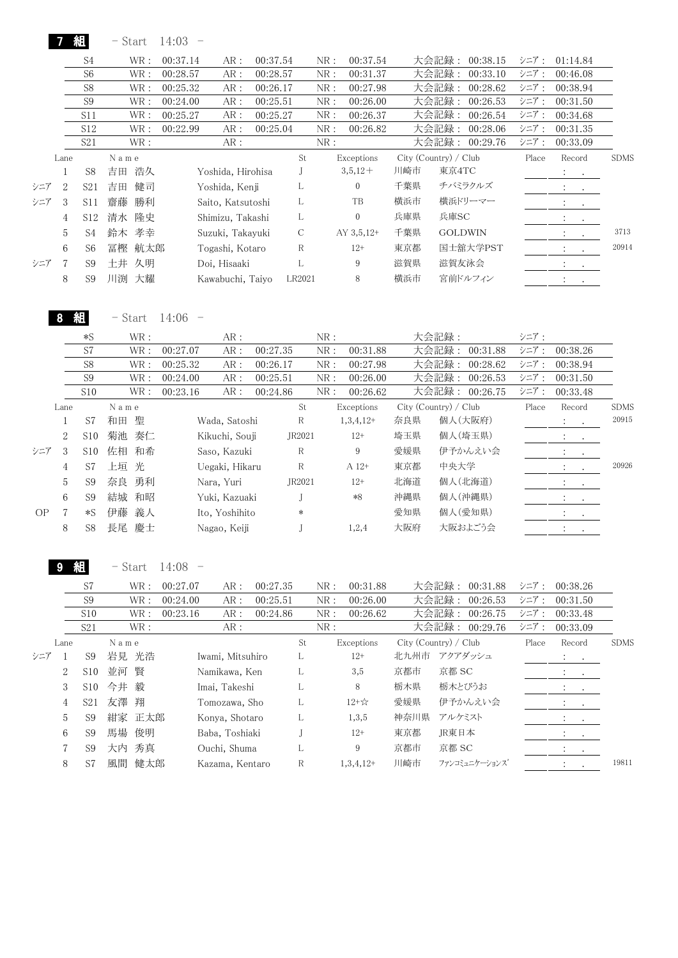|     |      | 組               | - Start   | 14:03    |                   |          |        |     |              |     |                       |       |                                                                                                                                                     |             |
|-----|------|-----------------|-----------|----------|-------------------|----------|--------|-----|--------------|-----|-----------------------|-------|-----------------------------------------------------------------------------------------------------------------------------------------------------|-------------|
|     |      | S4              | WR :      | 00:37.14 | AR:               | 00:37.54 |        | NR: | 00:37.54     |     | 大会記録:<br>00:38.15     | シニア:  | 01:14.84                                                                                                                                            |             |
|     |      | S <sub>6</sub>  | WR :      | 00:28.57 | AR:               | 00:28.57 |        | NR: | 00:31.37     |     | 大会記録:<br>00:33.10     | シニア:  | 00:46.08                                                                                                                                            |             |
|     |      | S <sub>8</sub>  | WR :      | 00:25.32 | AR:               | 00:26.17 |        | NR: | 00:27.98     |     | 大会記録:<br>00:28.62     | シニア:  | 00:38.94                                                                                                                                            |             |
|     |      | S <sub>9</sub>  | WR:       | 00:24.00 | AR:               | 00:25.51 |        | NR: | 00:26.00     |     | 大会記録:<br>00:26.53     | シニア:  | 00:31.50                                                                                                                                            |             |
|     |      | S11             | WR :      | 00:25.27 | AR:               | 00:25.27 |        | NR: | 00:26.37     |     | 大会記録:<br>00:26.54     | シニア:  | 00:34.68                                                                                                                                            |             |
|     |      | S <sub>12</sub> | WR :      | 00:22.99 | AR:               | 00:25.04 |        | NR: | 00:26.82     |     | 大会記録:<br>00:28.06     | シニア:  | 00:31.35                                                                                                                                            |             |
|     |      | S <sub>21</sub> | WR:       |          | AR :              |          |        | NR: |              |     | 大会記録:<br>00:29.76     | シニア:  | 00:33.09                                                                                                                                            |             |
|     | Lane |                 | N a m e   |          |                   |          | St     |     | Exceptions   |     | City (Country) / Club | Place | Record                                                                                                                                              | <b>SDMS</b> |
|     |      | S <sub>8</sub>  | 浩久<br>吉田  |          | Yoshida, Hirohisa |          |        |     | $3,5,12+$    | 川崎市 | 東京4TC                 |       | $\mathbf{A}$ and $\mathbf{A}$                                                                                                                       |             |
| シニア | 2    | S <sub>21</sub> | 健司<br>吉田  |          | Yoshida, Kenji    |          | L      |     | $\mathbf{0}$ | 千葉県 | チバミラクルズ               |       | $\cdot$<br>$\cdot$                                                                                                                                  |             |
| シニア | 3    | S <sub>11</sub> | 齋藤<br>勝利  |          | Saito, Katsutoshi |          | L      |     | TB           | 横浜市 | 横浜ドリーマー               |       | $\sim$<br>$\ddot{\phantom{0}}$                                                                                                                      |             |
|     | 4    | S12             | 隆史<br>清水  |          | Shimizu, Takashi  |          | L      |     | $\mathbf{0}$ | 兵庫県 | 兵庫SC                  |       | $\ddot{\phantom{0}}$<br>$\bullet$                                                                                                                   |             |
|     | 5    | S4              | 孝幸<br>鈴木  |          | Suzuki, Takayuki  |          | С      |     | $AY$ 3,5,12+ | 千葉県 | <b>GOLDWIN</b>        |       | $\ddot{\cdot}$<br>$\bullet$                                                                                                                         | 3713        |
|     | 6    | S <sub>6</sub>  | 航太郎<br>冨樫 |          | Togashi, Kotaro   |          | R      |     | $12+$        | 東京都 | 国士舘大学PST              |       | $\sim$ 100 $\pm$                                                                                                                                    | 20914       |
| シニア | 7    | S9              | 久明<br>土井  |          | Doi, Hisaaki      |          | L      |     | 9            | 滋賀県 | 滋賀友泳会                 |       | $\bullet$ .<br><br><br><br><br><br><br><br><br><br><br><br><br><br><br><br><br><br><br><br><br><br><br><br><br><br><br><br><br><br><br><br><br><br> |             |
|     | 8    | S <sub>9</sub>  | 大耀<br>川渕  |          | Kawabuchi, Taiyo  |          | LR2021 |     | 8            | 横浜市 | 宮前ドルフィン               |       | $\bullet$                                                                                                                                           |             |

8 組 - Start 14:06 -

|     |      | $*S$            | WR:      | AR:             |          | NR: |             |     | 大会記録:                 | シニア:  |                                                                                                                                                             |             |
|-----|------|-----------------|----------|-----------------|----------|-----|-------------|-----|-----------------------|-------|-------------------------------------------------------------------------------------------------------------------------------------------------------------|-------------|
|     |      | S7              | WR:      | AR:<br>00:27.07 | 00:27.35 | NR: | 00:31.88    |     | 大会記録:<br>00:31.88     | シニア:  | 00:38.26                                                                                                                                                    |             |
|     |      | S <sub>8</sub>  | WR :     | 00:25.32<br>AR: | 00:26.17 | NR: | 00:27.98    |     | 大会記録:<br>00:28.62     | シニア:  | 00:38.94                                                                                                                                                    |             |
|     |      | S <sub>9</sub>  | WR:      | 00:24.00<br>AR: | 00:25.51 | NR: | 00:26.00    |     | 大会記録:<br>00:26.53     | シニア:  | 00:31.50                                                                                                                                                    |             |
|     |      | S <sub>10</sub> | WR :     | 00:23.16<br>AR: | 00:24.86 | NR: | 00:26.62    |     | 大会記録: 00:26.75        | シニア:  | 00:33.48                                                                                                                                                    |             |
|     | Lane |                 | Name     |                 | St       |     | Exceptions  |     | City (Country) / Club | Place | Record                                                                                                                                                      | <b>SDMS</b> |
|     |      | S7              | 聖<br>和田  | Wada, Satoshi   | R        |     | $1,3,4,12+$ | 奈良県 | 個人(大阪府)               |       | $\mathcal{L} = \mathcal{L}$                                                                                                                                 | 20915       |
|     | 2    | S10             | 菊池<br>奏仁 | Kikuchi, Souji  | JR2021   |     | $12+$       | 埼玉県 | 個人(埼玉県)               |       | $\bullet$ .<br><br><br><br><br><br><br><br><br><br><br><br><br><br><br><br><br><br><br><br><br><br><br><br><br><br><br><br><br><br><br><br><br><br><br><br> |             |
| シニア | 3    | S <sub>10</sub> | 佐相<br>和希 | Saso, Kazuki    | R        |     | 9           | 愛媛県 | 伊予かんえい会               |       | $\ddot{\phantom{a}}$<br>$\sim 100$                                                                                                                          |             |
|     | 4    | S7              | 上垣 光     | Uegaki, Hikaru  | R        |     | A 12+       | 東京都 | 中央大学                  |       | $\sim$ $\sim$                                                                                                                                               | 20926       |
|     | 5    | S <sub>9</sub>  | 勇利<br>奈良 | Nara, Yuri      | JR2021   |     | $12+$       | 北海道 | 個人(北海道)               |       | $\ddot{\phantom{0}}$<br>$\sim$                                                                                                                              |             |
|     | 6    | S9              | 結城<br>和昭 | Yuki, Kazuaki   |          |     | $*8$        | 沖縄県 | 個人(沖縄県)               |       | <b>All Contracts</b>                                                                                                                                        |             |
| OP  | 7    | $*S$            | 伊藤<br>義人 | Ito, Yoshihito  | $\ast$   |     |             | 愛知県 | 個人(愛知県)               |       | $\sim$ $\sim$                                                                                                                                               |             |
|     | 8    | S8              | 長尾<br>慶士 | Nagao, Keiji    |          |     | 1,2,4       | 大阪府 | 大阪およごう会               |       |                                                                                                                                                             |             |

9 組 - Start 14:08 -

|     |                | S7              | WR :      | 00:27.07<br>AR:  | 00:27.35 |    | NR: | 00:31.88    |      | 大会記録:<br>00:31.88     | シニア:  | 00:38.26                                                                                                                                        |             |
|-----|----------------|-----------------|-----------|------------------|----------|----|-----|-------------|------|-----------------------|-------|-------------------------------------------------------------------------------------------------------------------------------------------------|-------------|
|     |                | S <sub>9</sub>  | WR :      | 00:24.00<br>AR:  | 00:25.51 |    | NR: | 00:26.00    |      | 大会記録:<br>00:26.53     | シニア:  | 00:31.50                                                                                                                                        |             |
|     |                | S10             | WR:       | 00:23.16<br>AR:  | 00:24.86 |    | NR: | 00:26.62    |      | 大会記録:<br>00:26.75     | シニア:  | 00:33.48                                                                                                                                        |             |
|     |                | S <sub>21</sub> | WR:       | AR:              |          |    | NR: |             |      | 大会記録:<br>00:29.76     | シニア:  | 00:33.09                                                                                                                                        |             |
|     | Lane           |                 | Name      |                  |          | St |     | Exceptions  |      | City (Country) / Club | Place | Record                                                                                                                                          | <b>SDMS</b> |
| シニア |                | S9              | 岩見 光浩     | Iwami, Mitsuhiro |          | L  |     | $12+$       |      | 北九州市 アクアダッシュ          |       | $\mathcal{L} = \mathcal{L}$ .                                                                                                                   |             |
|     | $\overline{2}$ | S10             | 並河 賢      | Namikawa, Ken    |          | L  |     | 3,5         | 京都市  | 京都 SC                 |       | $\mathbf{A} = \mathbf{A} \cdot \mathbf{A}$                                                                                                      |             |
|     | 3              | S10             | 今井 毅      | Imai, Takeshi    |          | L  |     | 8           | 栃木県  | 栃木とびうお                |       | $\bullet$ .<br><br><br><br><br><br><br><br><br><br><br><br><br><br><br><br><br><br><br><br><br><br><br><br><br><br><br><br><br><br><br><br><br> |             |
|     | 4              | S21             | 友澤 翔      | Tomozawa, Sho    |          | L  |     | $12 + x^2$  | 愛媛県  | 伊予かんえい会               |       | $\bullet$ , $\bullet$ , $\bullet$ ,                                                                                                             |             |
|     | 5              | S <sub>9</sub>  | 紺家 正太郎    | Konya, Shotaro   |          | L. |     | 1,3,5       | 神奈川県 | アルケミスト                |       |                                                                                                                                                 |             |
|     | 6              | S9              | 馬場<br>俊明  | Baba, Toshiaki   |          |    |     | $12+$       | 東京都  | JR東日本                 |       | $\mathbf{r} = \mathbf{r} \times \mathbf{r}$ .                                                                                                   |             |
|     | 7              | S <sub>9</sub>  | 秀真<br>大内  | Ouchi, Shuma     |          | L  |     | 9           | 京都市  | 京都 SC                 |       | $\ddot{\phantom{0}}$<br>$\bullet$                                                                                                               |             |
|     | 8              | S7              | 健太郎<br>風間 | Kazama, Kentaro  |          | R  |     | $1,3,4,12+$ | 川崎市  | ファンコミュニケーションズ         |       | $\bullet$<br>$\cdot$                                                                                                                            | 19811       |
|     |                |                 |           |                  |          |    |     |             |      |                       |       |                                                                                                                                                 |             |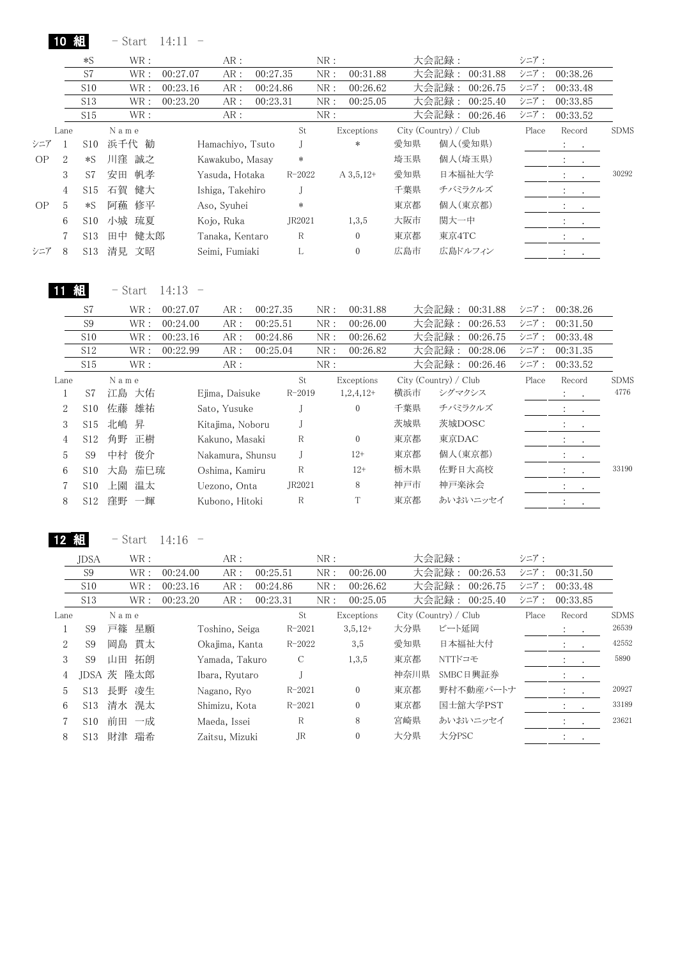| 翻<br>10 <sup>°</sup><br>- Start<br>14:11 |  |
|------------------------------------------|--|
|------------------------------------------|--|

|           |                | $*S$            | WR:       | AR:              |          | NR:        |              |     | 大会記録:                 | シニア:  |                                                                     |             |
|-----------|----------------|-----------------|-----------|------------------|----------|------------|--------------|-----|-----------------------|-------|---------------------------------------------------------------------|-------------|
|           |                | S7              | WR:       | AR:<br>00:27.07  | 00:27.35 | NR:        | 00:31.88     |     | 大会記録:<br>00:31.88     | シニア:  | 00:38.26                                                            |             |
|           |                | S10             | WR:       | AR:<br>00:23.16  | 00:24.86 | NR:        | 00:26.62     |     | 大会記録:<br>00:26.75     | シニア:  | 00:33.48                                                            |             |
|           |                | S <sub>13</sub> | WR:       | 00:23.20<br>AR:  | 00:23.31 | NR:        | 00:25.05     |     | 大会記録:<br>00:25.40     | シニア:  | 00:33.85                                                            |             |
|           |                | S15             | WR :      | AR:              |          | NR:        |              |     | 大会記録: 00:26.46        | シニア:  | 00:33.52                                                            |             |
|           | Lane           |                 | Name      |                  |          | St         | Exceptions   |     | City (Country) / Club | Place | Record                                                              | <b>SDMS</b> |
| シニア       |                | S10             | 浜千代 勧     | Hamachiyo, Tsuto |          |            | $\ast$       | 愛知県 | 個人(愛知県)               |       | $\mathcal{L}_{\text{max}}$ and $\mathcal{L}_{\text{max}}$           |             |
| <b>OP</b> | $\overline{2}$ | $*S$            | 川窪<br>誠之  | Kawakubo, Masay  |          | $\ast$     |              | 埼玉県 | 個人(埼玉県)               |       | $\sim$<br>$\ddot{\phantom{0}}$                                      |             |
|           | 3              | S7              | 帆孝<br>安田  | Yasuda, Hotaka   |          | $R - 2022$ | $A\,3,5,12+$ | 愛知県 | 日本福祉大学                |       | $\ddot{\phantom{0}}$<br>$\cdot$                                     | 30292       |
|           | 4              | S15             | 石賀<br>健大  | Ishiga, Takehiro |          |            |              | 千葉県 | チバミラクルズ               |       | <b>All Cards</b>                                                    |             |
| OP        | 5              | $*S$            | 阿蘓<br>修平  | Aso, Syuhei      |          | $\ast$     |              | 東京都 | 個人(東京都)               |       | $\ddot{\cdot}$<br>$\sim$ $\sim$                                     |             |
|           | 6              | S10             | 小城 琉夏     | Kojo, Ruka       |          | JR2021     | 1,3,5        | 大阪市 | 関大一中                  |       | <b>All Contracts</b>                                                |             |
|           |                | S <sub>13</sub> | 健太郎<br>田中 | Tanaka, Kentaro  |          | R          | $\mathbf{0}$ | 東京都 | 東京4TC                 |       | $\mathcal{L}_{\text{max}}$ , $\mathcal{L}_{\text{max}}$             |             |
| シニア       | 8              | S13             | 清見<br>文昭  | Seimi, Fumiaki   |          | L          | $\mathbf{0}$ | 広島市 | 広島ドルフィン               |       | $\bullet$ .<br><br><br><br><br><br><br><br><br><br><br><br><br><br> |             |
|           |                |                 |           |                  |          |            |              |     |                       |       |                                                                     |             |

**11 組** - Start 14:13 -

|      | S7              |      | WR:  | 00:27.07 | AR:              | 00:27.35 |            | NR: | 00:31.88     |     | 大会記録:<br>00:31.88     | シニア:  | 00:38.26                                 |             |
|------|-----------------|------|------|----------|------------------|----------|------------|-----|--------------|-----|-----------------------|-------|------------------------------------------|-------------|
|      | S <sub>9</sub>  |      | WR:  | 00:24.00 | AR:              | 00:25.51 |            | NR: | 00:26.00     |     | 大会記録:<br>00:26.53     | シニア:  | 00:31.50                                 |             |
|      | S10             |      | WR : | 00:23.16 | AR:              | 00:24.86 |            | NR: | 00:26.62     |     | 大会記録:<br>00:26.75     | シニア:  | 00:33.48                                 |             |
|      | S12             |      | WR : | 00:22.99 | AR:              | 00:25.04 |            | NR: | 00:26.82     |     | 大会記録:<br>00:28.06     | シニア:  | 00:31.35                                 |             |
|      | S15             |      | WR : |          | AR:              |          |            | NR: |              |     | 大会記録:<br>00:26.46     | シニア:  | 00:33.52                                 |             |
| Lane |                 | Name |      |          |                  |          | St.        |     | Exceptions   |     | City (Country) / Club | Place | Record                                   | <b>SDMS</b> |
|      | S7              | 江島   | 大佑   |          | Eiima, Daisuke   |          | $R - 2019$ |     | $1,2,4,12+$  | 横浜市 | シグマクシス                |       | $\sim$ 100 $\pm$<br>$\ddot{\phantom{0}}$ | 4776        |
| 2    | S <sub>10</sub> | 佐藤   | 雄祐   |          | Sato, Yusuke     |          |            |     | $\theta$     | 千葉県 | チバミラクルズ               |       | $\bullet$ , and $\bullet$ .              |             |
| 3    | S15             | 北嶋   | 昇    |          | Kitajima, Noboru |          |            |     |              | 茨城県 | 茨城DOSC                |       | $\ddot{\phantom{a}}$<br>$\sim$ 100 $\pm$ |             |
| 4    | S12             | 角野   | 正樹   |          | Kakuno, Masaki   |          | R          |     | $\theta$     | 東京都 | 東京DAC                 |       | <b>All Contracts</b>                     |             |
| 5    | S <sub>9</sub>  | 中村   | 俊介   |          | Nakamura, Shunsu |          |            |     | $12+$        | 東京都 | 個人(東京都)               |       | $\ddot{\cdot}$<br>$\sim 100$             |             |
| 6    | S <sub>10</sub> | 大島   | 茄巳琉  |          | Oshima, Kamiru   |          | R          |     | $12+$        | 栃木県 | 佐野日大高校                |       | $\bullet$<br>$\bullet$                   | 33190       |
|      | S <sub>10</sub> | 上園   | 温太   |          | Uezono, Onta     |          | JR2021     |     | 8            | 神戸市 | 神戸楽泳会                 |       | $\ddot{\cdot}$<br>$\sim$ $\sim$          |             |
| 8    | S <sub>12</sub> | 窪野   | 一輝   |          | Kubono, Hitoki   |          | R          |     | $\mathbf{T}$ | 東京都 | あいおいニッセイ              |       | $\cdot$<br>$\bullet$                     |             |
|      |                 |      |      |          |                  |          |            |     |              |     |                       |       |                                          |             |

12  $\text{A}$  - Start 14:16 -

|      | <b>JDSA</b>     |       | WR:   |          | AR:            |          |            | NR: |                |      | 大会記録:                 | シニア:  |                              |           |             |
|------|-----------------|-------|-------|----------|----------------|----------|------------|-----|----------------|------|-----------------------|-------|------------------------------|-----------|-------------|
|      | S9              |       | WR :  | 00:24.00 | AR:            | 00:25.51 |            | NR: | 00:26.00       |      | 大会記録:<br>00:26.53     | シニア:  | 00:31.50                     |           |             |
|      | S10             |       | WR:   | 00:23.16 | AR:            | 00:24.86 |            | NR: | 00:26.62       |      | 大会記録:<br>00:26.75     | シニア:  | 00:33.48                     |           |             |
|      | S <sub>13</sub> |       | WR :  | 00:23.20 | AR:            | 00:23.31 |            | NR: | 00:25.05       |      | 大会記録:<br>00:25.40     | シニア:  | 00:33.85                     |           |             |
| Lane |                 | Name  |       |          |                |          | St         |     | Exceptions     |      | City (Country) / Club | Place | Record                       |           | <b>SDMS</b> |
|      | S <sub>9</sub>  |       | 戸篠 星願 |          | Toshino, Seiga |          | $R - 2021$ |     | $3,5,12+$      | 大分県  | ビート延岡                 |       | $\mathcal{L}^{\text{max}}$ . |           | 26539       |
| 2    | S9              |       | 岡島 貫太 |          | Okajima, Kanta |          | $R - 2022$ |     | 3,5            | 愛知県  | 日本福祉大付                |       | $\sim$ $\sim$                |           | 42552       |
| 3    | S <sub>9</sub>  | 山田    | 拓朗    |          | Yamada, Takuro |          | C          |     | 1,3,5          | 東京都  | NTTドコモ                |       | $\mathcal{L} = \mathcal{L}$  |           | 5890        |
| 4    | JDSA 茨 隆太郎      |       |       |          | Ibara, Ryutaro |          |            |     |                | 神奈川県 | SMBC日興証券              |       | $\cdot$                      | $\bullet$ |             |
| 5    | S13             |       | 長野 凌生 |          | Nagano, Ryo    |          | $R - 2021$ |     | $\overline{0}$ | 東京都  | 野村不動産パートナ             |       | $\sim$                       |           | 20927       |
| 6    | S13             | 清水 滉太 |       |          | Shimizu, Kota  |          | $R - 2021$ |     | $\overline{0}$ | 東京都  | 国士舘大学PST              |       | $\ddot{\phantom{0}}$         | $\cdot$   | 33189       |
|      | S10             |       | 前田 一成 |          | Maeda, Issei   |          | R          |     | 8              | 宮崎県  | あいおいニッセイ              |       | $\cdot$                      | $\bullet$ | 23621       |
| 8    | S13             | 財津    | 瑞希    |          | Zaitsu, Mizuki |          | JR         |     | $\overline{0}$ | 大分県  | 大分PSC                 |       | $\ddot{\phantom{1}}$         |           |             |
|      |                 |       |       |          |                |          |            |     |                |      |                       |       |                              |           |             |